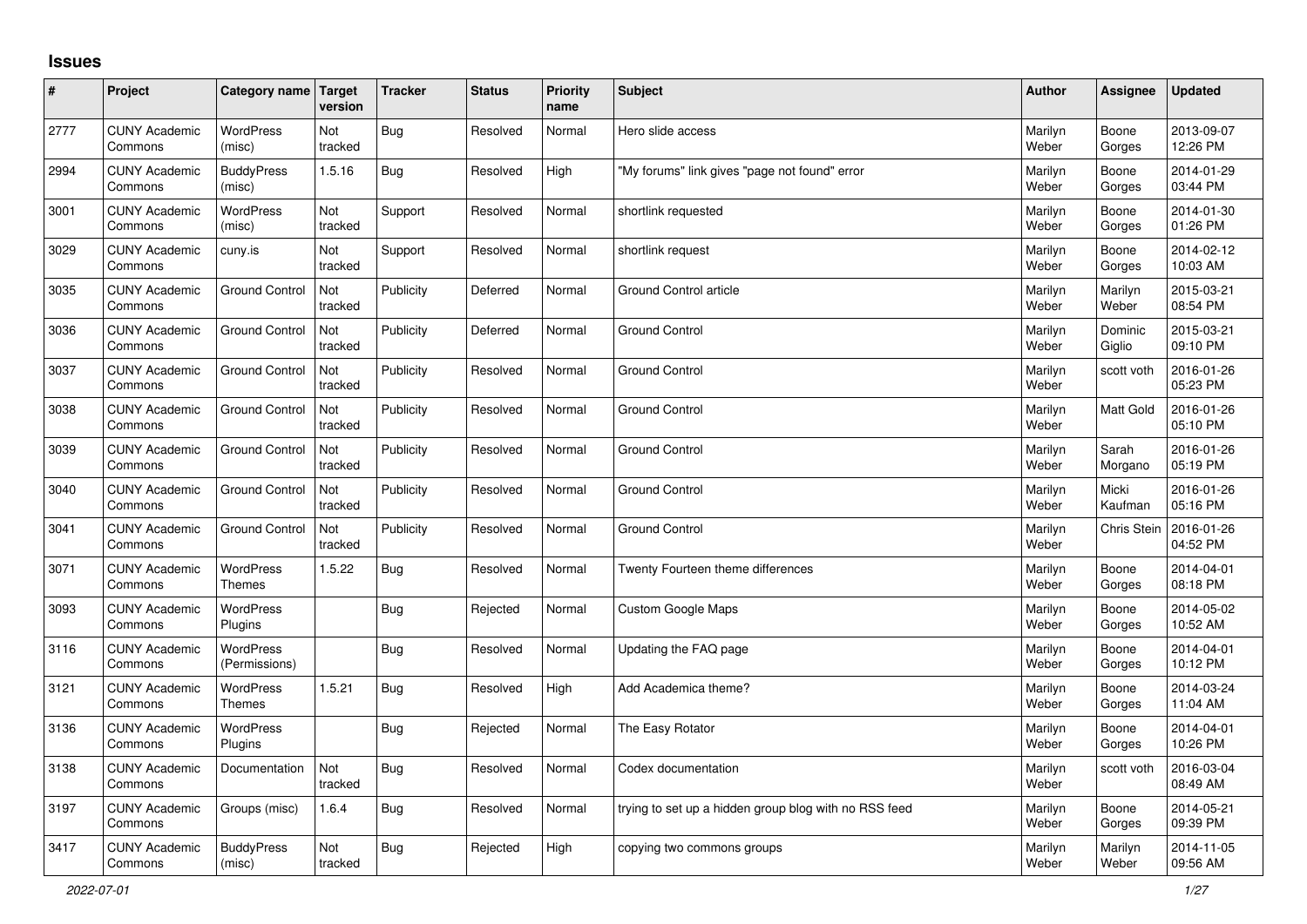## **Issues**

| #    | Project                         | Category name Target              | version        | <b>Tracker</b> | <b>Status</b> | <b>Priority</b><br>name | <b>Subject</b>                                        | <b>Author</b>    | Assignee           | <b>Updated</b>         |
|------|---------------------------------|-----------------------------------|----------------|----------------|---------------|-------------------------|-------------------------------------------------------|------------------|--------------------|------------------------|
| 2777 | <b>CUNY Academic</b><br>Commons | <b>WordPress</b><br>(misc)        | Not<br>tracked | Bug            | Resolved      | Normal                  | Hero slide access                                     | Marilyn<br>Weber | Boone<br>Gorges    | 2013-09-07<br>12:26 PM |
| 2994 | <b>CUNY Academic</b><br>Commons | <b>BuddyPress</b><br>(misc)       | 1.5.16         | Bug            | Resolved      | High                    | 'My forums" link gives "page not found" error         | Marilyn<br>Weber | Boone<br>Gorges    | 2014-01-29<br>03:44 PM |
| 3001 | <b>CUNY Academic</b><br>Commons | <b>WordPress</b><br>(misc)        | Not<br>tracked | Support        | Resolved      | Normal                  | shortlink requested                                   | Marilyn<br>Weber | Boone<br>Gorges    | 2014-01-30<br>01:26 PM |
| 3029 | <b>CUNY Academic</b><br>Commons | cuny.is                           | Not<br>tracked | Support        | Resolved      | Normal                  | shortlink request                                     | Marilyn<br>Weber | Boone<br>Gorges    | 2014-02-12<br>10:03 AM |
| 3035 | <b>CUNY Academic</b><br>Commons | <b>Ground Control</b>             | Not<br>tracked | Publicity      | Deferred      | Normal                  | Ground Control article                                | Marilyn<br>Weber | Marilyn<br>Weber   | 2015-03-21<br>08:54 PM |
| 3036 | <b>CUNY Academic</b><br>Commons | <b>Ground Control</b>             | Not<br>tracked | Publicity      | Deferred      | Normal                  | <b>Ground Control</b>                                 | Marilyn<br>Weber | Dominic<br>Giglio  | 2015-03-21<br>09:10 PM |
| 3037 | <b>CUNY Academic</b><br>Commons | <b>Ground Control</b>             | Not<br>tracked | Publicity      | Resolved      | Normal                  | <b>Ground Control</b>                                 | Marilyn<br>Weber | scott voth         | 2016-01-26<br>05:23 PM |
| 3038 | <b>CUNY Academic</b><br>Commons | <b>Ground Control</b>             | Not<br>tracked | Publicity      | Resolved      | Normal                  | Ground Control                                        | Marilyn<br>Weber | Matt Gold          | 2016-01-26<br>05:10 PM |
| 3039 | <b>CUNY Academic</b><br>Commons | <b>Ground Control</b>             | Not<br>tracked | Publicity      | Resolved      | Normal                  | <b>Ground Control</b>                                 | Marilyn<br>Weber | Sarah<br>Morgano   | 2016-01-26<br>05:19 PM |
| 3040 | <b>CUNY Academic</b><br>Commons | <b>Ground Control</b>             | Not<br>tracked | Publicity      | Resolved      | Normal                  | <b>Ground Control</b>                                 | Marilyn<br>Weber | Micki<br>Kaufman   | 2016-01-26<br>05:16 PM |
| 3041 | <b>CUNY Academic</b><br>Commons | <b>Ground Control</b>             | Not<br>tracked | Publicity      | Resolved      | Normal                  | <b>Ground Control</b>                                 | Marilyn<br>Weber | <b>Chris Stein</b> | 2016-01-26<br>04:52 PM |
| 3071 | <b>CUNY Academic</b><br>Commons | WordPress<br><b>Themes</b>        | 1.5.22         | <b>Bug</b>     | Resolved      | Normal                  | Twenty Fourteen theme differences                     | Marilyn<br>Weber | Boone<br>Gorges    | 2014-04-01<br>08:18 PM |
| 3093 | <b>CUNY Academic</b><br>Commons | <b>WordPress</b><br>Plugins       |                | Bug            | Rejected      | Normal                  | Custom Google Maps                                    | Marilyn<br>Weber | Boone<br>Gorges    | 2014-05-02<br>10:52 AM |
| 3116 | <b>CUNY Academic</b><br>Commons | <b>WordPress</b><br>(Permissions) |                | Bug            | Resolved      | Normal                  | Updating the FAQ page                                 | Marilyn<br>Weber | Boone<br>Gorges    | 2014-04-01<br>10:12 PM |
| 3121 | <b>CUNY Academic</b><br>Commons | <b>WordPress</b><br><b>Themes</b> | 1.5.21         | Bug            | Resolved      | High                    | Add Academica theme?                                  | Marilyn<br>Weber | Boone<br>Gorges    | 2014-03-24<br>11:04 AM |
| 3136 | <b>CUNY Academic</b><br>Commons | WordPress<br><b>Plugins</b>       |                | Bug            | Rejected      | Normal                  | The Easy Rotator                                      | Marilyn<br>Weber | Boone<br>Gorges    | 2014-04-01<br>10:26 PM |
| 3138 | <b>CUNY Academic</b><br>Commons | Documentation                     | Not<br>tracked | <b>Bug</b>     | Resolved      | Normal                  | Codex documentation                                   | Marilyn<br>Weber | scott voth         | 2016-03-04<br>08:49 AM |
| 3197 | <b>CUNY Academic</b><br>Commons | Groups (misc)                     | 1.6.4          | Bug            | Resolved      | Normal                  | trying to set up a hidden group blog with no RSS feed | Marilyn<br>Weber | Boone<br>Gorges    | 2014-05-21<br>09:39 PM |
| 3417 | <b>CUNY Academic</b><br>Commons | <b>BuddyPress</b><br>(misc)       | Not<br>tracked | Bug            | Rejected      | High                    | copying two commons groups                            | Marilyn<br>Weber | Marilyn<br>Weber   | 2014-11-05<br>09:56 AM |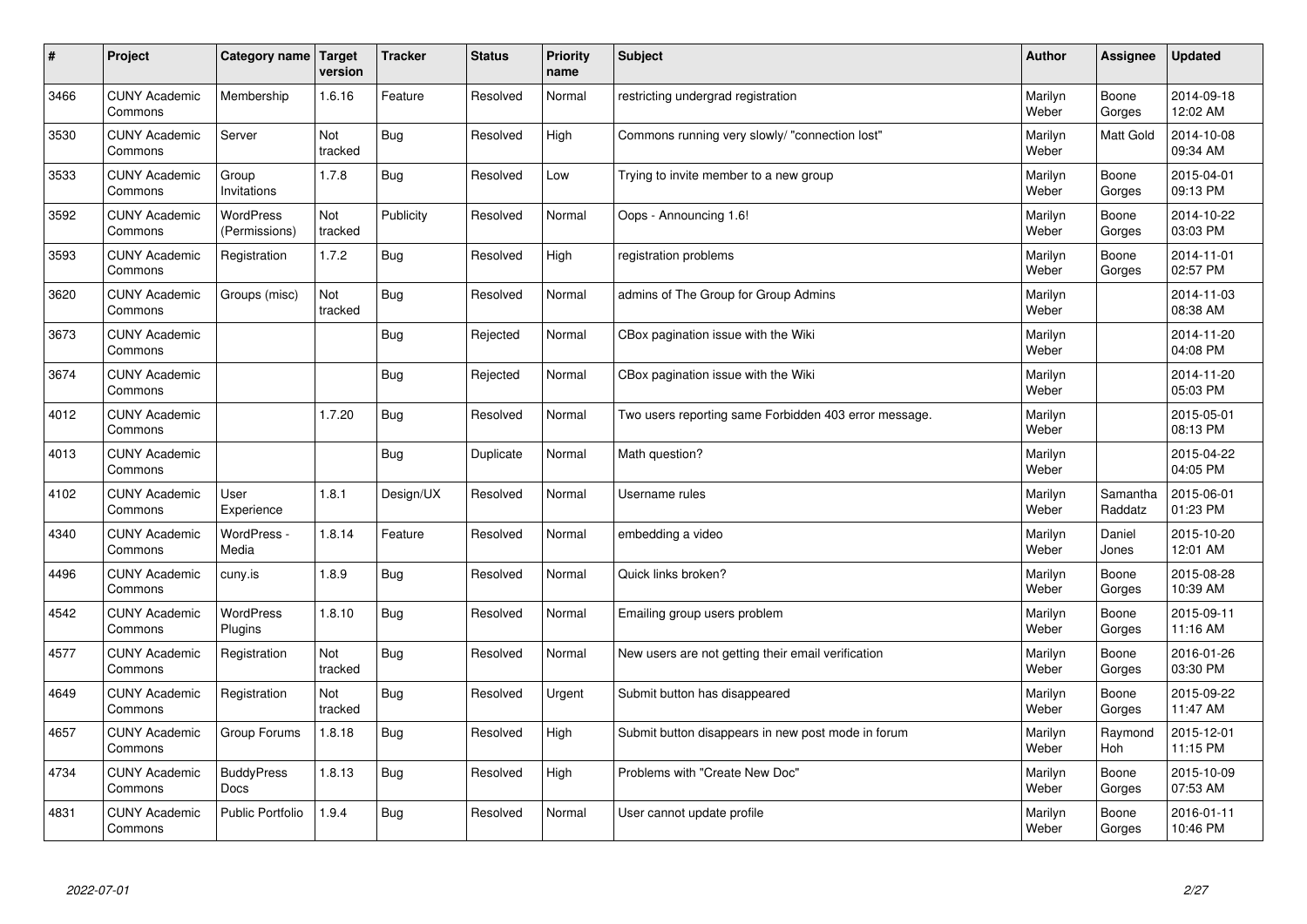| $\sharp$ | Project                         | Category name   Target            | version        | <b>Tracker</b> | <b>Status</b> | <b>Priority</b><br>name | <b>Subject</b>                                        | <b>Author</b>    | Assignee              | <b>Updated</b>         |
|----------|---------------------------------|-----------------------------------|----------------|----------------|---------------|-------------------------|-------------------------------------------------------|------------------|-----------------------|------------------------|
| 3466     | <b>CUNY Academic</b><br>Commons | Membership                        | 1.6.16         | Feature        | Resolved      | Normal                  | restricting undergrad registration                    | Marilyn<br>Weber | Boone<br>Gorges       | 2014-09-18<br>12:02 AM |
| 3530     | <b>CUNY Academic</b><br>Commons | Server                            | Not<br>tracked | Bug            | Resolved      | High                    | Commons running very slowly/ "connection lost"        | Marilyn<br>Weber | <b>Matt Gold</b>      | 2014-10-08<br>09:34 AM |
| 3533     | <b>CUNY Academic</b><br>Commons | Group<br>Invitations              | 1.7.8          | Bug            | Resolved      | Low                     | Trying to invite member to a new group                | Marilyn<br>Weber | Boone<br>Gorges       | 2015-04-01<br>09:13 PM |
| 3592     | <b>CUNY Academic</b><br>Commons | <b>WordPress</b><br>(Permissions) | Not<br>tracked | Publicity      | Resolved      | Normal                  | Oops - Announcing 1.6!                                | Marilyn<br>Weber | Boone<br>Gorges       | 2014-10-22<br>03:03 PM |
| 3593     | <b>CUNY Academic</b><br>Commons | Registration                      | 1.7.2          | Bug            | Resolved      | High                    | registration problems                                 | Marilyn<br>Weber | Boone<br>Gorges       | 2014-11-01<br>02:57 PM |
| 3620     | <b>CUNY Academic</b><br>Commons | Groups (misc)                     | Not<br>tracked | Bug            | Resolved      | Normal                  | admins of The Group for Group Admins                  | Marilyn<br>Weber |                       | 2014-11-03<br>08:38 AM |
| 3673     | <b>CUNY Academic</b><br>Commons |                                   |                | Bug            | Rejected      | Normal                  | CBox pagination issue with the Wiki                   | Marilyn<br>Weber |                       | 2014-11-20<br>04:08 PM |
| 3674     | <b>CUNY Academic</b><br>Commons |                                   |                | Bug            | Rejected      | Normal                  | CBox pagination issue with the Wiki                   | Marilyn<br>Weber |                       | 2014-11-20<br>05:03 PM |
| 4012     | <b>CUNY Academic</b><br>Commons |                                   | 1.7.20         | Bug            | Resolved      | Normal                  | Two users reporting same Forbidden 403 error message. | Marilyn<br>Weber |                       | 2015-05-01<br>08:13 PM |
| 4013     | <b>CUNY Academic</b><br>Commons |                                   |                | Bug            | Duplicate     | Normal                  | Math question?                                        | Marilyn<br>Weber |                       | 2015-04-22<br>04:05 PM |
| 4102     | <b>CUNY Academic</b><br>Commons | User<br>Experience                | 1.8.1          | Design/UX      | Resolved      | Normal                  | Username rules                                        | Marilyn<br>Weber | Samantha<br>Raddatz   | 2015-06-01<br>01:23 PM |
| 4340     | <b>CUNY Academic</b><br>Commons | WordPress -<br>Media              | 1.8.14         | Feature        | Resolved      | Normal                  | embedding a video                                     | Marilyn<br>Weber | Daniel<br>Jones       | 2015-10-20<br>12:01 AM |
| 4496     | <b>CUNY Academic</b><br>Commons | cuny.is                           | 1.8.9          | Bug            | Resolved      | Normal                  | Quick links broken?                                   | Marilyn<br>Weber | Boone<br>Gorges       | 2015-08-28<br>10:39 AM |
| 4542     | <b>CUNY Academic</b><br>Commons | WordPress<br>Plugins              | 1.8.10         | Bug            | Resolved      | Normal                  | Emailing group users problem                          | Marilyn<br>Weber | Boone<br>Gorges       | 2015-09-11<br>11:16 AM |
| 4577     | <b>CUNY Academic</b><br>Commons | Registration                      | Not<br>tracked | Bug            | Resolved      | Normal                  | New users are not getting their email verification    | Marilyn<br>Weber | Boone<br>Gorges       | 2016-01-26<br>03:30 PM |
| 4649     | <b>CUNY Academic</b><br>Commons | Registration                      | Not<br>tracked | Bug            | Resolved      | Urgent                  | Submit button has disappeared                         | Marilyn<br>Weber | Boone<br>Gorges       | 2015-09-22<br>11:47 AM |
| 4657     | <b>CUNY Academic</b><br>Commons | Group Forums                      | 1.8.18         | Bug            | Resolved      | High                    | Submit button disappears in new post mode in forum    | Marilyn<br>Weber | Raymond<br><b>Hoh</b> | 2015-12-01<br>11:15 PM |
| 4734     | <b>CUNY Academic</b><br>Commons | <b>BuddyPress</b><br>Docs         | 1.8.13         | Bug            | Resolved      | High                    | Problems with "Create New Doc"                        | Marilyn<br>Weber | Boone<br>Gorges       | 2015-10-09<br>07:53 AM |
| 4831     | <b>CUNY Academic</b><br>Commons | <b>Public Portfolio</b>           | 1.9.4          | Bug            | Resolved      | Normal                  | User cannot update profile                            | Marilyn<br>Weber | Boone<br>Gorges       | 2016-01-11<br>10:46 PM |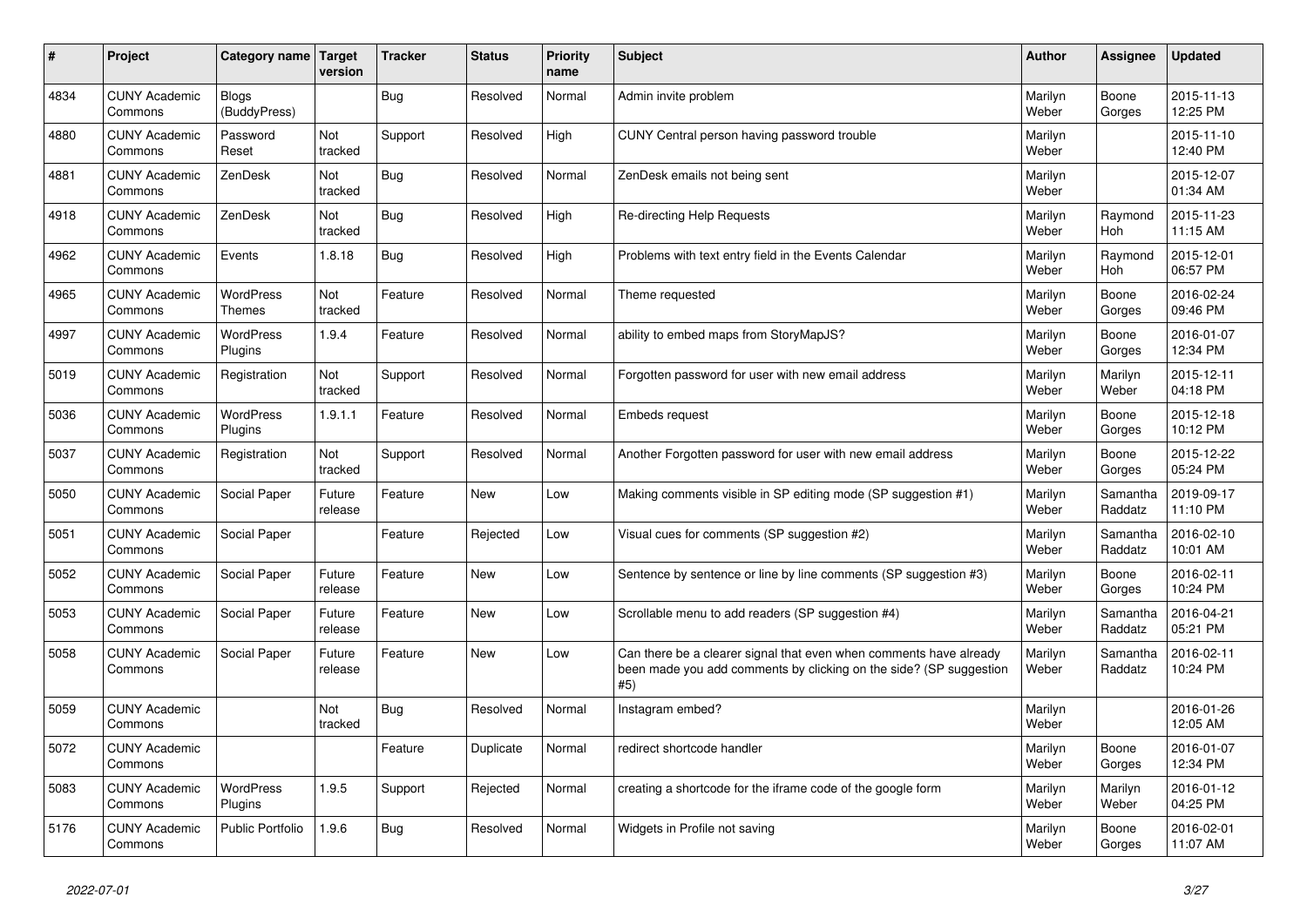| #    | Project                         | <b>Category name</b>         | <b>Target</b><br>version | <b>Tracker</b> | <b>Status</b> | <b>Priority</b><br>name | <b>Subject</b>                                                                                                                                  | Author           | Assignee            | <b>Updated</b>         |
|------|---------------------------------|------------------------------|--------------------------|----------------|---------------|-------------------------|-------------------------------------------------------------------------------------------------------------------------------------------------|------------------|---------------------|------------------------|
| 4834 | <b>CUNY Academic</b><br>Commons | <b>Blogs</b><br>(BuddyPress) |                          | <b>Bug</b>     | Resolved      | Normal                  | Admin invite problem                                                                                                                            | Marilyn<br>Weber | Boone<br>Gorges     | 2015-11-13<br>12:25 PM |
| 4880 | <b>CUNY Academic</b><br>Commons | Password<br>Reset            | Not<br>tracked           | Support        | Resolved      | High                    | CUNY Central person having password trouble                                                                                                     | Marilyn<br>Weber |                     | 2015-11-10<br>12:40 PM |
| 4881 | <b>CUNY Academic</b><br>Commons | ZenDesk                      | Not<br>tracked           | <b>Bug</b>     | Resolved      | Normal                  | ZenDesk emails not being sent                                                                                                                   | Marilyn<br>Weber |                     | 2015-12-07<br>01:34 AM |
| 4918 | <b>CUNY Academic</b><br>Commons | ZenDesk                      | Not<br>tracked           | <b>Bug</b>     | Resolved      | High                    | <b>Re-directing Help Requests</b>                                                                                                               | Marilyn<br>Weber | Raymond<br>Hoh      | 2015-11-23<br>11:15 AM |
| 4962 | <b>CUNY Academic</b><br>Commons | Events                       | 1.8.18                   | <b>Bug</b>     | Resolved      | High                    | Problems with text entry field in the Events Calendar                                                                                           | Marilyn<br>Weber | Raymond<br>Hoh      | 2015-12-01<br>06:57 PM |
| 4965 | <b>CUNY Academic</b><br>Commons | WordPress<br>Themes          | Not<br>tracked           | Feature        | Resolved      | Normal                  | Theme requested                                                                                                                                 | Marilyn<br>Weber | Boone<br>Gorges     | 2016-02-24<br>09:46 PM |
| 4997 | <b>CUNY Academic</b><br>Commons | <b>WordPress</b><br>Plugins  | 1.9.4                    | Feature        | Resolved      | Normal                  | ability to embed maps from StoryMapJS?                                                                                                          | Marilyn<br>Weber | Boone<br>Gorges     | 2016-01-07<br>12:34 PM |
| 5019 | <b>CUNY Academic</b><br>Commons | Registration                 | Not<br>tracked           | Support        | Resolved      | Normal                  | Forgotten password for user with new email address                                                                                              | Marilyn<br>Weber | Marilyn<br>Weber    | 2015-12-11<br>04:18 PM |
| 5036 | <b>CUNY Academic</b><br>Commons | WordPress<br>Plugins         | 1.9.1.1                  | Feature        | Resolved      | Normal                  | <b>Embeds request</b>                                                                                                                           | Marilyn<br>Weber | Boone<br>Gorges     | 2015-12-18<br>10:12 PM |
| 5037 | <b>CUNY Academic</b><br>Commons | Registration                 | Not<br>tracked           | Support        | Resolved      | Normal                  | Another Forgotten password for user with new email address                                                                                      | Marilyn<br>Weber | Boone<br>Gorges     | 2015-12-22<br>05:24 PM |
| 5050 | <b>CUNY Academic</b><br>Commons | Social Paper                 | Future<br>release        | Feature        | <b>New</b>    | Low                     | Making comments visible in SP editing mode (SP suggestion #1)                                                                                   | Marilyn<br>Weber | Samantha<br>Raddatz | 2019-09-17<br>11:10 PM |
| 5051 | <b>CUNY Academic</b><br>Commons | Social Paper                 |                          | Feature        | Rejected      | Low                     | Visual cues for comments (SP suggestion #2)                                                                                                     | Marilyn<br>Weber | Samantha<br>Raddatz | 2016-02-10<br>10:01 AM |
| 5052 | <b>CUNY Academic</b><br>Commons | Social Paper                 | Future<br>release        | Feature        | <b>New</b>    | Low                     | Sentence by sentence or line by line comments (SP suggestion #3)                                                                                | Marilyn<br>Weber | Boone<br>Gorges     | 2016-02-11<br>10:24 PM |
| 5053 | <b>CUNY Academic</b><br>Commons | Social Paper                 | Future<br>release        | Feature        | <b>New</b>    | Low                     | Scrollable menu to add readers (SP suggestion #4)                                                                                               | Marilyn<br>Weber | Samantha<br>Raddatz | 2016-04-21<br>05:21 PM |
| 5058 | <b>CUNY Academic</b><br>Commons | Social Paper                 | Future<br>release        | Feature        | <b>New</b>    | Low                     | Can there be a clearer signal that even when comments have already<br>been made you add comments by clicking on the side? (SP suggestion<br>#5) | Marilyn<br>Weber | Samantha<br>Raddatz | 2016-02-11<br>10:24 PM |
| 5059 | <b>CUNY Academic</b><br>Commons |                              | Not<br>tracked           | <b>Bug</b>     | Resolved      | Normal                  | Instagram embed?                                                                                                                                | Marilyn<br>Weber |                     | 2016-01-26<br>12:05 AM |
| 5072 | <b>CUNY Academic</b><br>Commons |                              |                          | Feature        | Duplicate     | Normal                  | redirect shortcode handler                                                                                                                      | Marilyn<br>Weber | Boone<br>Gorges     | 2016-01-07<br>12:34 PM |
| 5083 | <b>CUNY Academic</b><br>Commons | WordPress<br>Plugins         | 1.9.5                    | Support        | Rejected      | Normal                  | creating a shortcode for the iframe code of the google form                                                                                     | Marilyn<br>Weber | Marilyn<br>Weber    | 2016-01-12<br>04:25 PM |
| 5176 | <b>CUNY Academic</b><br>Commons | Public Portfolio             | 1.9.6                    | Bug            | Resolved      | Normal                  | Widgets in Profile not saving                                                                                                                   | Marilyn<br>Weber | Boone<br>Gorges     | 2016-02-01<br>11:07 AM |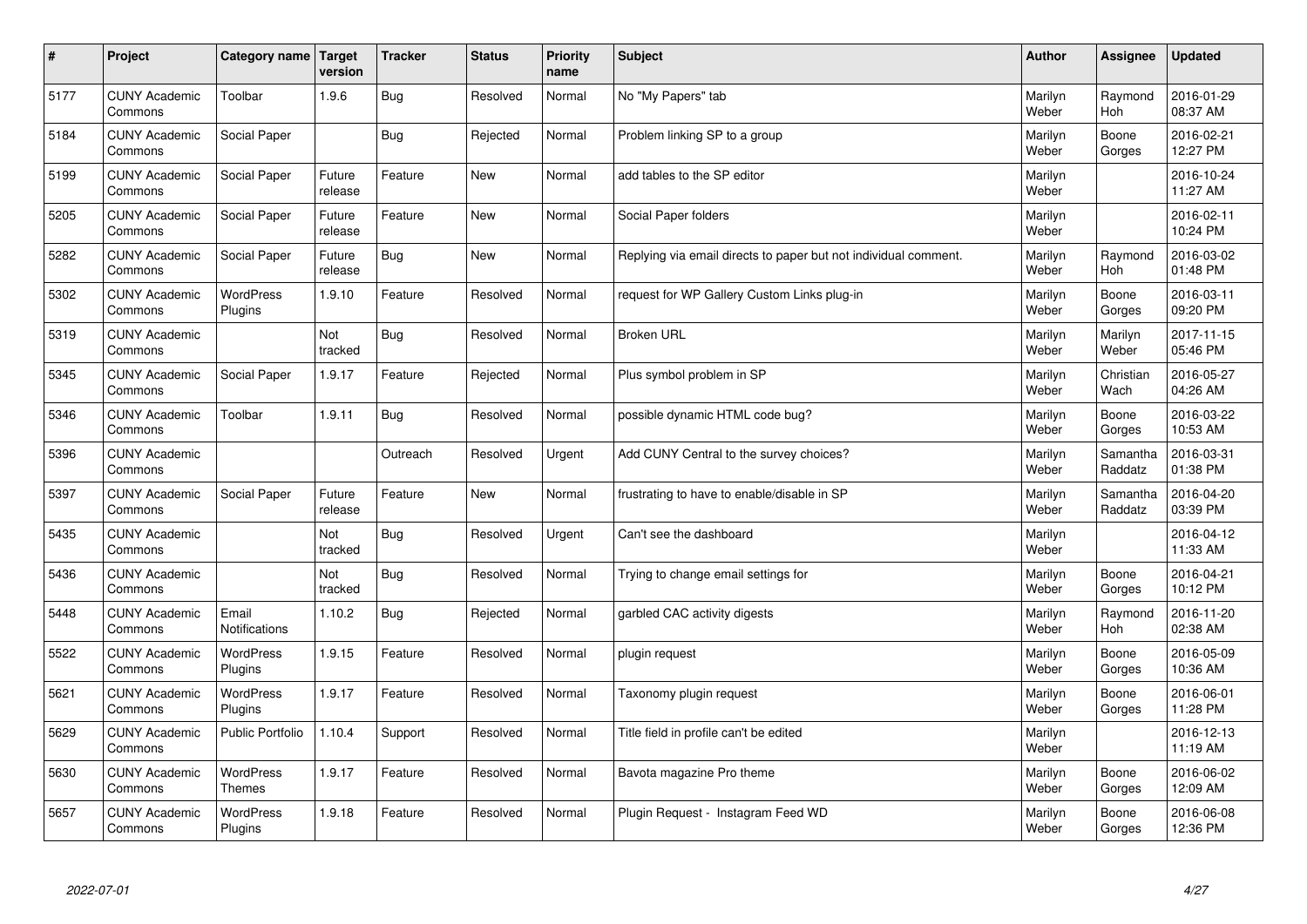| $\sharp$ | Project                         | Category name   Target      | version           | <b>Tracker</b> | <b>Status</b> | <b>Priority</b><br>name | <b>Subject</b>                                                  | <b>Author</b>    | Assignee              | <b>Updated</b>         |
|----------|---------------------------------|-----------------------------|-------------------|----------------|---------------|-------------------------|-----------------------------------------------------------------|------------------|-----------------------|------------------------|
| 5177     | <b>CUNY Academic</b><br>Commons | Toolbar                     | 1.9.6             | Bug            | Resolved      | Normal                  | No "My Papers" tab                                              | Marilyn<br>Weber | Raymond<br>Hoh        | 2016-01-29<br>08:37 AM |
| 5184     | <b>CUNY Academic</b><br>Commons | Social Paper                |                   | Bug            | Rejected      | Normal                  | Problem linking SP to a group                                   | Marilyn<br>Weber | Boone<br>Gorges       | 2016-02-21<br>12:27 PM |
| 5199     | <b>CUNY Academic</b><br>Commons | Social Paper                | Future<br>release | Feature        | New           | Normal                  | add tables to the SP editor                                     | Marilyn<br>Weber |                       | 2016-10-24<br>11:27 AM |
| 5205     | <b>CUNY Academic</b><br>Commons | Social Paper                | Future<br>release | Feature        | <b>New</b>    | Normal                  | Social Paper folders                                            | Marilyn<br>Weber |                       | 2016-02-11<br>10:24 PM |
| 5282     | <b>CUNY Academic</b><br>Commons | Social Paper                | Future<br>release | Bug            | <b>New</b>    | Normal                  | Replying via email directs to paper but not individual comment. | Marilyn<br>Weber | Raymond<br>Hoh        | 2016-03-02<br>01:48 PM |
| 5302     | <b>CUNY Academic</b><br>Commons | WordPress<br>Plugins        | 1.9.10            | Feature        | Resolved      | Normal                  | request for WP Gallery Custom Links plug-in                     | Marilyn<br>Weber | Boone<br>Gorges       | 2016-03-11<br>09:20 PM |
| 5319     | <b>CUNY Academic</b><br>Commons |                             | Not<br>tracked    | <b>Bug</b>     | Resolved      | Normal                  | <b>Broken URL</b>                                               | Marilyn<br>Weber | Marilyn<br>Weber      | 2017-11-15<br>05:46 PM |
| 5345     | <b>CUNY Academic</b><br>Commons | Social Paper                | 1.9.17            | Feature        | Rejected      | Normal                  | Plus symbol problem in SP                                       | Marilyn<br>Weber | Christian<br>Wach     | 2016-05-27<br>04:26 AM |
| 5346     | <b>CUNY Academic</b><br>Commons | Toolbar                     | 1.9.11            | Bug            | Resolved      | Normal                  | possible dynamic HTML code bug?                                 | Marilyn<br>Weber | Boone<br>Gorges       | 2016-03-22<br>10:53 AM |
| 5396     | <b>CUNY Academic</b><br>Commons |                             |                   | Outreach       | Resolved      | Urgent                  | Add CUNY Central to the survey choices?                         | Marilyn<br>Weber | Samantha<br>Raddatz   | 2016-03-31<br>01:38 PM |
| 5397     | <b>CUNY Academic</b><br>Commons | Social Paper                | Future<br>release | Feature        | New           | Normal                  | frustrating to have to enable/disable in SP                     | Marilyn<br>Weber | Samantha<br>Raddatz   | 2016-04-20<br>03:39 PM |
| 5435     | <b>CUNY Academic</b><br>Commons |                             | Not<br>tracked    | <b>Bug</b>     | Resolved      | Urgent                  | Can't see the dashboard                                         | Marilyn<br>Weber |                       | 2016-04-12<br>11:33 AM |
| 5436     | <b>CUNY Academic</b><br>Commons |                             | Not<br>tracked    | Bug            | Resolved      | Normal                  | Trying to change email settings for                             | Marilyn<br>Weber | Boone<br>Gorges       | 2016-04-21<br>10:12 PM |
| 5448     | <b>CUNY Academic</b><br>Commons | Email<br>Notifications      | 1.10.2            | Bug            | Rejected      | Normal                  | garbled CAC activity digests                                    | Marilyn<br>Weber | Raymond<br><b>Hoh</b> | 2016-11-20<br>02:38 AM |
| 5522     | <b>CUNY Academic</b><br>Commons | <b>WordPress</b><br>Plugins | 1.9.15            | Feature        | Resolved      | Normal                  | plugin request                                                  | Marilyn<br>Weber | Boone<br>Gorges       | 2016-05-09<br>10:36 AM |
| 5621     | <b>CUNY Academic</b><br>Commons | WordPress<br>Plugins        | 1.9.17            | Feature        | Resolved      | Normal                  | Taxonomy plugin request                                         | Marilyn<br>Weber | Boone<br>Gorges       | 2016-06-01<br>11:28 PM |
| 5629     | <b>CUNY Academic</b><br>Commons | Public Portfolio            | 1.10.4            | Support        | Resolved      | Normal                  | Title field in profile can't be edited                          | Marilyn<br>Weber |                       | 2016-12-13<br>11:19 AM |
| 5630     | <b>CUNY Academic</b><br>Commons | WordPress<br><b>Themes</b>  | 1.9.17            | Feature        | Resolved      | Normal                  | Bavota magazine Pro theme                                       | Marilyn<br>Weber | Boone<br>Gorges       | 2016-06-02<br>12:09 AM |
| 5657     | <b>CUNY Academic</b><br>Commons | <b>WordPress</b><br>Plugins | 1.9.18            | Feature        | Resolved      | Normal                  | Plugin Request - Instagram Feed WD                              | Marilyn<br>Weber | Boone<br>Gorges       | 2016-06-08<br>12:36 PM |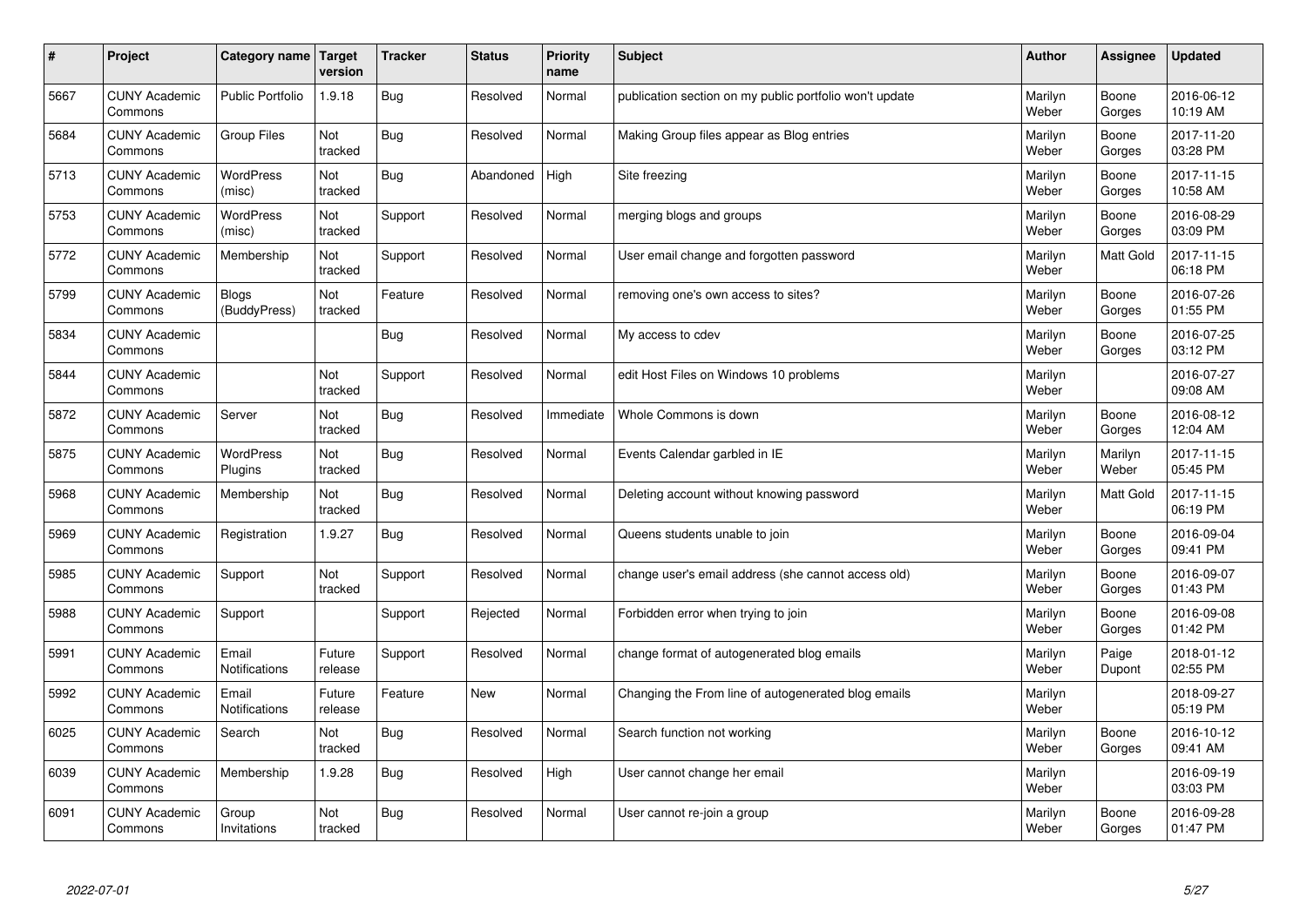| $\#$ | Project                         | Category name   Target       | version           | <b>Tracker</b> | <b>Status</b> | Priority<br>name | <b>Subject</b>                                          | <b>Author</b>    | <b>Assignee</b>  | <b>Updated</b>         |
|------|---------------------------------|------------------------------|-------------------|----------------|---------------|------------------|---------------------------------------------------------|------------------|------------------|------------------------|
| 5667 | <b>CUNY Academic</b><br>Commons | <b>Public Portfolio</b>      | 1.9.18            | Bug            | Resolved      | Normal           | publication section on my public portfolio won't update | Marilyn<br>Weber | Boone<br>Gorges  | 2016-06-12<br>10:19 AM |
| 5684 | <b>CUNY Academic</b><br>Commons | <b>Group Files</b>           | Not<br>tracked    | Bug            | Resolved      | Normal           | Making Group files appear as Blog entries               | Marilyn<br>Weber | Boone<br>Gorges  | 2017-11-20<br>03:28 PM |
| 5713 | <b>CUNY Academic</b><br>Commons | <b>WordPress</b><br>(misc)   | Not<br>tracked    | Bug            | Abandoned     | High             | Site freezing                                           | Marilyn<br>Weber | Boone<br>Gorges  | 2017-11-15<br>10:58 AM |
| 5753 | <b>CUNY Academic</b><br>Commons | <b>WordPress</b><br>(misc)   | Not<br>tracked    | Support        | Resolved      | Normal           | merging blogs and groups                                | Marilyn<br>Weber | Boone<br>Gorges  | 2016-08-29<br>03:09 PM |
| 5772 | <b>CUNY Academic</b><br>Commons | Membership                   | Not<br>tracked    | Support        | Resolved      | Normal           | User email change and forgotten password                | Marilyn<br>Weber | <b>Matt Gold</b> | 2017-11-15<br>06:18 PM |
| 5799 | <b>CUNY Academic</b><br>Commons | <b>Blogs</b><br>(BuddyPress) | Not<br>tracked    | Feature        | Resolved      | Normal           | removing one's own access to sites?                     | Marilyn<br>Weber | Boone<br>Gorges  | 2016-07-26<br>01:55 PM |
| 5834 | <b>CUNY Academic</b><br>Commons |                              |                   | Bug            | Resolved      | Normal           | My access to cdev                                       | Marilyn<br>Weber | Boone<br>Gorges  | 2016-07-25<br>03:12 PM |
| 5844 | <b>CUNY Academic</b><br>Commons |                              | Not<br>tracked    | Support        | Resolved      | Normal           | edit Host Files on Windows 10 problems                  | Marilyn<br>Weber |                  | 2016-07-27<br>09:08 AM |
| 5872 | <b>CUNY Academic</b><br>Commons | Server                       | Not<br>tracked    | Bug            | Resolved      | Immediate        | Whole Commons is down                                   | Marilyn<br>Weber | Boone<br>Gorges  | 2016-08-12<br>12:04 AM |
| 5875 | <b>CUNY Academic</b><br>Commons | <b>WordPress</b><br>Plugins  | Not<br>tracked    | Bug            | Resolved      | Normal           | Events Calendar garbled in IE                           | Marilyn<br>Weber | Marilyn<br>Weber | 2017-11-15<br>05:45 PM |
| 5968 | <b>CUNY Academic</b><br>Commons | Membership                   | Not<br>tracked    | Bug            | Resolved      | Normal           | Deleting account without knowing password               | Marilyn<br>Weber | <b>Matt Gold</b> | 2017-11-15<br>06:19 PM |
| 5969 | <b>CUNY Academic</b><br>Commons | Registration                 | 1.9.27            | Bug            | Resolved      | Normal           | Queens students unable to join                          | Marilyn<br>Weber | Boone<br>Gorges  | 2016-09-04<br>09:41 PM |
| 5985 | <b>CUNY Academic</b><br>Commons | Support                      | Not<br>tracked    | Support        | Resolved      | Normal           | change user's email address (she cannot access old)     | Marilyn<br>Weber | Boone<br>Gorges  | 2016-09-07<br>01:43 PM |
| 5988 | <b>CUNY Academic</b><br>Commons | Support                      |                   | Support        | Rejected      | Normal           | Forbidden error when trying to join                     | Marilyn<br>Weber | Boone<br>Gorges  | 2016-09-08<br>01:42 PM |
| 5991 | <b>CUNY Academic</b><br>Commons | Email<br>Notifications       | Future<br>release | Support        | Resolved      | Normal           | change format of autogenerated blog emails              | Marilyn<br>Weber | Paige<br>Dupont  | 2018-01-12<br>02:55 PM |
| 5992 | <b>CUNY Academic</b><br>Commons | Email<br>Notifications       | Future<br>release | Feature        | <b>New</b>    | Normal           | Changing the From line of autogenerated blog emails     | Marilyn<br>Weber |                  | 2018-09-27<br>05:19 PM |
| 6025 | <b>CUNY Academic</b><br>Commons | Search                       | Not<br>tracked    | Bug            | Resolved      | Normal           | Search function not working                             | Marilyn<br>Weber | Boone<br>Gorges  | 2016-10-12<br>09:41 AM |
| 6039 | <b>CUNY Academic</b><br>Commons | Membership                   | 1.9.28            | Bug            | Resolved      | High             | User cannot change her email                            | Marilyn<br>Weber |                  | 2016-09-19<br>03:03 PM |
| 6091 | <b>CUNY Academic</b><br>Commons | Group<br>Invitations         | Not<br>tracked    | Bug            | Resolved      | Normal           | User cannot re-join a group                             | Marilyn<br>Weber | Boone<br>Gorges  | 2016-09-28<br>01:47 PM |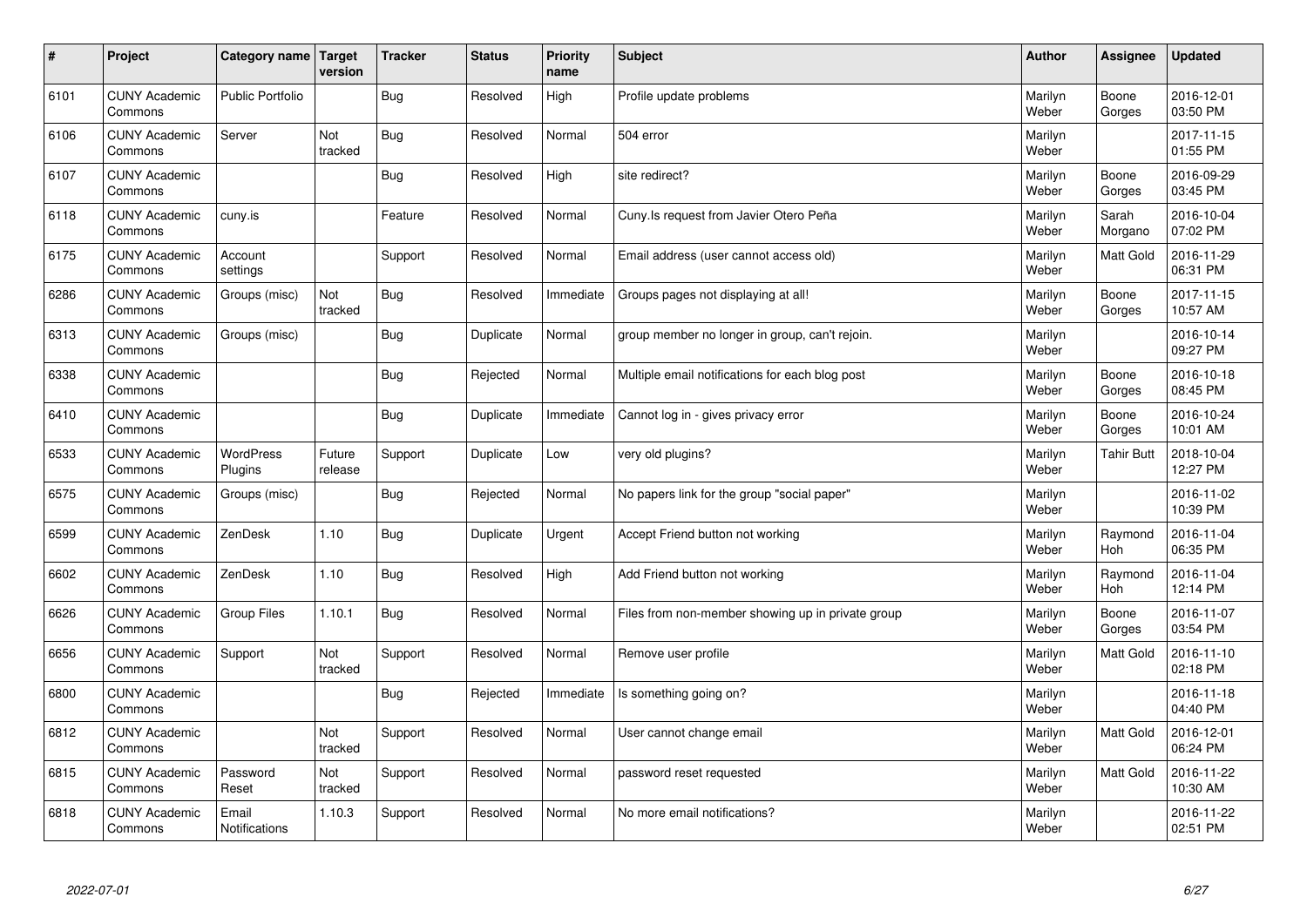| $\sharp$ | Project                         | Category name   Target        | version           | <b>Tracker</b> | <b>Status</b> | <b>Priority</b><br>name | <b>Subject</b>                                    | <b>Author</b>    | Assignee          | <b>Updated</b>         |
|----------|---------------------------------|-------------------------------|-------------------|----------------|---------------|-------------------------|---------------------------------------------------|------------------|-------------------|------------------------|
| 6101     | <b>CUNY Academic</b><br>Commons | <b>Public Portfolio</b>       |                   | Bug            | Resolved      | High                    | Profile update problems                           | Marilyn<br>Weber | Boone<br>Gorges   | 2016-12-01<br>03:50 PM |
| 6106     | <b>CUNY Academic</b><br>Commons | Server                        | Not<br>tracked    | Bug            | Resolved      | Normal                  | 504 error                                         | Marilyn<br>Weber |                   | 2017-11-15<br>01:55 PM |
| 6107     | <b>CUNY Academic</b><br>Commons |                               |                   | Bug            | Resolved      | High                    | site redirect?                                    | Marilyn<br>Weber | Boone<br>Gorges   | 2016-09-29<br>03:45 PM |
| 6118     | <b>CUNY Academic</b><br>Commons | cuny.is                       |                   | Feature        | Resolved      | Normal                  | Cuny. Is request from Javier Otero Peña           | Marilyn<br>Weber | Sarah<br>Morgano  | 2016-10-04<br>07:02 PM |
| 6175     | <b>CUNY Academic</b><br>Commons | Account<br>settings           |                   | Support        | Resolved      | Normal                  | Email address (user cannot access old)            | Marilyn<br>Weber | <b>Matt Gold</b>  | 2016-11-29<br>06:31 PM |
| 6286     | <b>CUNY Academic</b><br>Commons | Groups (misc)                 | Not<br>tracked    | Bug            | Resolved      | Immediate               | Groups pages not displaying at all!               | Marilyn<br>Weber | Boone<br>Gorges   | 2017-11-15<br>10:57 AM |
| 6313     | <b>CUNY Academic</b><br>Commons | Groups (misc)                 |                   | Bug            | Duplicate     | Normal                  | group member no longer in group, can't rejoin.    | Marilyn<br>Weber |                   | 2016-10-14<br>09:27 PM |
| 6338     | <b>CUNY Academic</b><br>Commons |                               |                   | <b>Bug</b>     | Rejected      | Normal                  | Multiple email notifications for each blog post   | Marilyn<br>Weber | Boone<br>Gorges   | 2016-10-18<br>08:45 PM |
| 6410     | <b>CUNY Academic</b><br>Commons |                               |                   | Bug            | Duplicate     | Immediate               | Cannot log in - gives privacy error               | Marilyn<br>Weber | Boone<br>Gorges   | 2016-10-24<br>10:01 AM |
| 6533     | <b>CUNY Academic</b><br>Commons | WordPress<br>Plugins          | Future<br>release | Support        | Duplicate     | Low                     | very old plugins?                                 | Marilyn<br>Weber | <b>Tahir Butt</b> | 2018-10-04<br>12:27 PM |
| 6575     | <b>CUNY Academic</b><br>Commons | Groups (misc)                 |                   | <b>Bug</b>     | Rejected      | Normal                  | No papers link for the group "social paper"       | Marilyn<br>Weber |                   | 2016-11-02<br>10:39 PM |
| 6599     | <b>CUNY Academic</b><br>Commons | ZenDesk                       | 1.10              | <b>Bug</b>     | Duplicate     | Urgent                  | Accept Friend button not working                  | Marilyn<br>Weber | Raymond<br>Hoh    | 2016-11-04<br>06:35 PM |
| 6602     | <b>CUNY Academic</b><br>Commons | ZenDesk                       | 1.10              | Bug            | Resolved      | High                    | Add Friend button not working                     | Marilyn<br>Weber | Raymond<br>Hoh    | 2016-11-04<br>12:14 PM |
| 6626     | <b>CUNY Academic</b><br>Commons | Group Files                   | 1.10.1            | Bug            | Resolved      | Normal                  | Files from non-member showing up in private group | Marilyn<br>Weber | Boone<br>Gorges   | 2016-11-07<br>03:54 PM |
| 6656     | <b>CUNY Academic</b><br>Commons | Support                       | Not<br>tracked    | Support        | Resolved      | Normal                  | Remove user profile                               | Marilyn<br>Weber | Matt Gold         | 2016-11-10<br>02:18 PM |
| 6800     | <b>CUNY Academic</b><br>Commons |                               |                   | Bug            | Rejected      | Immediate               | Is something going on?                            | Marilyn<br>Weber |                   | 2016-11-18<br>04:40 PM |
| 6812     | <b>CUNY Academic</b><br>Commons |                               | Not<br>tracked    | Support        | Resolved      | Normal                  | User cannot change email                          | Marilyn<br>Weber | Matt Gold         | 2016-12-01<br>06:24 PM |
| 6815     | <b>CUNY Academic</b><br>Commons | Password<br>Reset             | Not<br>tracked    | Support        | Resolved      | Normal                  | password reset requested                          | Marilyn<br>Weber | <b>Matt Gold</b>  | 2016-11-22<br>10:30 AM |
| 6818     | <b>CUNY Academic</b><br>Commons | Email<br><b>Notifications</b> | 1.10.3            | Support        | Resolved      | Normal                  | No more email notifications?                      | Marilyn<br>Weber |                   | 2016-11-22<br>02:51 PM |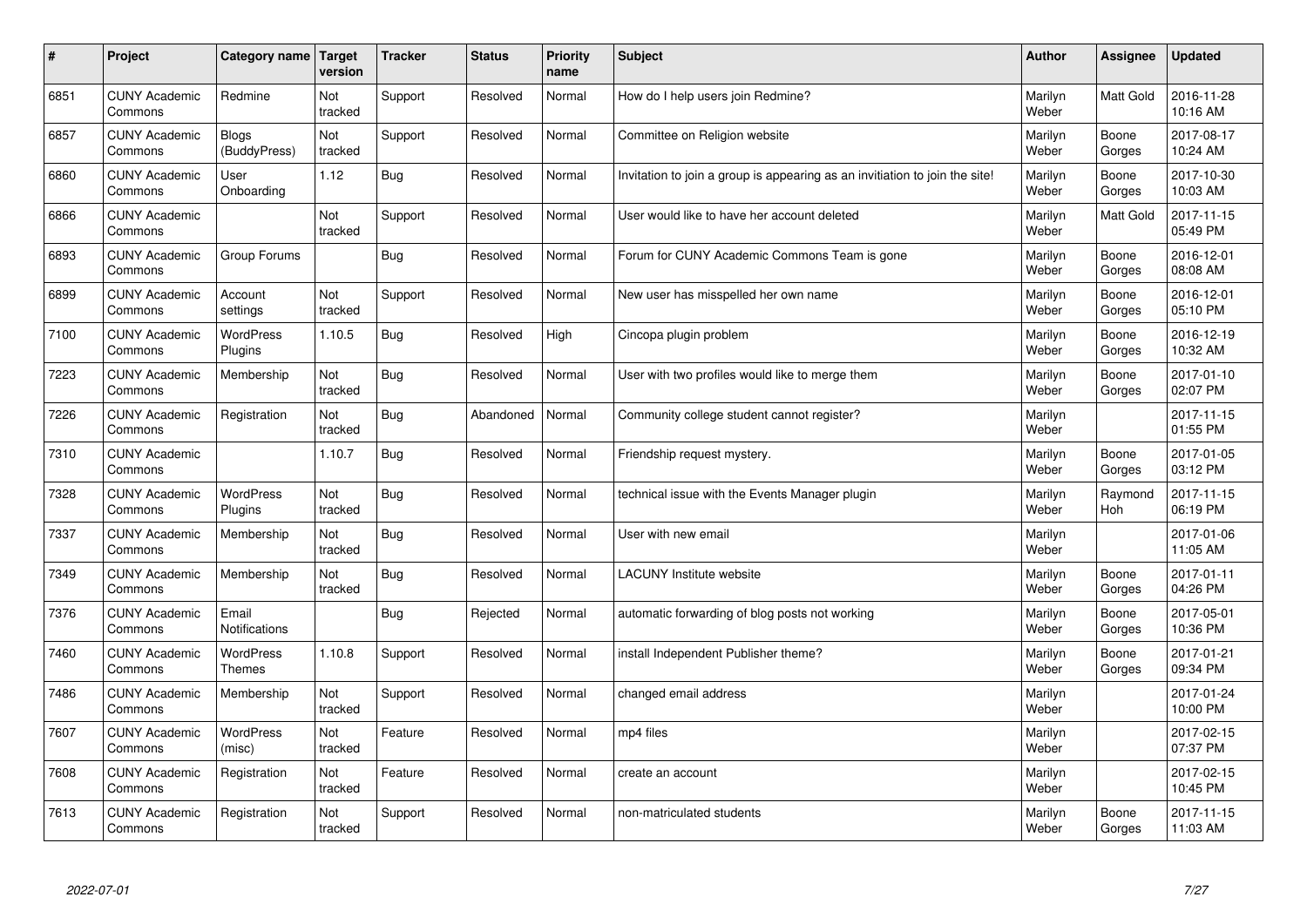| $\vert$ # | Project                         | Category name                 | <b>Target</b><br>version | <b>Tracker</b> | <b>Status</b> | <b>Priority</b><br>name | <b>Subject</b>                                                              | <b>Author</b>    | <b>Assignee</b>  | <b>Updated</b>         |
|-----------|---------------------------------|-------------------------------|--------------------------|----------------|---------------|-------------------------|-----------------------------------------------------------------------------|------------------|------------------|------------------------|
| 6851      | <b>CUNY Academic</b><br>Commons | Redmine                       | Not<br>tracked           | Support        | Resolved      | Normal                  | How do I help users join Redmine?                                           | Marilyn<br>Weber | <b>Matt Gold</b> | 2016-11-28<br>10:16 AM |
| 6857      | <b>CUNY Academic</b><br>Commons | <b>Blogs</b><br>(BuddyPress)  | Not<br>tracked           | Support        | Resolved      | Normal                  | Committee on Religion website                                               | Marilyn<br>Weber | Boone<br>Gorges  | 2017-08-17<br>10:24 AM |
| 6860      | <b>CUNY Academic</b><br>Commons | User<br>Onboarding            | 1.12                     | Bug            | Resolved      | Normal                  | Invitation to join a group is appearing as an invitiation to join the site! | Marilyn<br>Weber | Boone<br>Gorges  | 2017-10-30<br>10:03 AM |
| 6866      | <b>CUNY Academic</b><br>Commons |                               | <b>Not</b><br>tracked    | Support        | Resolved      | Normal                  | User would like to have her account deleted                                 | Marilyn<br>Weber | Matt Gold        | 2017-11-15<br>05:49 PM |
| 6893      | <b>CUNY Academic</b><br>Commons | Group Forums                  |                          | Bug            | Resolved      | Normal                  | Forum for CUNY Academic Commons Team is gone                                | Marilyn<br>Weber | Boone<br>Gorges  | 2016-12-01<br>08:08 AM |
| 6899      | <b>CUNY Academic</b><br>Commons | Account<br>settings           | Not<br>tracked           | Support        | Resolved      | Normal                  | New user has misspelled her own name                                        | Marilyn<br>Weber | Boone<br>Gorges  | 2016-12-01<br>05:10 PM |
| 7100      | <b>CUNY Academic</b><br>Commons | WordPress<br>Plugins          | 1.10.5                   | <b>Bug</b>     | Resolved      | High                    | Cincopa plugin problem                                                      | Marilyn<br>Weber | Boone<br>Gorges  | 2016-12-19<br>10:32 AM |
| 7223      | <b>CUNY Academic</b><br>Commons | Membership                    | Not<br>tracked           | Bug            | Resolved      | Normal                  | User with two profiles would like to merge them                             | Marilyn<br>Weber | Boone<br>Gorges  | 2017-01-10<br>02:07 PM |
| 7226      | <b>CUNY Academic</b><br>Commons | Registration                  | Not<br>tracked           | Bug            | Abandoned     | Normal                  | Community college student cannot register?                                  | Marilyn<br>Weber |                  | 2017-11-15<br>01:55 PM |
| 7310      | <b>CUNY Academic</b><br>Commons |                               | 1.10.7                   | Bug            | Resolved      | Normal                  | Friendship request mystery.                                                 | Marilyn<br>Weber | Boone<br>Gorges  | 2017-01-05<br>03:12 PM |
| 7328      | <b>CUNY Academic</b><br>Commons | WordPress<br>Plugins          | Not<br>tracked           | Bug            | Resolved      | Normal                  | technical issue with the Events Manager plugin                              | Marilyn<br>Weber | Raymond<br>Hoh   | 2017-11-15<br>06:19 PM |
| 7337      | <b>CUNY Academic</b><br>Commons | Membership                    | Not<br>tracked           | Bug            | Resolved      | Normal                  | User with new email                                                         | Marilyn<br>Weber |                  | 2017-01-06<br>11:05 AM |
| 7349      | <b>CUNY Academic</b><br>Commons | Membership                    | Not<br>tracked           | <b>Bug</b>     | Resolved      | Normal                  | LACUNY Institute website                                                    | Marilyn<br>Weber | Boone<br>Gorges  | 2017-01-11<br>04:26 PM |
| 7376      | <b>CUNY Academic</b><br>Commons | Email<br><b>Notifications</b> |                          | Bug            | Rejected      | Normal                  | automatic forwarding of blog posts not working                              | Marilyn<br>Weber | Boone<br>Gorges  | 2017-05-01<br>10:36 PM |
| 7460      | <b>CUNY Academic</b><br>Commons | <b>WordPress</b><br>Themes    | 1.10.8                   | Support        | Resolved      | Normal                  | install Independent Publisher theme?                                        | Marilyn<br>Weber | Boone<br>Gorges  | 2017-01-21<br>09:34 PM |
| 7486      | <b>CUNY Academic</b><br>Commons | Membership                    | Not<br>tracked           | Support        | Resolved      | Normal                  | changed email address                                                       | Marilyn<br>Weber |                  | 2017-01-24<br>10:00 PM |
| 7607      | <b>CUNY Academic</b><br>Commons | WordPress<br>(misc)           | Not<br>tracked           | Feature        | Resolved      | Normal                  | mp4 files                                                                   | Marilyn<br>Weber |                  | 2017-02-15<br>07:37 PM |
| 7608      | <b>CUNY Academic</b><br>Commons | Registration                  | Not<br>tracked           | Feature        | Resolved      | Normal                  | create an account                                                           | Marilyn<br>Weber |                  | 2017-02-15<br>10:45 PM |
| 7613      | <b>CUNY Academic</b><br>Commons | Registration                  | Not<br>tracked           | Support        | Resolved      | Normal                  | non-matriculated students                                                   | Marilyn<br>Weber | Boone<br>Gorges  | 2017-11-15<br>11:03 AM |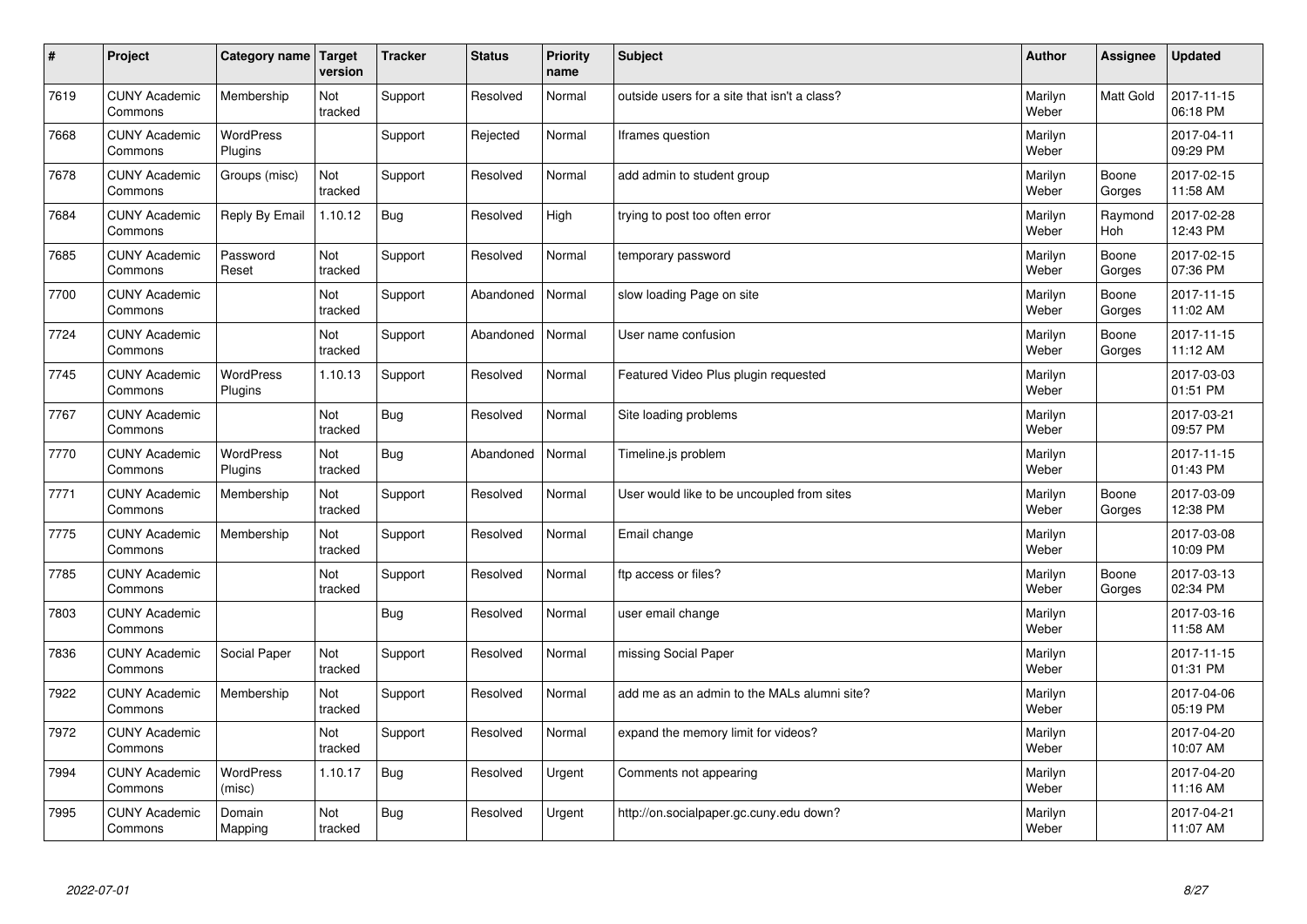| $\sharp$ | Project                         | Category name   Target      | version        | <b>Tracker</b> | <b>Status</b> | <b>Priority</b><br>name | <b>Subject</b>                               | <b>Author</b>    | Assignee              | <b>Updated</b>         |
|----------|---------------------------------|-----------------------------|----------------|----------------|---------------|-------------------------|----------------------------------------------|------------------|-----------------------|------------------------|
| 7619     | <b>CUNY Academic</b><br>Commons | Membership                  | Not<br>tracked | Support        | Resolved      | Normal                  | outside users for a site that isn't a class? | Marilyn<br>Weber | <b>Matt Gold</b>      | 2017-11-15<br>06:18 PM |
| 7668     | <b>CUNY Academic</b><br>Commons | <b>WordPress</b><br>Plugins |                | Support        | Rejected      | Normal                  | Iframes question                             | Marilyn<br>Weber |                       | 2017-04-11<br>09:29 PM |
| 7678     | <b>CUNY Academic</b><br>Commons | Groups (misc)               | Not<br>tracked | Support        | Resolved      | Normal                  | add admin to student group                   | Marilyn<br>Weber | Boone<br>Gorges       | 2017-02-15<br>11:58 AM |
| 7684     | <b>CUNY Academic</b><br>Commons | Reply By Email              | 1.10.12        | Bug            | Resolved      | High                    | trying to post too often error               | Marilyn<br>Weber | Raymond<br><b>Hoh</b> | 2017-02-28<br>12:43 PM |
| 7685     | <b>CUNY Academic</b><br>Commons | Password<br>Reset           | Not<br>tracked | Support        | Resolved      | Normal                  | temporary password                           | Marilyn<br>Weber | Boone<br>Gorges       | 2017-02-15<br>07:36 PM |
| 7700     | <b>CUNY Academic</b><br>Commons |                             | Not<br>tracked | Support        | Abandoned     | Normal                  | slow loading Page on site                    | Marilyn<br>Weber | Boone<br>Gorges       | 2017-11-15<br>11:02 AM |
| 7724     | <b>CUNY Academic</b><br>Commons |                             | Not<br>tracked | Support        | Abandoned     | Normal                  | User name confusion                          | Marilyn<br>Weber | Boone<br>Gorges       | 2017-11-15<br>11:12 AM |
| 7745     | <b>CUNY Academic</b><br>Commons | WordPress<br>Plugins        | 1.10.13        | Support        | Resolved      | Normal                  | Featured Video Plus plugin requested         | Marilyn<br>Weber |                       | 2017-03-03<br>01:51 PM |
| 7767     | <b>CUNY Academic</b><br>Commons |                             | Not<br>tracked | Bug            | Resolved      | Normal                  | Site loading problems                        | Marilyn<br>Weber |                       | 2017-03-21<br>09:57 PM |
| 7770     | <b>CUNY Academic</b><br>Commons | WordPress<br>Plugins        | Not<br>tracked | Bug            | Abandoned     | Normal                  | Timeline.js problem                          | Marilyn<br>Weber |                       | 2017-11-15<br>01:43 PM |
| 7771     | <b>CUNY Academic</b><br>Commons | Membership                  | Not<br>tracked | Support        | Resolved      | Normal                  | User would like to be uncoupled from sites   | Marilyn<br>Weber | Boone<br>Gorges       | 2017-03-09<br>12:38 PM |
| 7775     | <b>CUNY Academic</b><br>Commons | Membership                  | Not<br>tracked | Support        | Resolved      | Normal                  | Email change                                 | Marilyn<br>Weber |                       | 2017-03-08<br>10:09 PM |
| 7785     | <b>CUNY Academic</b><br>Commons |                             | Not<br>tracked | Support        | Resolved      | Normal                  | ftp access or files?                         | Marilyn<br>Weber | Boone<br>Gorges       | 2017-03-13<br>02:34 PM |
| 7803     | <b>CUNY Academic</b><br>Commons |                             |                | <b>Bug</b>     | Resolved      | Normal                  | user email change                            | Marilyn<br>Weber |                       | 2017-03-16<br>11:58 AM |
| 7836     | <b>CUNY Academic</b><br>Commons | Social Paper                | Not<br>tracked | Support        | Resolved      | Normal                  | missing Social Paper                         | Marilyn<br>Weber |                       | 2017-11-15<br>01:31 PM |
| 7922     | <b>CUNY Academic</b><br>Commons | Membership                  | Not<br>tracked | Support        | Resolved      | Normal                  | add me as an admin to the MALs alumni site?  | Marilyn<br>Weber |                       | 2017-04-06<br>05:19 PM |
| 7972     | <b>CUNY Academic</b><br>Commons |                             | Not<br>tracked | Support        | Resolved      | Normal                  | expand the memory limit for videos?          | Marilyn<br>Weber |                       | 2017-04-20<br>10:07 AM |
| 7994     | <b>CUNY Academic</b><br>Commons | <b>WordPress</b><br>(misc)  | 1.10.17        | Bug            | Resolved      | Urgent                  | Comments not appearing                       | Marilyn<br>Weber |                       | 2017-04-20<br>11:16 AM |
| 7995     | <b>CUNY Academic</b><br>Commons | Domain<br>Mapping           | Not<br>tracked | Bug            | Resolved      | Urgent                  | http://on.socialpaper.gc.cuny.edu down?      | Marilyn<br>Weber |                       | 2017-04-21<br>11:07 AM |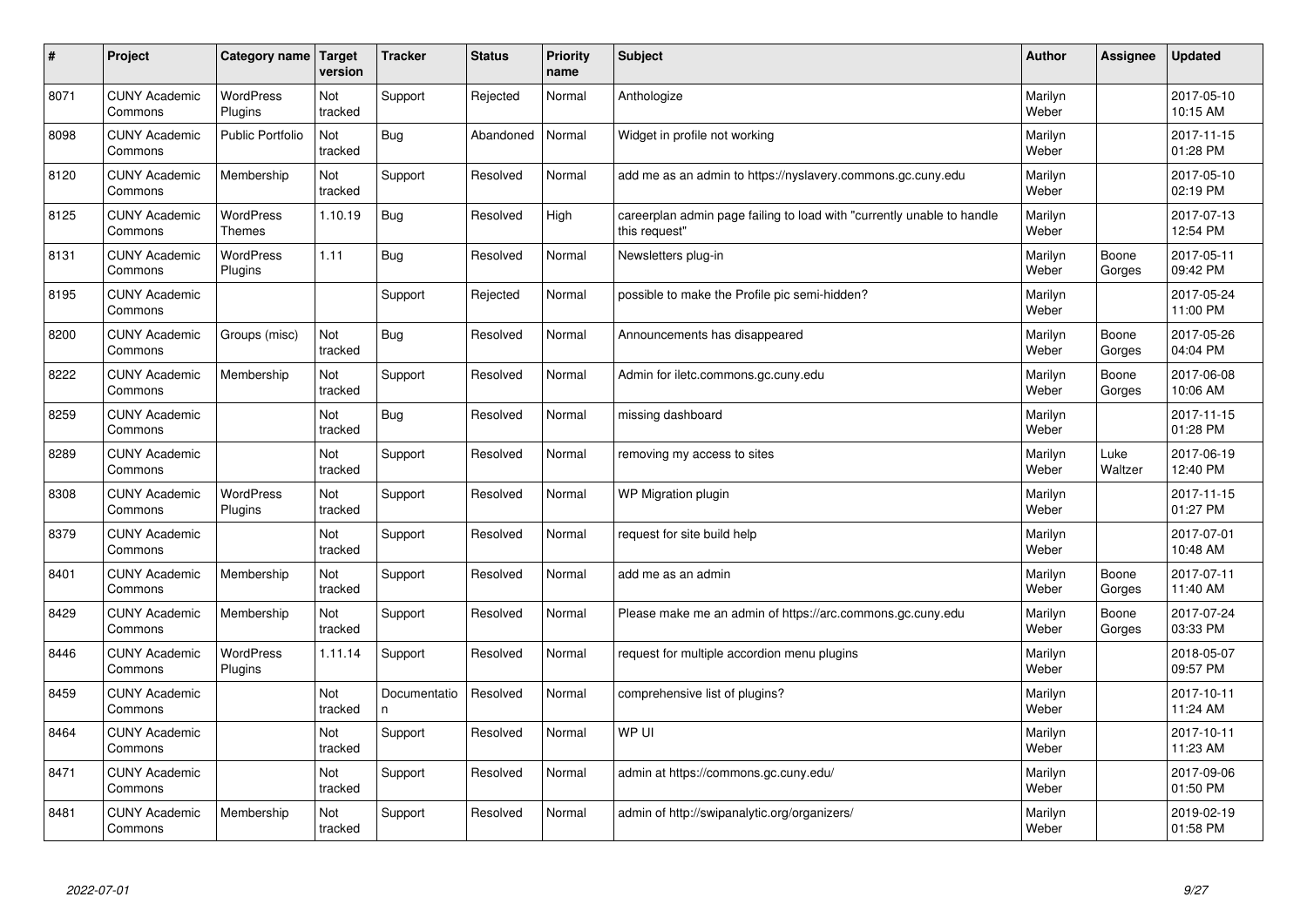| #    | Project                         | Category name   Target      | version        | <b>Tracker</b>     | <b>Status</b> | Priority<br>name | <b>Subject</b>                                                                          | <b>Author</b>    | <b>Assignee</b> | <b>Updated</b>         |
|------|---------------------------------|-----------------------------|----------------|--------------------|---------------|------------------|-----------------------------------------------------------------------------------------|------------------|-----------------|------------------------|
| 8071 | <b>CUNY Academic</b><br>Commons | <b>WordPress</b><br>Plugins | Not<br>tracked | Support            | Rejected      | Normal           | Anthologize                                                                             | Marilyn<br>Weber |                 | 2017-05-10<br>10:15 AM |
| 8098 | <b>CUNY Academic</b><br>Commons | <b>Public Portfolio</b>     | Not<br>tracked | Bug                | Abandoned     | Normal           | Widget in profile not working                                                           | Marilyn<br>Weber |                 | 2017-11-15<br>01:28 PM |
| 8120 | <b>CUNY Academic</b><br>Commons | Membership                  | Not<br>tracked | Support            | Resolved      | Normal           | add me as an admin to https://nyslavery.commons.gc.cuny.edu                             | Marilyn<br>Weber |                 | 2017-05-10<br>02:19 PM |
| 8125 | <b>CUNY Academic</b><br>Commons | WordPress<br><b>Themes</b>  | 1.10.19        | <b>Bug</b>         | Resolved      | High             | careerplan admin page failing to load with "currently unable to handle<br>this request" | Marilyn<br>Weber |                 | 2017-07-13<br>12:54 PM |
| 8131 | <b>CUNY Academic</b><br>Commons | WordPress<br>Plugins        | 1.11           | Bug                | Resolved      | Normal           | Newsletters plug-in                                                                     | Marilyn<br>Weber | Boone<br>Gorges | 2017-05-11<br>09:42 PM |
| 8195 | <b>CUNY Academic</b><br>Commons |                             |                | Support            | Rejected      | Normal           | possible to make the Profile pic semi-hidden?                                           | Marilyn<br>Weber |                 | 2017-05-24<br>11:00 PM |
| 8200 | <b>CUNY Academic</b><br>Commons | Groups (misc)               | Not<br>tracked | Bug                | Resolved      | Normal           | Announcements has disappeared                                                           | Marilyn<br>Weber | Boone<br>Gorges | 2017-05-26<br>04:04 PM |
| 8222 | <b>CUNY Academic</b><br>Commons | Membership                  | Not<br>tracked | Support            | Resolved      | Normal           | Admin for iletc.commons.gc.cuny.edu                                                     | Marilyn<br>Weber | Boone<br>Gorges | 2017-06-08<br>10:06 AM |
| 8259 | <b>CUNY Academic</b><br>Commons |                             | Not<br>tracked | <b>Bug</b>         | Resolved      | Normal           | missing dashboard                                                                       | Marilyn<br>Weber |                 | 2017-11-15<br>01:28 PM |
| 8289 | <b>CUNY Academic</b><br>Commons |                             | Not<br>tracked | Support            | Resolved      | Normal           | removing my access to sites                                                             | Marilyn<br>Weber | Luke<br>Waltzer | 2017-06-19<br>12:40 PM |
| 8308 | <b>CUNY Academic</b><br>Commons | <b>WordPress</b><br>Plugins | Not<br>tracked | Support            | Resolved      | Normal           | WP Migration plugin                                                                     | Marilyn<br>Weber |                 | 2017-11-15<br>01:27 PM |
| 8379 | <b>CUNY Academic</b><br>Commons |                             | Not<br>tracked | Support            | Resolved      | Normal           | request for site build help                                                             | Marilyn<br>Weber |                 | 2017-07-01<br>10:48 AM |
| 8401 | <b>CUNY Academic</b><br>Commons | Membership                  | Not<br>tracked | Support            | Resolved      | Normal           | add me as an admin                                                                      | Marilyn<br>Weber | Boone<br>Gorges | 2017-07-11<br>11:40 AM |
| 8429 | <b>CUNY Academic</b><br>Commons | Membership                  | Not<br>tracked | Support            | Resolved      | Normal           | Please make me an admin of https://arc.commons.gc.cuny.edu                              | Marilyn<br>Weber | Boone<br>Gorges | 2017-07-24<br>03:33 PM |
| 8446 | <b>CUNY Academic</b><br>Commons | <b>WordPress</b><br>Plugins | 1.11.14        | Support            | Resolved      | Normal           | request for multiple accordion menu plugins                                             | Marilyn<br>Weber |                 | 2018-05-07<br>09:57 PM |
| 8459 | <b>CUNY Academic</b><br>Commons |                             | Not<br>tracked | Documentatio<br>n. | Resolved      | Normal           | comprehensive list of plugins?                                                          | Marilyn<br>Weber |                 | 2017-10-11<br>11:24 AM |
| 8464 | <b>CUNY Academic</b><br>Commons |                             | Not<br>tracked | Support            | Resolved      | Normal           | WP UI                                                                                   | Marilyn<br>Weber |                 | 2017-10-11<br>11:23 AM |
| 8471 | <b>CUNY Academic</b><br>Commons |                             | Not<br>tracked | Support            | Resolved      | Normal           | admin at https://commons.gc.cuny.edu/                                                   | Marilyn<br>Weber |                 | 2017-09-06<br>01:50 PM |
| 8481 | <b>CUNY Academic</b><br>Commons | Membership                  | Not<br>tracked | Support            | Resolved      | Normal           | admin of http://swipanalytic.org/organizers/                                            | Marilyn<br>Weber |                 | 2019-02-19<br>01:58 PM |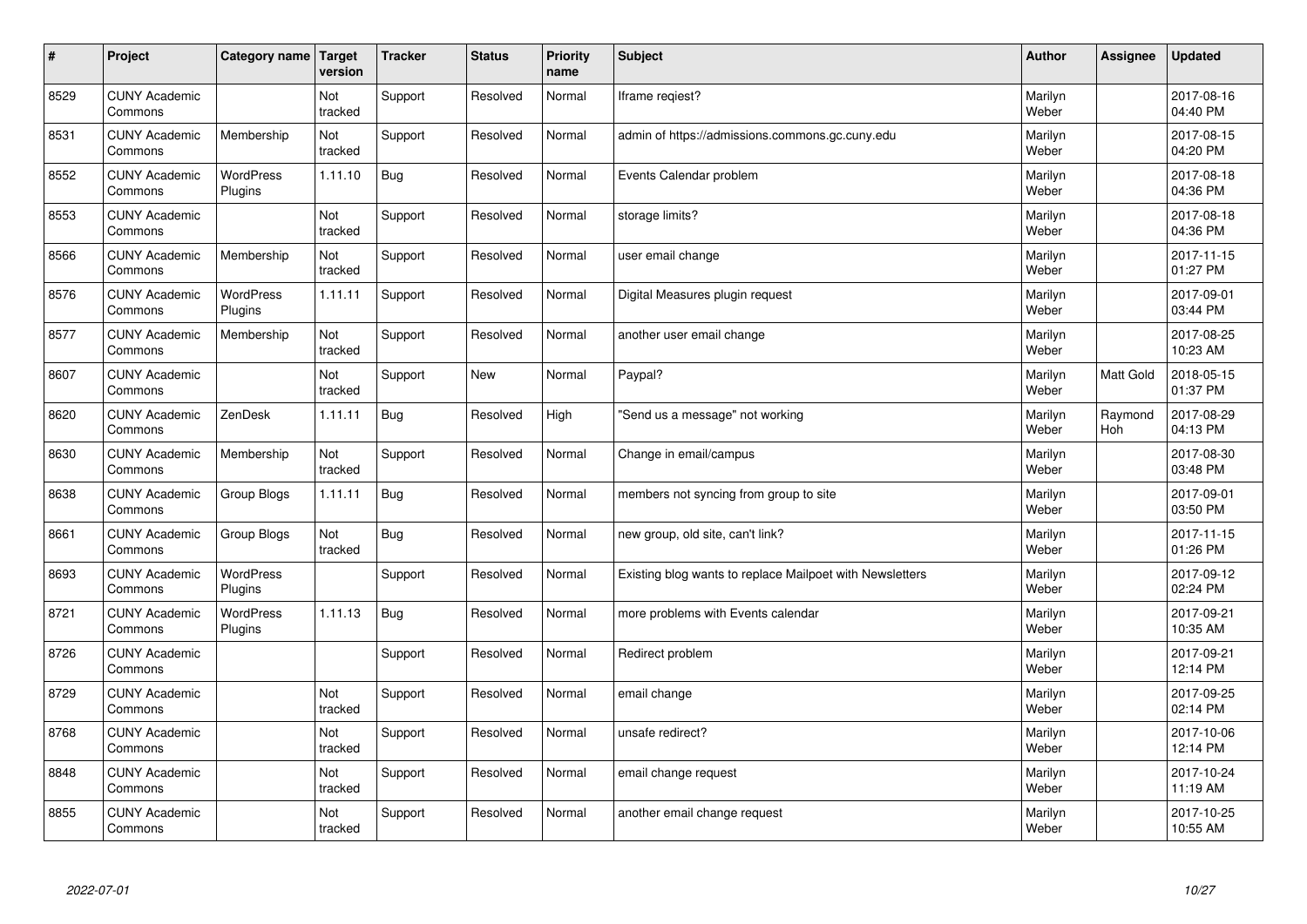| $\vert$ # | Project                         | Category name               | Target<br>version | <b>Tracker</b> | <b>Status</b> | <b>Priority</b><br>name | <b>Subject</b>                                           | <b>Author</b>    | Assignee              | <b>Updated</b>         |
|-----------|---------------------------------|-----------------------------|-------------------|----------------|---------------|-------------------------|----------------------------------------------------------|------------------|-----------------------|------------------------|
| 8529      | <b>CUNY Academic</b><br>Commons |                             | Not<br>tracked    | Support        | Resolved      | Normal                  | Iframe regiest?                                          | Marilyn<br>Weber |                       | 2017-08-16<br>04:40 PM |
| 8531      | <b>CUNY Academic</b><br>Commons | Membership                  | Not<br>tracked    | Support        | Resolved      | Normal                  | admin of https://admissions.commons.gc.cuny.edu          | Marilyn<br>Weber |                       | 2017-08-15<br>04:20 PM |
| 8552      | <b>CUNY Academic</b><br>Commons | <b>WordPress</b><br>Plugins | 1.11.10           | Bug            | Resolved      | Normal                  | Events Calendar problem                                  | Marilyn<br>Weber |                       | 2017-08-18<br>04:36 PM |
| 8553      | <b>CUNY Academic</b><br>Commons |                             | Not<br>tracked    | Support        | Resolved      | Normal                  | storage limits?                                          | Marilyn<br>Weber |                       | 2017-08-18<br>04:36 PM |
| 8566      | <b>CUNY Academic</b><br>Commons | Membership                  | Not<br>tracked    | Support        | Resolved      | Normal                  | user email change                                        | Marilyn<br>Weber |                       | 2017-11-15<br>01:27 PM |
| 8576      | <b>CUNY Academic</b><br>Commons | WordPress<br>Plugins        | 1.11.11           | Support        | Resolved      | Normal                  | Digital Measures plugin request                          | Marilyn<br>Weber |                       | 2017-09-01<br>03:44 PM |
| 8577      | <b>CUNY Academic</b><br>Commons | Membership                  | Not<br>tracked    | Support        | Resolved      | Normal                  | another user email change                                | Marilyn<br>Weber |                       | 2017-08-25<br>10:23 AM |
| 8607      | <b>CUNY Academic</b><br>Commons |                             | Not<br>tracked    | Support        | <b>New</b>    | Normal                  | Paypal?                                                  | Marilyn<br>Weber | <b>Matt Gold</b>      | 2018-05-15<br>01:37 PM |
| 8620      | <b>CUNY Academic</b><br>Commons | ZenDesk                     | 1.11.11           | Bug            | Resolved      | High                    | 'Send us a message" not working                          | Marilyn<br>Weber | Raymond<br><b>Hoh</b> | 2017-08-29<br>04:13 PM |
| 8630      | <b>CUNY Academic</b><br>Commons | Membership                  | Not<br>tracked    | Support        | Resolved      | Normal                  | Change in email/campus                                   | Marilyn<br>Weber |                       | 2017-08-30<br>03:48 PM |
| 8638      | <b>CUNY Academic</b><br>Commons | Group Blogs                 | 1.11.11           | <b>Bug</b>     | Resolved      | Normal                  | members not syncing from group to site                   | Marilyn<br>Weber |                       | 2017-09-01<br>03:50 PM |
| 8661      | <b>CUNY Academic</b><br>Commons | Group Blogs                 | Not<br>tracked    | Bug            | Resolved      | Normal                  | new group, old site, can't link?                         | Marilyn<br>Weber |                       | 2017-11-15<br>01:26 PM |
| 8693      | <b>CUNY Academic</b><br>Commons | WordPress<br>Plugins        |                   | Support        | Resolved      | Normal                  | Existing blog wants to replace Mailpoet with Newsletters | Marilyn<br>Weber |                       | 2017-09-12<br>02:24 PM |
| 8721      | <b>CUNY Academic</b><br>Commons | <b>WordPress</b><br>Plugins | 1.11.13           | Bug            | Resolved      | Normal                  | more problems with Events calendar                       | Marilyn<br>Weber |                       | 2017-09-21<br>10:35 AM |
| 8726      | <b>CUNY Academic</b><br>Commons |                             |                   | Support        | Resolved      | Normal                  | Redirect problem                                         | Marilyn<br>Weber |                       | 2017-09-21<br>12:14 PM |
| 8729      | <b>CUNY Academic</b><br>Commons |                             | Not<br>tracked    | Support        | Resolved      | Normal                  | email change                                             | Marilyn<br>Weber |                       | 2017-09-25<br>02:14 PM |
| 8768      | <b>CUNY Academic</b><br>Commons |                             | Not<br>tracked    | Support        | Resolved      | Normal                  | unsafe redirect?                                         | Marilyn<br>Weber |                       | 2017-10-06<br>12:14 PM |
| 8848      | <b>CUNY Academic</b><br>Commons |                             | Not<br>tracked    | Support        | Resolved      | Normal                  | email change request                                     | Marilyn<br>Weber |                       | 2017-10-24<br>11:19 AM |
| 8855      | <b>CUNY Academic</b><br>Commons |                             | Not<br>tracked    | Support        | Resolved      | Normal                  | another email change request                             | Marilyn<br>Weber |                       | 2017-10-25<br>10:55 AM |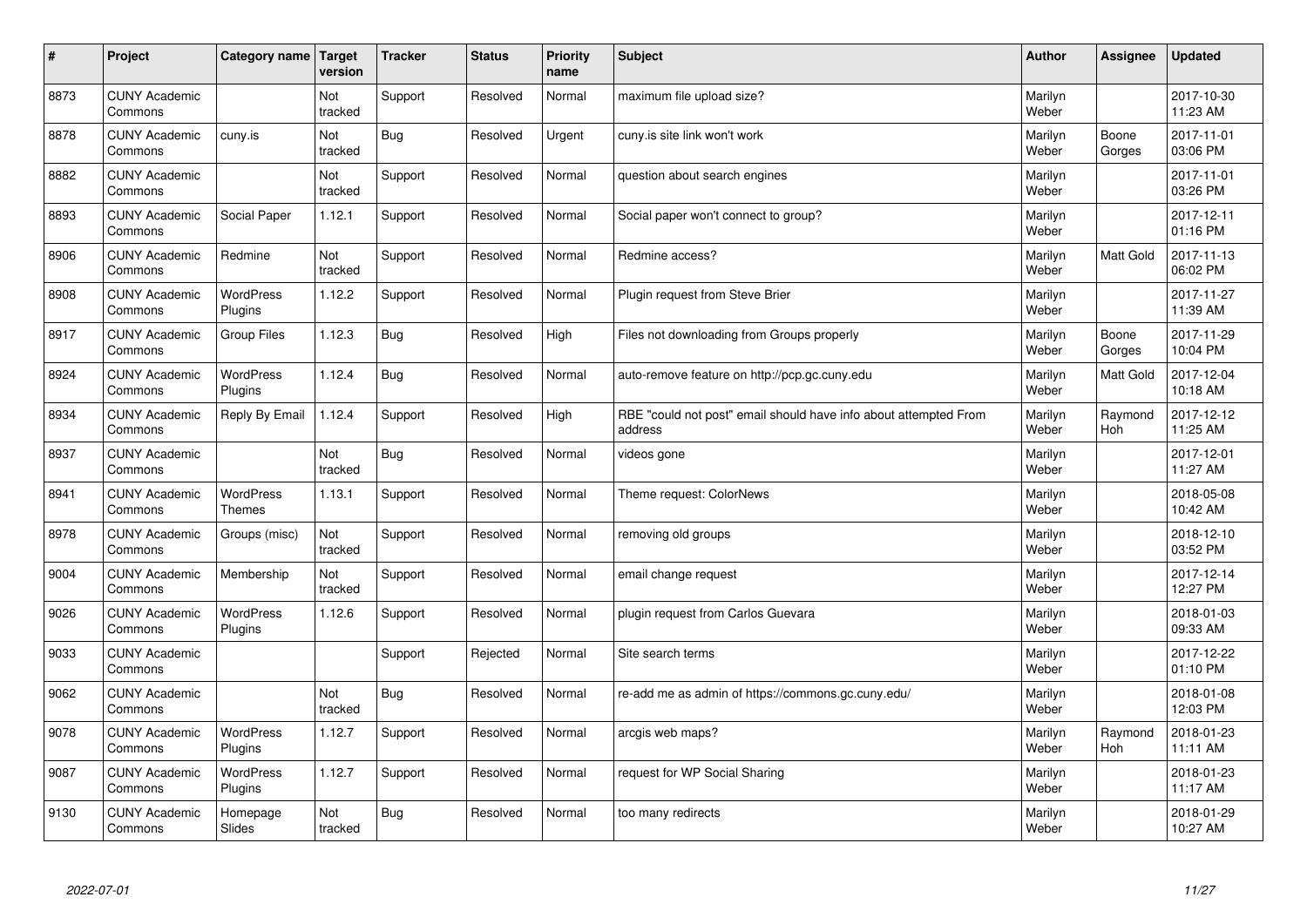| $\sharp$ | Project                         | Category name   Target             | version        | <b>Tracker</b> | <b>Status</b> | <b>Priority</b><br>name | <b>Subject</b>                                                              | <b>Author</b>    | Assignee         | <b>Updated</b>         |
|----------|---------------------------------|------------------------------------|----------------|----------------|---------------|-------------------------|-----------------------------------------------------------------------------|------------------|------------------|------------------------|
| 8873     | <b>CUNY Academic</b><br>Commons |                                    | Not<br>tracked | Support        | Resolved      | Normal                  | maximum file upload size?                                                   | Marilyn<br>Weber |                  | 2017-10-30<br>11:23 AM |
| 8878     | <b>CUNY Academic</b><br>Commons | cuny.is                            | Not<br>tracked | Bug            | Resolved      | Urgent                  | cuny.is site link won't work                                                | Marilyn<br>Weber | Boone<br>Gorges  | 2017-11-01<br>03:06 PM |
| 8882     | <b>CUNY Academic</b><br>Commons |                                    | Not<br>tracked | Support        | Resolved      | Normal                  | question about search engines                                               | Marilyn<br>Weber |                  | 2017-11-01<br>03:26 PM |
| 8893     | <b>CUNY Academic</b><br>Commons | Social Paper                       | 1.12.1         | Support        | Resolved      | Normal                  | Social paper won't connect to group?                                        | Marilyn<br>Weber |                  | 2017-12-11<br>01:16 PM |
| 8906     | <b>CUNY Academic</b><br>Commons | Redmine                            | Not<br>tracked | Support        | Resolved      | Normal                  | Redmine access?                                                             | Marilyn<br>Weber | <b>Matt Gold</b> | 2017-11-13<br>06:02 PM |
| 8908     | <b>CUNY Academic</b><br>Commons | <b>WordPress</b><br><b>Plugins</b> | 1.12.2         | Support        | Resolved      | Normal                  | Plugin request from Steve Brier                                             | Marilyn<br>Weber |                  | 2017-11-27<br>11:39 AM |
| 8917     | <b>CUNY Academic</b><br>Commons | <b>Group Files</b>                 | 1.12.3         | Bug            | Resolved      | High                    | Files not downloading from Groups properly                                  | Marilyn<br>Weber | Boone<br>Gorges  | 2017-11-29<br>10:04 PM |
| 8924     | <b>CUNY Academic</b><br>Commons | WordPress<br>Plugins               | 1.12.4         | <b>Bug</b>     | Resolved      | Normal                  | auto-remove feature on http://pcp.gc.cuny.edu                               | Marilyn<br>Weber | <b>Matt Gold</b> | 2017-12-04<br>10:18 AM |
| 8934     | <b>CUNY Academic</b><br>Commons | Reply By Email                     | 1.12.4         | Support        | Resolved      | High                    | RBE "could not post" email should have info about attempted From<br>address | Marilyn<br>Weber | Raymond<br>Hoh   | 2017-12-12<br>11:25 AM |
| 8937     | <b>CUNY Academic</b><br>Commons |                                    | Not<br>tracked | <b>Bug</b>     | Resolved      | Normal                  | videos gone                                                                 | Marilyn<br>Weber |                  | 2017-12-01<br>11:27 AM |
| 8941     | <b>CUNY Academic</b><br>Commons | <b>WordPress</b><br><b>Themes</b>  | 1.13.1         | Support        | Resolved      | Normal                  | Theme request: ColorNews                                                    | Marilyn<br>Weber |                  | 2018-05-08<br>10:42 AM |
| 8978     | <b>CUNY Academic</b><br>Commons | Groups (misc)                      | Not<br>tracked | Support        | Resolved      | Normal                  | removing old groups                                                         | Marilyn<br>Weber |                  | 2018-12-10<br>03:52 PM |
| 9004     | <b>CUNY Academic</b><br>Commons | Membership                         | Not<br>tracked | Support        | Resolved      | Normal                  | email change request                                                        | Marilyn<br>Weber |                  | 2017-12-14<br>12:27 PM |
| 9026     | <b>CUNY Academic</b><br>Commons | WordPress<br>Plugins               | 1.12.6         | Support        | Resolved      | Normal                  | plugin request from Carlos Guevara                                          | Marilyn<br>Weber |                  | 2018-01-03<br>09:33 AM |
| 9033     | <b>CUNY Academic</b><br>Commons |                                    |                | Support        | Rejected      | Normal                  | Site search terms                                                           | Marilyn<br>Weber |                  | 2017-12-22<br>01:10 PM |
| 9062     | <b>CUNY Academic</b><br>Commons |                                    | Not<br>tracked | Bug            | Resolved      | Normal                  | re-add me as admin of https://commons.gc.cuny.edu/                          | Marilyn<br>Weber |                  | 2018-01-08<br>12:03 PM |
| 9078     | <b>CUNY Academic</b><br>Commons | WordPress<br>Plugins               | 1.12.7         | Support        | Resolved      | Normal                  | arcgis web maps?                                                            | Marilyn<br>Weber | Raymond<br>Hoh   | 2018-01-23<br>11:11 AM |
| 9087     | <b>CUNY Academic</b><br>Commons | <b>WordPress</b><br>Plugins        | 1.12.7         | Support        | Resolved      | Normal                  | request for WP Social Sharing                                               | Marilyn<br>Weber |                  | 2018-01-23<br>11:17 AM |
| 9130     | <b>CUNY Academic</b><br>Commons | Homepage<br>Slides                 | Not<br>tracked | Bug            | Resolved      | Normal                  | too many redirects                                                          | Marilyn<br>Weber |                  | 2018-01-29<br>10:27 AM |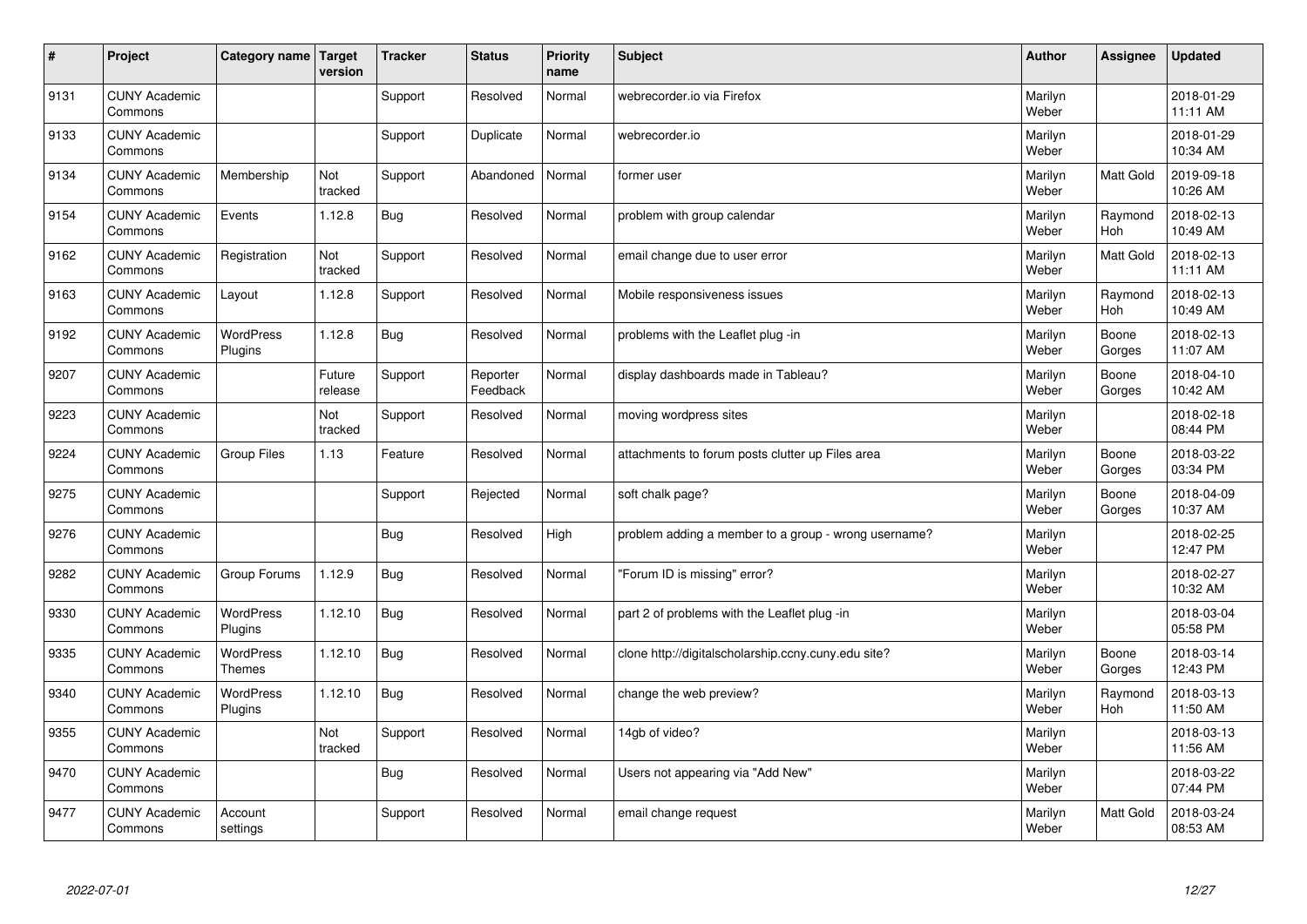| $\sharp$ | Project                         | Category name   Target      | version           | <b>Tracker</b> | <b>Status</b>        | <b>Priority</b><br>name | <b>Subject</b>                                       | <b>Author</b>    | Assignee              | <b>Updated</b>         |
|----------|---------------------------------|-----------------------------|-------------------|----------------|----------------------|-------------------------|------------------------------------------------------|------------------|-----------------------|------------------------|
| 9131     | <b>CUNY Academic</b><br>Commons |                             |                   | Support        | Resolved             | Normal                  | webrecorder.jo via Firefox                           | Marilyn<br>Weber |                       | 2018-01-29<br>11:11 AM |
| 9133     | <b>CUNY Academic</b><br>Commons |                             |                   | Support        | Duplicate            | Normal                  | webrecorder.io                                       | Marilyn<br>Weber |                       | 2018-01-29<br>10:34 AM |
| 9134     | <b>CUNY Academic</b><br>Commons | Membership                  | Not<br>tracked    | Support        | Abandoned            | Normal                  | former user                                          | Marilyn<br>Weber | Matt Gold             | 2019-09-18<br>10:26 AM |
| 9154     | <b>CUNY Academic</b><br>Commons | Events                      | 1.12.8            | Bug            | Resolved             | Normal                  | problem with group calendar                          | Marilyn<br>Weber | Raymond<br>Hoh        | 2018-02-13<br>10:49 AM |
| 9162     | <b>CUNY Academic</b><br>Commons | Registration                | Not<br>tracked    | Support        | Resolved             | Normal                  | email change due to user error                       | Marilyn<br>Weber | <b>Matt Gold</b>      | 2018-02-13<br>11:11 AM |
| 9163     | <b>CUNY Academic</b><br>Commons | Layout                      | 1.12.8            | Support        | Resolved             | Normal                  | Mobile responsiveness issues                         | Marilyn<br>Weber | Raymond<br>Hoh        | 2018-02-13<br>10:49 AM |
| 9192     | <b>CUNY Academic</b><br>Commons | <b>WordPress</b><br>Plugins | 1.12.8            | Bug            | Resolved             | Normal                  | problems with the Leaflet plug -in                   | Marilyn<br>Weber | Boone<br>Gorges       | 2018-02-13<br>11:07 AM |
| 9207     | <b>CUNY Academic</b><br>Commons |                             | Future<br>release | Support        | Reporter<br>Feedback | Normal                  | display dashboards made in Tableau?                  | Marilyn<br>Weber | Boone<br>Gorges       | 2018-04-10<br>10:42 AM |
| 9223     | <b>CUNY Academic</b><br>Commons |                             | Not<br>tracked    | Support        | Resolved             | Normal                  | moving wordpress sites                               | Marilyn<br>Weber |                       | 2018-02-18<br>08:44 PM |
| 9224     | <b>CUNY Academic</b><br>Commons | <b>Group Files</b>          | 1.13              | Feature        | Resolved             | Normal                  | attachments to forum posts clutter up Files area     | Marilyn<br>Weber | Boone<br>Gorges       | 2018-03-22<br>03:34 PM |
| 9275     | <b>CUNY Academic</b><br>Commons |                             |                   | Support        | Rejected             | Normal                  | soft chalk page?                                     | Marilyn<br>Weber | Boone<br>Gorges       | 2018-04-09<br>10:37 AM |
| 9276     | <b>CUNY Academic</b><br>Commons |                             |                   | <b>Bug</b>     | Resolved             | High                    | problem adding a member to a group - wrong username? | Marilyn<br>Weber |                       | 2018-02-25<br>12:47 PM |
| 9282     | <b>CUNY Academic</b><br>Commons | Group Forums                | 1.12.9            | Bug            | Resolved             | Normal                  | 'Forum ID is missing" error?                         | Marilyn<br>Weber |                       | 2018-02-27<br>10:32 AM |
| 9330     | <b>CUNY Academic</b><br>Commons | WordPress<br>Plugins        | 1.12.10           | Bug            | Resolved             | Normal                  | part 2 of problems with the Leaflet plug -in         | Marilyn<br>Weber |                       | 2018-03-04<br>05:58 PM |
| 9335     | <b>CUNY Academic</b><br>Commons | WordPress<br><b>Themes</b>  | 1.12.10           | <b>Bug</b>     | Resolved             | Normal                  | clone http://digitalscholarship.ccny.cuny.edu site?  | Marilyn<br>Weber | Boone<br>Gorges       | 2018-03-14<br>12:43 PM |
| 9340     | <b>CUNY Academic</b><br>Commons | <b>WordPress</b><br>Plugins | 1.12.10           | Bug            | Resolved             | Normal                  | change the web preview?                              | Marilyn<br>Weber | Raymond<br><b>Hoh</b> | 2018-03-13<br>11:50 AM |
| 9355     | <b>CUNY Academic</b><br>Commons |                             | Not<br>tracked    | Support        | Resolved             | Normal                  | 14gb of video?                                       | Marilyn<br>Weber |                       | 2018-03-13<br>11:56 AM |
| 9470     | <b>CUNY Academic</b><br>Commons |                             |                   | <b>Bug</b>     | Resolved             | Normal                  | Users not appearing via "Add New"                    | Marilyn<br>Weber |                       | 2018-03-22<br>07:44 PM |
| 9477     | <b>CUNY Academic</b><br>Commons | Account<br>settings         |                   | Support        | Resolved             | Normal                  | email change request                                 | Marilyn<br>Weber | <b>Matt Gold</b>      | 2018-03-24<br>08:53 AM |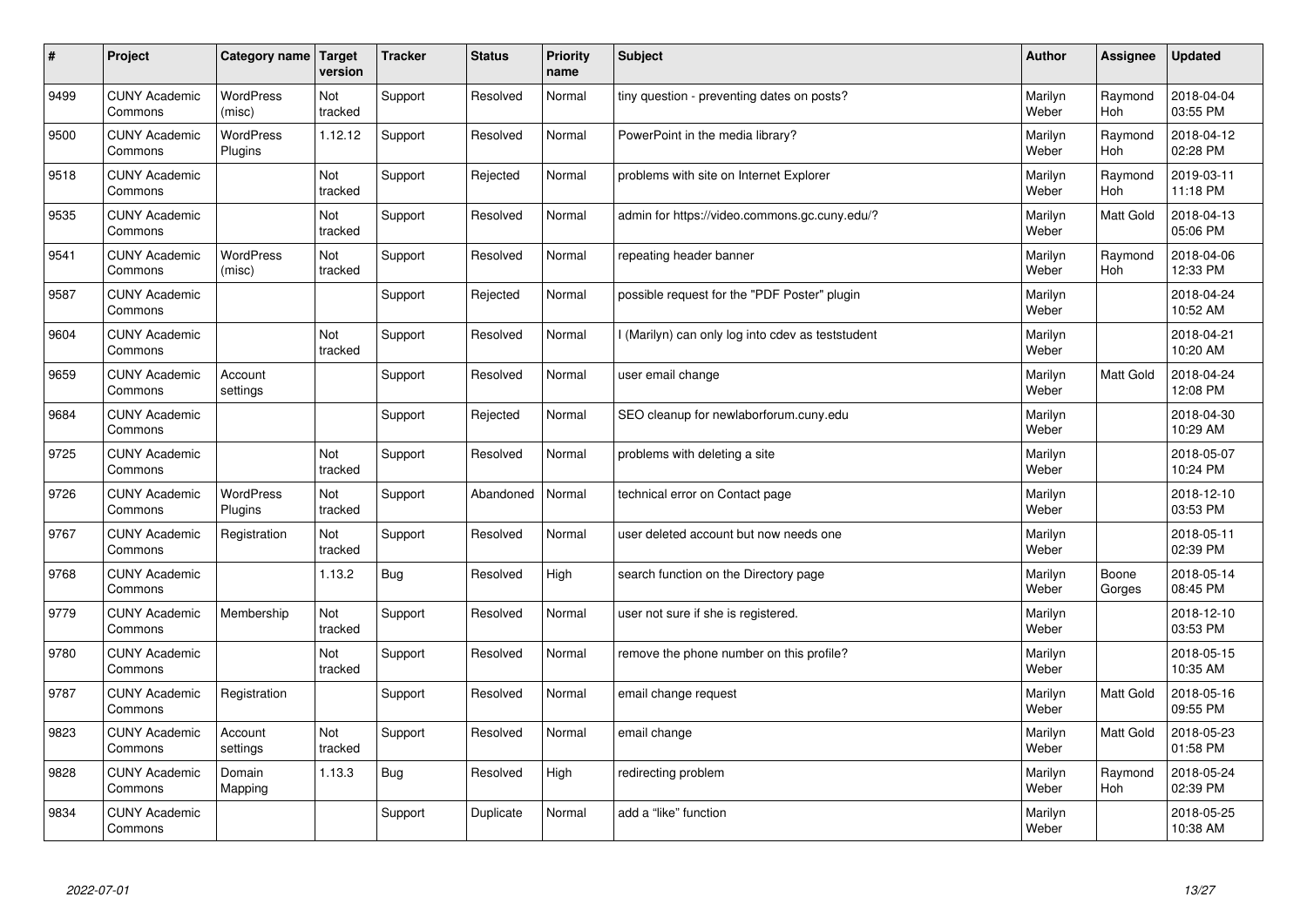| #    | Project                         | Category name   Target      | version        | <b>Tracker</b> | <b>Status</b> | Priority<br>name | <b>Subject</b>                                    | <b>Author</b>    | <b>Assignee</b>       | <b>Updated</b>         |
|------|---------------------------------|-----------------------------|----------------|----------------|---------------|------------------|---------------------------------------------------|------------------|-----------------------|------------------------|
| 9499 | <b>CUNY Academic</b><br>Commons | <b>WordPress</b><br>(misc)  | Not<br>tracked | Support        | Resolved      | Normal           | tiny question - preventing dates on posts?        | Marilyn<br>Weber | Raymond<br><b>Hoh</b> | 2018-04-04<br>03:55 PM |
| 9500 | <b>CUNY Academic</b><br>Commons | <b>WordPress</b><br>Plugins | 1.12.12        | Support        | Resolved      | Normal           | PowerPoint in the media library?                  | Marilyn<br>Weber | Raymond<br>Hoh        | 2018-04-12<br>02:28 PM |
| 9518 | <b>CUNY Academic</b><br>Commons |                             | Not<br>tracked | Support        | Rejected      | Normal           | problems with site on Internet Explorer           | Marilyn<br>Weber | Raymond<br><b>Hoh</b> | 2019-03-11<br>11:18 PM |
| 9535 | <b>CUNY Academic</b><br>Commons |                             | Not<br>tracked | Support        | Resolved      | Normal           | admin for https://video.commons.gc.cuny.edu/?     | Marilyn<br>Weber | Matt Gold             | 2018-04-13<br>05:06 PM |
| 9541 | <b>CUNY Academic</b><br>Commons | <b>WordPress</b><br>(misc)  | Not<br>tracked | Support        | Resolved      | Normal           | repeating header banner                           | Marilyn<br>Weber | Raymond<br><b>Hoh</b> | 2018-04-06<br>12:33 PM |
| 9587 | <b>CUNY Academic</b><br>Commons |                             |                | Support        | Rejected      | Normal           | possible request for the "PDF Poster" plugin      | Marilyn<br>Weber |                       | 2018-04-24<br>10:52 AM |
| 9604 | <b>CUNY Academic</b><br>Commons |                             | Not<br>tracked | Support        | Resolved      | Normal           | I (Marilyn) can only log into cdev as teststudent | Marilyn<br>Weber |                       | 2018-04-21<br>10:20 AM |
| 9659 | <b>CUNY Academic</b><br>Commons | Account<br>settings         |                | Support        | Resolved      | Normal           | user email change                                 | Marilyn<br>Weber | Matt Gold             | 2018-04-24<br>12:08 PM |
| 9684 | <b>CUNY Academic</b><br>Commons |                             |                | Support        | Rejected      | Normal           | SEO cleanup for newlaborforum.cuny.edu            | Marilyn<br>Weber |                       | 2018-04-30<br>10:29 AM |
| 9725 | <b>CUNY Academic</b><br>Commons |                             | Not<br>tracked | Support        | Resolved      | Normal           | problems with deleting a site                     | Marilyn<br>Weber |                       | 2018-05-07<br>10:24 PM |
| 9726 | <b>CUNY Academic</b><br>Commons | <b>WordPress</b><br>Plugins | Not<br>tracked | Support        | Abandoned     | Normal           | technical error on Contact page                   | Marilyn<br>Weber |                       | 2018-12-10<br>03:53 PM |
| 9767 | <b>CUNY Academic</b><br>Commons | Registration                | Not<br>tracked | Support        | Resolved      | Normal           | user deleted account but now needs one            | Marilyn<br>Weber |                       | 2018-05-11<br>02:39 PM |
| 9768 | <b>CUNY Academic</b><br>Commons |                             | 1.13.2         | <b>Bug</b>     | Resolved      | High             | search function on the Directory page             | Marilyn<br>Weber | Boone<br>Gorges       | 2018-05-14<br>08:45 PM |
| 9779 | <b>CUNY Academic</b><br>Commons | Membership                  | Not<br>tracked | Support        | Resolved      | Normal           | user not sure if she is registered.               | Marilyn<br>Weber |                       | 2018-12-10<br>03:53 PM |
| 9780 | <b>CUNY Academic</b><br>Commons |                             | Not<br>tracked | Support        | Resolved      | Normal           | remove the phone number on this profile?          | Marilyn<br>Weber |                       | 2018-05-15<br>10:35 AM |
| 9787 | <b>CUNY Academic</b><br>Commons | Registration                |                | Support        | Resolved      | Normal           | email change request                              | Marilyn<br>Weber | Matt Gold             | 2018-05-16<br>09:55 PM |
| 9823 | <b>CUNY Academic</b><br>Commons | Account<br>settings         | Not<br>tracked | Support        | Resolved      | Normal           | email change                                      | Marilyn<br>Weber | Matt Gold             | 2018-05-23<br>01:58 PM |
| 9828 | <b>CUNY Academic</b><br>Commons | Domain<br>Mapping           | 1.13.3         | Bug            | Resolved      | High             | redirecting problem                               | Marilyn<br>Weber | Raymond<br><b>Hoh</b> | 2018-05-24<br>02:39 PM |
| 9834 | <b>CUNY Academic</b><br>Commons |                             |                | Support        | Duplicate     | Normal           | add a "like" function                             | Marilyn<br>Weber |                       | 2018-05-25<br>10:38 AM |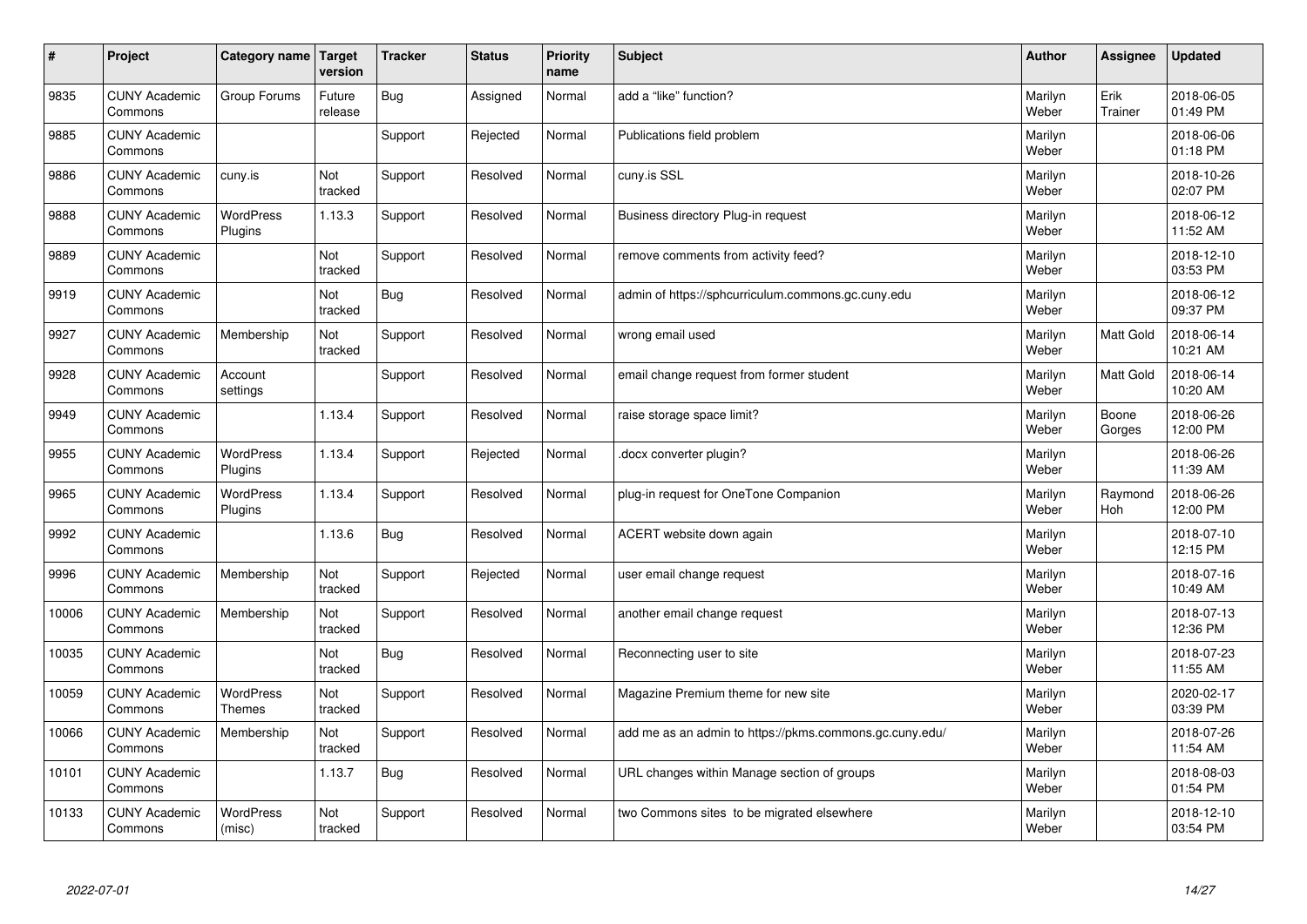| $\vert$ # | Project                         | <b>Category name</b>              | Target<br>version | <b>Tracker</b> | <b>Status</b> | <b>Priority</b><br>name | <b>Subject</b>                                          | <b>Author</b>    | Assignee              | <b>Updated</b>         |
|-----------|---------------------------------|-----------------------------------|-------------------|----------------|---------------|-------------------------|---------------------------------------------------------|------------------|-----------------------|------------------------|
| 9835      | <b>CUNY Academic</b><br>Commons | Group Forums                      | Future<br>release | <b>Bug</b>     | Assigned      | Normal                  | add a "like" function?                                  | Marilyn<br>Weber | Erik<br>Trainer       | 2018-06-05<br>01:49 PM |
| 9885      | <b>CUNY Academic</b><br>Commons |                                   |                   | Support        | Rejected      | Normal                  | Publications field problem                              | Marilyn<br>Weber |                       | 2018-06-06<br>01:18 PM |
| 9886      | <b>CUNY Academic</b><br>Commons | cuny.is                           | Not<br>tracked    | Support        | Resolved      | Normal                  | cuny.is SSL                                             | Marilyn<br>Weber |                       | 2018-10-26<br>02:07 PM |
| 9888      | <b>CUNY Academic</b><br>Commons | <b>WordPress</b><br>Plugins       | 1.13.3            | Support        | Resolved      | Normal                  | Business directory Plug-in request                      | Marilyn<br>Weber |                       | 2018-06-12<br>11:52 AM |
| 9889      | <b>CUNY Academic</b><br>Commons |                                   | Not<br>tracked    | Support        | Resolved      | Normal                  | remove comments from activity feed?                     | Marilyn<br>Weber |                       | 2018-12-10<br>03:53 PM |
| 9919      | <b>CUNY Academic</b><br>Commons |                                   | Not<br>tracked    | Bug            | Resolved      | Normal                  | admin of https://sphcurriculum.commons.gc.cuny.edu      | Marilyn<br>Weber |                       | 2018-06-12<br>09:37 PM |
| 9927      | <b>CUNY Academic</b><br>Commons | Membership                        | Not<br>tracked    | Support        | Resolved      | Normal                  | wrong email used                                        | Marilyn<br>Weber | <b>Matt Gold</b>      | 2018-06-14<br>10:21 AM |
| 9928      | <b>CUNY Academic</b><br>Commons | Account<br>settings               |                   | Support        | Resolved      | Normal                  | email change request from former student                | Marilyn<br>Weber | Matt Gold             | 2018-06-14<br>10:20 AM |
| 9949      | <b>CUNY Academic</b><br>Commons |                                   | 1.13.4            | Support        | Resolved      | Normal                  | raise storage space limit?                              | Marilyn<br>Weber | Boone<br>Gorges       | 2018-06-26<br>12:00 PM |
| 9955      | <b>CUNY Academic</b><br>Commons | <b>WordPress</b><br>Plugins       | 1.13.4            | Support        | Rejected      | Normal                  | docx converter plugin?                                  | Marilyn<br>Weber |                       | 2018-06-26<br>11:39 AM |
| 9965      | <b>CUNY Academic</b><br>Commons | <b>WordPress</b><br>Plugins       | 1.13.4            | Support        | Resolved      | Normal                  | plug-in request for OneTone Companion                   | Marilyn<br>Weber | Raymond<br><b>Hoh</b> | 2018-06-26<br>12:00 PM |
| 9992      | <b>CUNY Academic</b><br>Commons |                                   | 1.13.6            | Bug            | Resolved      | Normal                  | ACERT website down again                                | Marilyn<br>Weber |                       | 2018-07-10<br>12:15 PM |
| 9996      | <b>CUNY Academic</b><br>Commons | Membership                        | Not<br>tracked    | Support        | Rejected      | Normal                  | user email change request                               | Marilyn<br>Weber |                       | 2018-07-16<br>10:49 AM |
| 10006     | <b>CUNY Academic</b><br>Commons | Membership                        | Not<br>tracked    | Support        | Resolved      | Normal                  | another email change request                            | Marilyn<br>Weber |                       | 2018-07-13<br>12:36 PM |
| 10035     | <b>CUNY Academic</b><br>Commons |                                   | Not<br>tracked    | Bug            | Resolved      | Normal                  | Reconnecting user to site                               | Marilyn<br>Weber |                       | 2018-07-23<br>11:55 AM |
| 10059     | <b>CUNY Academic</b><br>Commons | <b>WordPress</b><br><b>Themes</b> | Not<br>tracked    | Support        | Resolved      | Normal                  | Magazine Premium theme for new site                     | Marilyn<br>Weber |                       | 2020-02-17<br>03:39 PM |
| 10066     | <b>CUNY Academic</b><br>Commons | Membership                        | Not<br>tracked    | Support        | Resolved      | Normal                  | add me as an admin to https://pkms.commons.gc.cuny.edu/ | Marilyn<br>Weber |                       | 2018-07-26<br>11:54 AM |
| 10101     | <b>CUNY Academic</b><br>Commons |                                   | 1.13.7            | <b>Bug</b>     | Resolved      | Normal                  | URL changes within Manage section of groups             | Marilyn<br>Weber |                       | 2018-08-03<br>01:54 PM |
| 10133     | <b>CUNY Academic</b><br>Commons | <b>WordPress</b><br>(misc)        | Not<br>tracked    | Support        | Resolved      | Normal                  | two Commons sites to be migrated elsewhere              | Marilyn<br>Weber |                       | 2018-12-10<br>03:54 PM |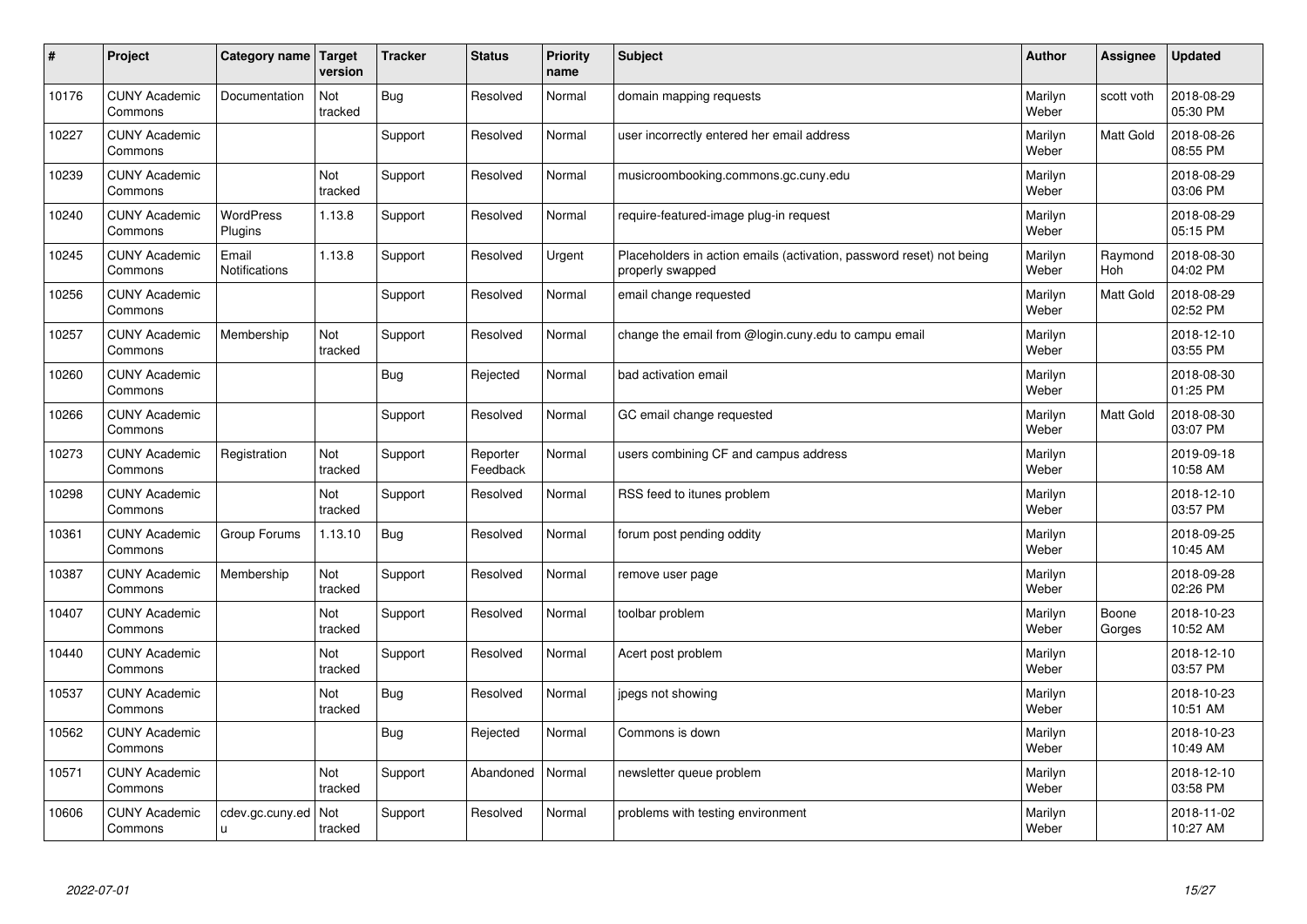| #     | Project                         | Category name                 | Target<br>version | <b>Tracker</b> | <b>Status</b>        | <b>Priority</b><br>name | <b>Subject</b>                                                                           | <b>Author</b>    | Assignee        | <b>Updated</b>         |
|-------|---------------------------------|-------------------------------|-------------------|----------------|----------------------|-------------------------|------------------------------------------------------------------------------------------|------------------|-----------------|------------------------|
| 10176 | <b>CUNY Academic</b><br>Commons | Documentation                 | Not<br>tracked    | <b>Bug</b>     | Resolved             | Normal                  | domain mapping requests                                                                  | Marilyn<br>Weber | scott voth      | 2018-08-29<br>05:30 PM |
| 10227 | <b>CUNY Academic</b><br>Commons |                               |                   | Support        | Resolved             | Normal                  | user incorrectly entered her email address                                               | Marilyn<br>Weber | Matt Gold       | 2018-08-26<br>08:55 PM |
| 10239 | <b>CUNY Academic</b><br>Commons |                               | Not<br>tracked    | Support        | Resolved             | Normal                  | musicroombooking.commons.gc.cuny.edu                                                     | Marilyn<br>Weber |                 | 2018-08-29<br>03:06 PM |
| 10240 | <b>CUNY Academic</b><br>Commons | <b>WordPress</b><br>Plugins   | 1.13.8            | Support        | Resolved             | Normal                  | require-featured-image plug-in request                                                   | Marilyn<br>Weber |                 | 2018-08-29<br>05:15 PM |
| 10245 | <b>CUNY Academic</b><br>Commons | Email<br><b>Notifications</b> | 1.13.8            | Support        | Resolved             | Urgent                  | Placeholders in action emails (activation, password reset) not being<br>properly swapped | Marilyn<br>Weber | Raymond<br>Hoh  | 2018-08-30<br>04:02 PM |
| 10256 | <b>CUNY Academic</b><br>Commons |                               |                   | Support        | Resolved             | Normal                  | email change requested                                                                   | Marilyn<br>Weber | Matt Gold       | 2018-08-29<br>02:52 PM |
| 10257 | <b>CUNY Academic</b><br>Commons | Membership                    | Not<br>tracked    | Support        | Resolved             | Normal                  | change the email from @login.cuny.edu to campu email                                     | Marilyn<br>Weber |                 | 2018-12-10<br>03:55 PM |
| 10260 | <b>CUNY Academic</b><br>Commons |                               |                   | Bug            | Rejected             | Normal                  | bad activation email                                                                     | Marilyn<br>Weber |                 | 2018-08-30<br>01:25 PM |
| 10266 | <b>CUNY Academic</b><br>Commons |                               |                   | Support        | Resolved             | Normal                  | GC email change requested                                                                | Marilyn<br>Weber | Matt Gold       | 2018-08-30<br>03:07 PM |
| 10273 | <b>CUNY Academic</b><br>Commons | Registration                  | Not<br>tracked    | Support        | Reporter<br>Feedback | Normal                  | users combining CF and campus address                                                    | Marilyn<br>Weber |                 | 2019-09-18<br>10:58 AM |
| 10298 | <b>CUNY Academic</b><br>Commons |                               | Not<br>tracked    | Support        | Resolved             | Normal                  | RSS feed to itunes problem                                                               | Marilyn<br>Weber |                 | 2018-12-10<br>03:57 PM |
| 10361 | <b>CUNY Academic</b><br>Commons | Group Forums                  | 1.13.10           | <b>Bug</b>     | Resolved             | Normal                  | forum post pending oddity                                                                | Marilyn<br>Weber |                 | 2018-09-25<br>10:45 AM |
| 10387 | <b>CUNY Academic</b><br>Commons | Membership                    | Not<br>tracked    | Support        | Resolved             | Normal                  | remove user page                                                                         | Marilyn<br>Weber |                 | 2018-09-28<br>02:26 PM |
| 10407 | <b>CUNY Academic</b><br>Commons |                               | Not<br>tracked    | Support        | Resolved             | Normal                  | toolbar problem                                                                          | Marilyn<br>Weber | Boone<br>Gorges | 2018-10-23<br>10:52 AM |
| 10440 | <b>CUNY Academic</b><br>Commons |                               | Not<br>tracked    | Support        | Resolved             | Normal                  | Acert post problem                                                                       | Marilyn<br>Weber |                 | 2018-12-10<br>03:57 PM |
| 10537 | <b>CUNY Academic</b><br>Commons |                               | Not<br>tracked    | <b>Bug</b>     | Resolved             | Normal                  | jpegs not showing                                                                        | Marilyn<br>Weber |                 | 2018-10-23<br>10:51 AM |
| 10562 | <b>CUNY Academic</b><br>Commons |                               |                   | Bug            | Rejected             | Normal                  | Commons is down                                                                          | Marilyn<br>Weber |                 | 2018-10-23<br>10:49 AM |
| 10571 | <b>CUNY Academic</b><br>Commons |                               | Not<br>tracked    | Support        | Abandoned            | Normal                  | newsletter queue problem                                                                 | Marilyn<br>Weber |                 | 2018-12-10<br>03:58 PM |
| 10606 | <b>CUNY Academic</b><br>Commons | cdev.gc.cuny.ed<br>u.         | Not<br>tracked    | Support        | Resolved             | Normal                  | problems with testing environment                                                        | Marilyn<br>Weber |                 | 2018-11-02<br>10:27 AM |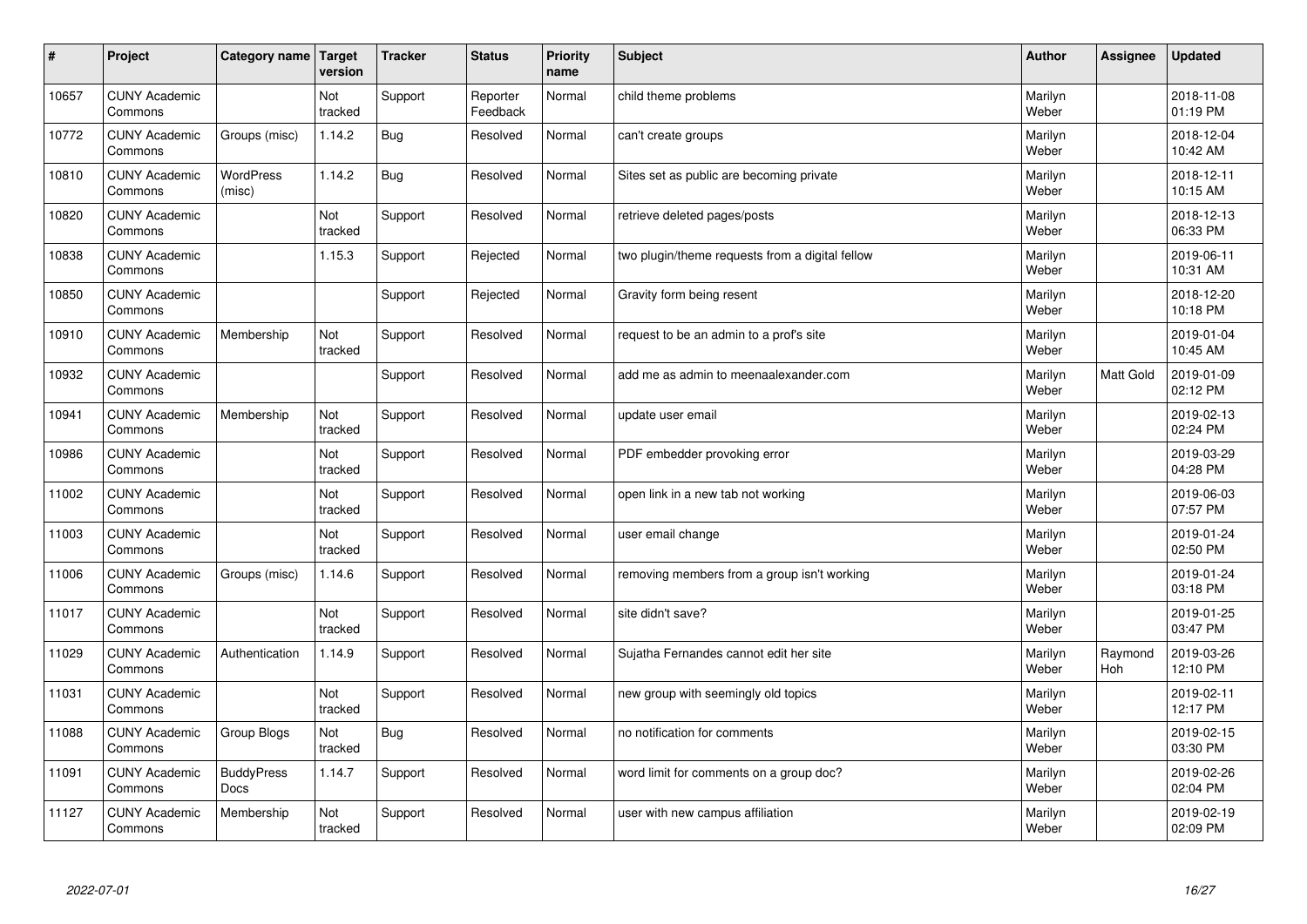| #     | Project                         | Category name   Target     | version        | <b>Tracker</b> | <b>Status</b>        | <b>Priority</b><br>name | <b>Subject</b>                                  | <b>Author</b>    | Assignee       | <b>Updated</b>         |
|-------|---------------------------------|----------------------------|----------------|----------------|----------------------|-------------------------|-------------------------------------------------|------------------|----------------|------------------------|
| 10657 | <b>CUNY Academic</b><br>Commons |                            | Not<br>tracked | Support        | Reporter<br>Feedback | Normal                  | child theme problems                            | Marilyn<br>Weber |                | 2018-11-08<br>01:19 PM |
| 10772 | <b>CUNY Academic</b><br>Commons | Groups (misc)              | 1.14.2         | <b>Bug</b>     | Resolved             | Normal                  | can't create groups                             | Marilyn<br>Weber |                | 2018-12-04<br>10:42 AM |
| 10810 | <b>CUNY Academic</b><br>Commons | <b>WordPress</b><br>(misc) | 1.14.2         | <b>Bug</b>     | Resolved             | Normal                  | Sites set as public are becoming private        | Marilyn<br>Weber |                | 2018-12-11<br>10:15 AM |
| 10820 | <b>CUNY Academic</b><br>Commons |                            | Not<br>tracked | Support        | Resolved             | Normal                  | retrieve deleted pages/posts                    | Marilyn<br>Weber |                | 2018-12-13<br>06:33 PM |
| 10838 | <b>CUNY Academic</b><br>Commons |                            | 1.15.3         | Support        | Rejected             | Normal                  | two plugin/theme requests from a digital fellow | Marilyn<br>Weber |                | 2019-06-11<br>10:31 AM |
| 10850 | <b>CUNY Academic</b><br>Commons |                            |                | Support        | Rejected             | Normal                  | Gravity form being resent                       | Marilyn<br>Weber |                | 2018-12-20<br>10:18 PM |
| 10910 | <b>CUNY Academic</b><br>Commons | Membership                 | Not<br>tracked | Support        | Resolved             | Normal                  | request to be an admin to a prof's site         | Marilyn<br>Weber |                | 2019-01-04<br>10:45 AM |
| 10932 | <b>CUNY Academic</b><br>Commons |                            |                | Support        | Resolved             | Normal                  | add me as admin to meenaalexander.com           | Marilyn<br>Weber | Matt Gold      | 2019-01-09<br>02:12 PM |
| 10941 | <b>CUNY Academic</b><br>Commons | Membership                 | Not<br>tracked | Support        | Resolved             | Normal                  | update user email                               | Marilyn<br>Weber |                | 2019-02-13<br>02:24 PM |
| 10986 | <b>CUNY Academic</b><br>Commons |                            | Not<br>tracked | Support        | Resolved             | Normal                  | PDF embedder provoking error                    | Marilyn<br>Weber |                | 2019-03-29<br>04:28 PM |
| 11002 | <b>CUNY Academic</b><br>Commons |                            | Not<br>tracked | Support        | Resolved             | Normal                  | open link in a new tab not working              | Marilyn<br>Weber |                | 2019-06-03<br>07:57 PM |
| 11003 | <b>CUNY Academic</b><br>Commons |                            | Not<br>tracked | Support        | Resolved             | Normal                  | user email change                               | Marilyn<br>Weber |                | 2019-01-24<br>02:50 PM |
| 11006 | <b>CUNY Academic</b><br>Commons | Groups (misc)              | 1.14.6         | Support        | Resolved             | Normal                  | removing members from a group isn't working     | Marilyn<br>Weber |                | 2019-01-24<br>03:18 PM |
| 11017 | <b>CUNY Academic</b><br>Commons |                            | Not<br>tracked | Support        | Resolved             | Normal                  | site didn't save?                               | Marilyn<br>Weber |                | 2019-01-25<br>03:47 PM |
| 11029 | <b>CUNY Academic</b><br>Commons | Authentication             | 1.14.9         | Support        | Resolved             | Normal                  | Sujatha Fernandes cannot edit her site          | Marilyn<br>Weber | Raymond<br>Hoh | 2019-03-26<br>12:10 PM |
| 11031 | <b>CUNY Academic</b><br>Commons |                            | Not<br>tracked | Support        | Resolved             | Normal                  | new group with seemingly old topics             | Marilyn<br>Weber |                | 2019-02-11<br>12:17 PM |
| 11088 | <b>CUNY Academic</b><br>Commons | Group Blogs                | Not<br>tracked | <b>Bug</b>     | Resolved             | Normal                  | no notification for comments                    | Marilyn<br>Weber |                | 2019-02-15<br>03:30 PM |
| 11091 | <b>CUNY Academic</b><br>Commons | <b>BuddyPress</b><br>Docs  | 1.14.7         | Support        | Resolved             | Normal                  | word limit for comments on a group doc?         | Marilyn<br>Weber |                | 2019-02-26<br>02:04 PM |
| 11127 | <b>CUNY Academic</b><br>Commons | Membership                 | Not<br>tracked | Support        | Resolved             | Normal                  | user with new campus affiliation                | Marilyn<br>Weber |                | 2019-02-19<br>02:09 PM |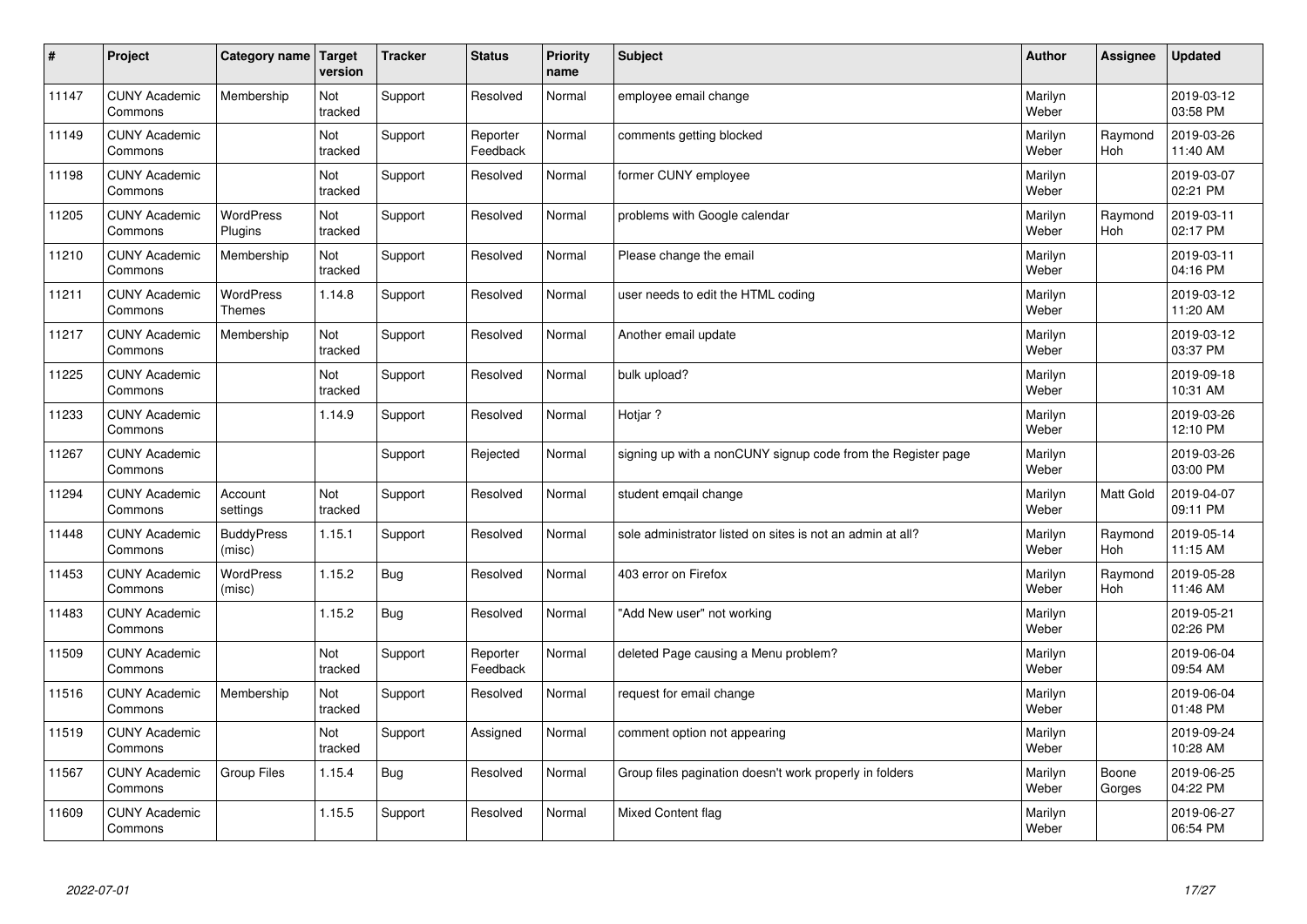| $\vert$ # | Project                         | Category name Target        | version        | <b>Tracker</b> | <b>Status</b>        | <b>Priority</b><br>name | <b>Subject</b>                                               | <b>Author</b>    | <b>Assignee</b> | <b>Updated</b>         |
|-----------|---------------------------------|-----------------------------|----------------|----------------|----------------------|-------------------------|--------------------------------------------------------------|------------------|-----------------|------------------------|
| 11147     | <b>CUNY Academic</b><br>Commons | Membership                  | Not<br>tracked | Support        | Resolved             | Normal                  | employee email change                                        | Marilyn<br>Weber |                 | 2019-03-12<br>03:58 PM |
| 11149     | <b>CUNY Academic</b><br>Commons |                             | Not<br>tracked | Support        | Reporter<br>Feedback | Normal                  | comments getting blocked                                     | Marilyn<br>Weber | Raymond<br>Hoh  | 2019-03-26<br>11:40 AM |
| 11198     | <b>CUNY Academic</b><br>Commons |                             | Not<br>tracked | Support        | Resolved             | Normal                  | former CUNY employee                                         | Marilyn<br>Weber |                 | 2019-03-07<br>02:21 PM |
| 11205     | <b>CUNY Academic</b><br>Commons | <b>WordPress</b><br>Plugins | Not<br>tracked | Support        | Resolved             | Normal                  | problems with Google calendar                                | Marilyn<br>Weber | Raymond<br>Hoh  | 2019-03-11<br>02:17 PM |
| 11210     | <b>CUNY Academic</b><br>Commons | Membership                  | Not<br>tracked | Support        | Resolved             | Normal                  | Please change the email                                      | Marilyn<br>Weber |                 | 2019-03-11<br>04:16 PM |
| 11211     | <b>CUNY Academic</b><br>Commons | WordPress<br><b>Themes</b>  | 1.14.8         | Support        | Resolved             | Normal                  | user needs to edit the HTML coding                           | Marilyn<br>Weber |                 | 2019-03-12<br>11:20 AM |
| 11217     | <b>CUNY Academic</b><br>Commons | Membership                  | Not<br>tracked | Support        | Resolved             | Normal                  | Another email update                                         | Marilyn<br>Weber |                 | 2019-03-12<br>03:37 PM |
| 11225     | <b>CUNY Academic</b><br>Commons |                             | Not<br>tracked | Support        | Resolved             | Normal                  | bulk upload?                                                 | Marilyn<br>Weber |                 | 2019-09-18<br>10:31 AM |
| 11233     | <b>CUNY Academic</b><br>Commons |                             | 1.14.9         | Support        | Resolved             | Normal                  | Hotiar?                                                      | Marilyn<br>Weber |                 | 2019-03-26<br>12:10 PM |
| 11267     | <b>CUNY Academic</b><br>Commons |                             |                | Support        | Rejected             | Normal                  | signing up with a nonCUNY signup code from the Register page | Marilyn<br>Weber |                 | 2019-03-26<br>03:00 PM |
| 11294     | <b>CUNY Academic</b><br>Commons | Account<br>settings         | Not<br>tracked | Support        | Resolved             | Normal                  | student emgail change                                        | Marilyn<br>Weber | Matt Gold       | 2019-04-07<br>09:11 PM |
| 11448     | <b>CUNY Academic</b><br>Commons | <b>BuddyPress</b><br>(misc) | 1.15.1         | Support        | Resolved             | Normal                  | sole administrator listed on sites is not an admin at all?   | Marilyn<br>Weber | Raymond<br>Hoh  | 2019-05-14<br>11:15 AM |
| 11453     | <b>CUNY Academic</b><br>Commons | WordPress<br>(misc)         | 1.15.2         | <b>Bug</b>     | Resolved             | Normal                  | 403 error on Firefox                                         | Marilyn<br>Weber | Raymond<br>Hoh  | 2019-05-28<br>11:46 AM |
| 11483     | <b>CUNY Academic</b><br>Commons |                             | 1.15.2         | <b>Bug</b>     | Resolved             | Normal                  | "Add New user" not working                                   | Marilyn<br>Weber |                 | 2019-05-21<br>02:26 PM |
| 11509     | <b>CUNY Academic</b><br>Commons |                             | Not<br>tracked | Support        | Reporter<br>Feedback | Normal                  | deleted Page causing a Menu problem?                         | Marilyn<br>Weber |                 | 2019-06-04<br>09:54 AM |
| 11516     | <b>CUNY Academic</b><br>Commons | Membership                  | Not<br>tracked | Support        | Resolved             | Normal                  | request for email change                                     | Marilyn<br>Weber |                 | 2019-06-04<br>01:48 PM |
| 11519     | <b>CUNY Academic</b><br>Commons |                             | Not<br>tracked | Support        | Assigned             | Normal                  | comment option not appearing                                 | Marilyn<br>Weber |                 | 2019-09-24<br>10:28 AM |
| 11567     | <b>CUNY Academic</b><br>Commons | <b>Group Files</b>          | 1.15.4         | <b>Bug</b>     | Resolved             | Normal                  | Group files pagination doesn't work properly in folders      | Marilyn<br>Weber | Boone<br>Gorges | 2019-06-25<br>04:22 PM |
| 11609     | <b>CUNY Academic</b><br>Commons |                             | 1.15.5         | Support        | Resolved             | Normal                  | Mixed Content flag                                           | Marilyn<br>Weber |                 | 2019-06-27<br>06:54 PM |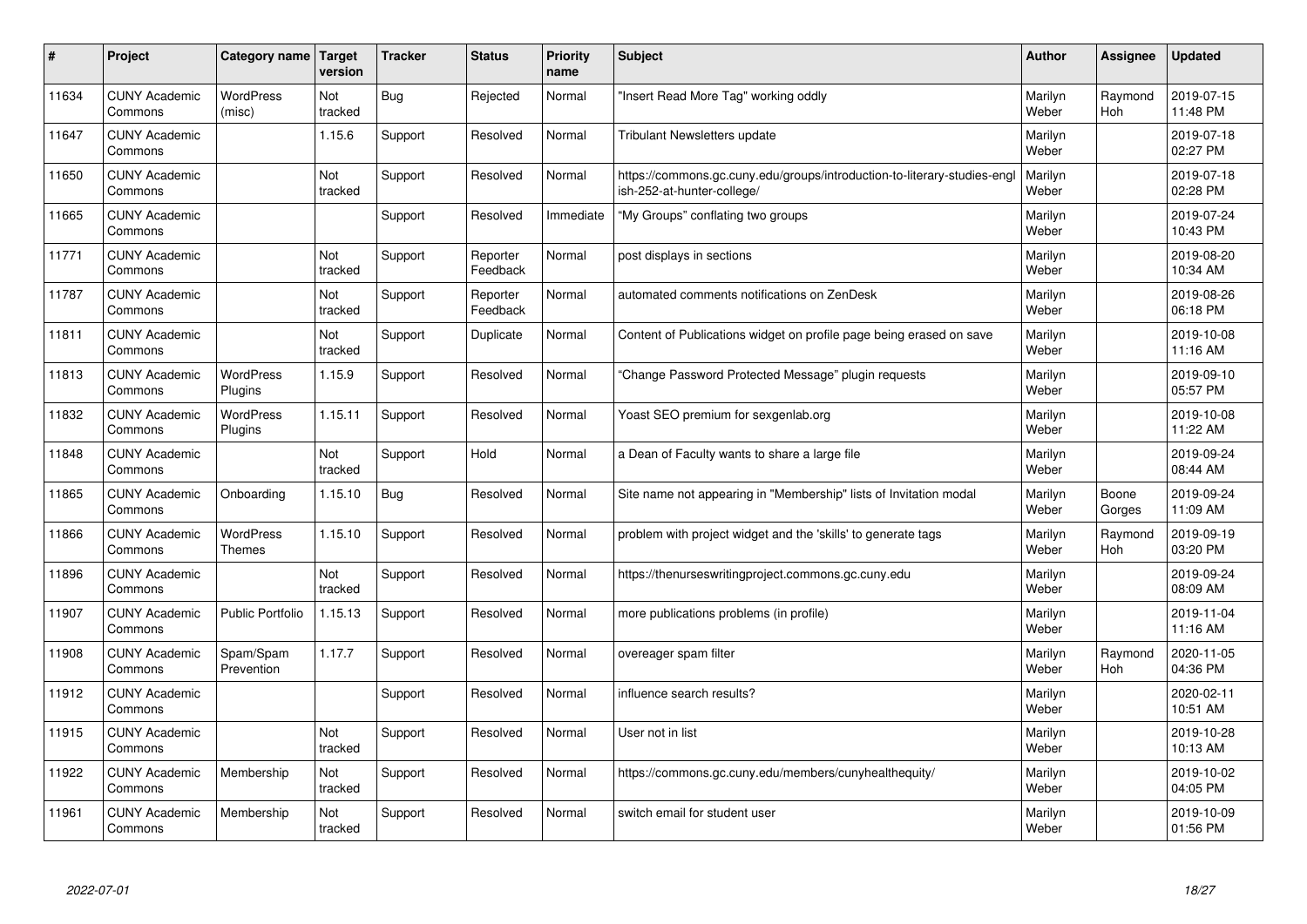| #     | Project                         | Category name               | <b>Target</b><br>version | <b>Tracker</b> | <b>Status</b>        | Priority<br>name | <b>Subject</b>                                                                                        | <b>Author</b>    | Assignee              | <b>Updated</b>         |
|-------|---------------------------------|-----------------------------|--------------------------|----------------|----------------------|------------------|-------------------------------------------------------------------------------------------------------|------------------|-----------------------|------------------------|
| 11634 | <b>CUNY Academic</b><br>Commons | <b>WordPress</b><br>(misc)  | Not<br>tracked           | <b>Bug</b>     | Rejected             | Normal           | 'Insert Read More Tag" working oddly                                                                  | Marilyn<br>Weber | Raymond<br>Hoh        | 2019-07-15<br>11:48 PM |
| 11647 | <b>CUNY Academic</b><br>Commons |                             | 1.15.6                   | Support        | Resolved             | Normal           | <b>Tribulant Newsletters update</b>                                                                   | Marilyn<br>Weber |                       | 2019-07-18<br>02:27 PM |
| 11650 | <b>CUNY Academic</b><br>Commons |                             | Not<br>tracked           | Support        | Resolved             | Normal           | https://commons.gc.cuny.edu/groups/introduction-to-literary-studies-eng<br>ish-252-at-hunter-college/ | Marilyn<br>Weber |                       | 2019-07-18<br>02:28 PM |
| 11665 | <b>CUNY Academic</b><br>Commons |                             |                          | Support        | Resolved             | Immediate        | 'My Groups" conflating two groups                                                                     | Marilyn<br>Weber |                       | 2019-07-24<br>10:43 PM |
| 11771 | <b>CUNY Academic</b><br>Commons |                             | Not<br>tracked           | Support        | Reporter<br>Feedback | Normal           | post displays in sections                                                                             | Marilyn<br>Weber |                       | 2019-08-20<br>10:34 AM |
| 11787 | <b>CUNY Academic</b><br>Commons |                             | Not<br>tracked           | Support        | Reporter<br>Feedback | Normal           | automated comments notifications on ZenDesk                                                           | Marilyn<br>Weber |                       | 2019-08-26<br>06:18 PM |
| 11811 | <b>CUNY Academic</b><br>Commons |                             | Not<br>tracked           | Support        | Duplicate            | Normal           | Content of Publications widget on profile page being erased on save                                   | Marilyn<br>Weber |                       | 2019-10-08<br>11:16 AM |
| 11813 | <b>CUNY Academic</b><br>Commons | WordPress<br>Plugins        | 1.15.9                   | Support        | Resolved             | Normal           | 'Change Password Protected Message" plugin requests                                                   | Marilyn<br>Weber |                       | 2019-09-10<br>05:57 PM |
| 11832 | <b>CUNY Academic</b><br>Commons | <b>WordPress</b><br>Plugins | 1.15.11                  | Support        | Resolved             | Normal           | Yoast SEO premium for sexgenlab.org                                                                   | Marilyn<br>Weber |                       | 2019-10-08<br>11:22 AM |
| 11848 | <b>CUNY Academic</b><br>Commons |                             | Not<br>tracked           | Support        | Hold                 | Normal           | a Dean of Faculty wants to share a large file                                                         | Marilyn<br>Weber |                       | 2019-09-24<br>08:44 AM |
| 11865 | <b>CUNY Academic</b><br>Commons | Onboarding                  | 1.15.10                  | Bug            | Resolved             | Normal           | Site name not appearing in "Membership" lists of Invitation modal                                     | Marilyn<br>Weber | Boone<br>Gorges       | 2019-09-24<br>11:09 AM |
| 11866 | <b>CUNY Academic</b><br>Commons | WordPress<br><b>Themes</b>  | 1.15.10                  | Support        | Resolved             | Normal           | problem with project widget and the 'skills' to generate tags                                         | Marilyn<br>Weber | Raymond<br><b>Hoh</b> | 2019-09-19<br>03:20 PM |
| 11896 | <b>CUNY Academic</b><br>Commons |                             | Not<br>tracked           | Support        | Resolved             | Normal           | https://thenurseswritingproject.commons.gc.cuny.edu                                                   | Marilyn<br>Weber |                       | 2019-09-24<br>08:09 AM |
| 11907 | <b>CUNY Academic</b><br>Commons | Public Portfolio            | 1.15.13                  | Support        | Resolved             | Normal           | more publications problems (in profile)                                                               | Marilyn<br>Weber |                       | 2019-11-04<br>11:16 AM |
| 11908 | <b>CUNY Academic</b><br>Commons | Spam/Spam<br>Prevention     | 1.17.7                   | Support        | Resolved             | Normal           | overeager spam filter                                                                                 | Marilyn<br>Weber | Raymond<br>Hoh        | 2020-11-05<br>04:36 PM |
| 11912 | <b>CUNY Academic</b><br>Commons |                             |                          | Support        | Resolved             | Normal           | influence search results?                                                                             | Marilyn<br>Weber |                       | 2020-02-11<br>10:51 AM |
| 11915 | <b>CUNY Academic</b><br>Commons |                             | Not<br>tracked           | Support        | Resolved             | Normal           | User not in list                                                                                      | Marilyn<br>Weber |                       | 2019-10-28<br>10:13 AM |
| 11922 | <b>CUNY Academic</b><br>Commons | Membership                  | Not<br>tracked           | Support        | Resolved             | Normal           | https://commons.gc.cuny.edu/members/cunyhealthequity/                                                 | Marilyn<br>Weber |                       | 2019-10-02<br>04:05 PM |
| 11961 | <b>CUNY Academic</b><br>Commons | Membership                  | Not<br>tracked           | Support        | Resolved             | Normal           | switch email for student user                                                                         | Marilyn<br>Weber |                       | 2019-10-09<br>01:56 PM |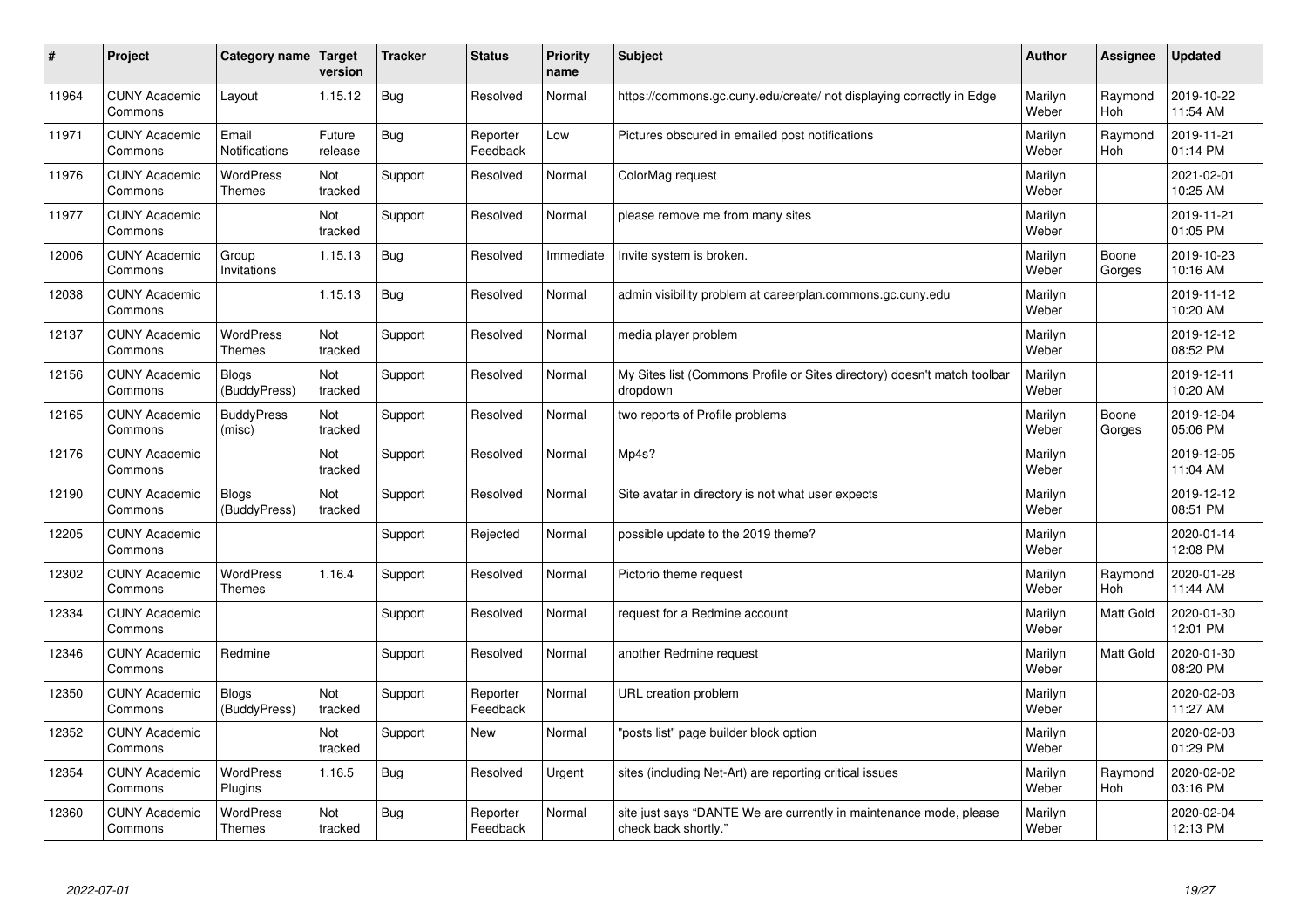| #     | Project                         | Category name   Target            | version           | <b>Tracker</b> | <b>Status</b>        | Priority<br>name | <b>Subject</b>                                                                             | <b>Author</b>    | <b>Assignee</b>  | <b>Updated</b>         |
|-------|---------------------------------|-----------------------------------|-------------------|----------------|----------------------|------------------|--------------------------------------------------------------------------------------------|------------------|------------------|------------------------|
| 11964 | <b>CUNY Academic</b><br>Commons | Layout                            | 1.15.12           | <b>Bug</b>     | Resolved             | Normal           | https://commons.gc.cuny.edu/create/ not displaying correctly in Edge                       | Marilyn<br>Weber | Raymond<br>Hoh   | 2019-10-22<br>11:54 AM |
| 11971 | <b>CUNY Academic</b><br>Commons | Email<br>Notifications            | Future<br>release | Bug            | Reporter<br>Feedback | Low              | Pictures obscured in emailed post notifications                                            | Marilyn<br>Weber | Raymond<br>Hoh   | 2019-11-21<br>01:14 PM |
| 11976 | <b>CUNY Academic</b><br>Commons | WordPress<br><b>Themes</b>        | Not<br>tracked    | Support        | Resolved             | Normal           | ColorMag request                                                                           | Marilyn<br>Weber |                  | 2021-02-01<br>10:25 AM |
| 11977 | <b>CUNY Academic</b><br>Commons |                                   | Not<br>tracked    | Support        | Resolved             | Normal           | please remove me from many sites                                                           | Marilyn<br>Weber |                  | 2019-11-21<br>01:05 PM |
| 12006 | <b>CUNY Academic</b><br>Commons | Group<br>Invitations              | 1.15.13           | Bug            | Resolved             | Immediate        | Invite system is broken.                                                                   | Marilyn<br>Weber | Boone<br>Gorges  | 2019-10-23<br>10:16 AM |
| 12038 | <b>CUNY Academic</b><br>Commons |                                   | 1.15.13           | Bug            | Resolved             | Normal           | admin visibility problem at careerplan.commons.gc.cuny.edu                                 | Marilyn<br>Weber |                  | 2019-11-12<br>10:20 AM |
| 12137 | <b>CUNY Academic</b><br>Commons | <b>WordPress</b><br><b>Themes</b> | Not<br>tracked    | Support        | Resolved             | Normal           | media player problem                                                                       | Marilyn<br>Weber |                  | 2019-12-12<br>08:52 PM |
| 12156 | <b>CUNY Academic</b><br>Commons | <b>Blogs</b><br>(BuddyPress)      | Not<br>tracked    | Support        | Resolved             | Normal           | My Sites list (Commons Profile or Sites directory) doesn't match toolbar<br>dropdown       | Marilyn<br>Weber |                  | 2019-12-11<br>10:20 AM |
| 12165 | <b>CUNY Academic</b><br>Commons | <b>BuddyPress</b><br>(misc)       | Not<br>tracked    | Support        | Resolved             | Normal           | two reports of Profile problems                                                            | Marilyn<br>Weber | Boone<br>Gorges  | 2019-12-04<br>05:06 PM |
| 12176 | <b>CUNY Academic</b><br>Commons |                                   | Not<br>tracked    | Support        | Resolved             | Normal           | Mp4s?                                                                                      | Marilyn<br>Weber |                  | 2019-12-05<br>11:04 AM |
| 12190 | <b>CUNY Academic</b><br>Commons | <b>Blogs</b><br>(BuddyPress)      | Not<br>tracked    | Support        | Resolved             | Normal           | Site avatar in directory is not what user expects                                          | Marilyn<br>Weber |                  | 2019-12-12<br>08:51 PM |
| 12205 | <b>CUNY Academic</b><br>Commons |                                   |                   | Support        | Rejected             | Normal           | possible update to the 2019 theme?                                                         | Marilyn<br>Weber |                  | 2020-01-14<br>12:08 PM |
| 12302 | <b>CUNY Academic</b><br>Commons | <b>WordPress</b><br><b>Themes</b> | 1.16.4            | Support        | Resolved             | Normal           | Pictorio theme request                                                                     | Marilyn<br>Weber | Raymond<br>Hoh   | 2020-01-28<br>11:44 AM |
| 12334 | <b>CUNY Academic</b><br>Commons |                                   |                   | Support        | Resolved             | Normal           | request for a Redmine account                                                              | Marilyn<br>Weber | <b>Matt Gold</b> | 2020-01-30<br>12:01 PM |
| 12346 | <b>CUNY Academic</b><br>Commons | Redmine                           |                   | Support        | Resolved             | Normal           | another Redmine request                                                                    | Marilyn<br>Weber | Matt Gold        | 2020-01-30<br>08:20 PM |
| 12350 | <b>CUNY Academic</b><br>Commons | <b>Blogs</b><br>(BuddyPress)      | Not<br>tracked    | Support        | Reporter<br>Feedback | Normal           | URL creation problem                                                                       | Marilyn<br>Weber |                  | 2020-02-03<br>11:27 AM |
| 12352 | <b>CUNY Academic</b><br>Commons |                                   | Not<br>tracked    | Support        | <b>New</b>           | Normal           | 'posts list" page builder block option                                                     | Marilyn<br>Weber |                  | 2020-02-03<br>01:29 PM |
| 12354 | <b>CUNY Academic</b><br>Commons | WordPress<br>Plugins              | 1.16.5            | <b>Bug</b>     | Resolved             | Urgent           | sites (including Net-Art) are reporting critical issues                                    | Marilyn<br>Weber | Raymond<br>Hoh   | 2020-02-02<br>03:16 PM |
| 12360 | <b>CUNY Academic</b><br>Commons | WordPress<br><b>Themes</b>        | Not<br>tracked    | <b>Bug</b>     | Reporter<br>Feedback | Normal           | site just says "DANTE We are currently in maintenance mode, please<br>check back shortly." | Marilyn<br>Weber |                  | 2020-02-04<br>12:13 PM |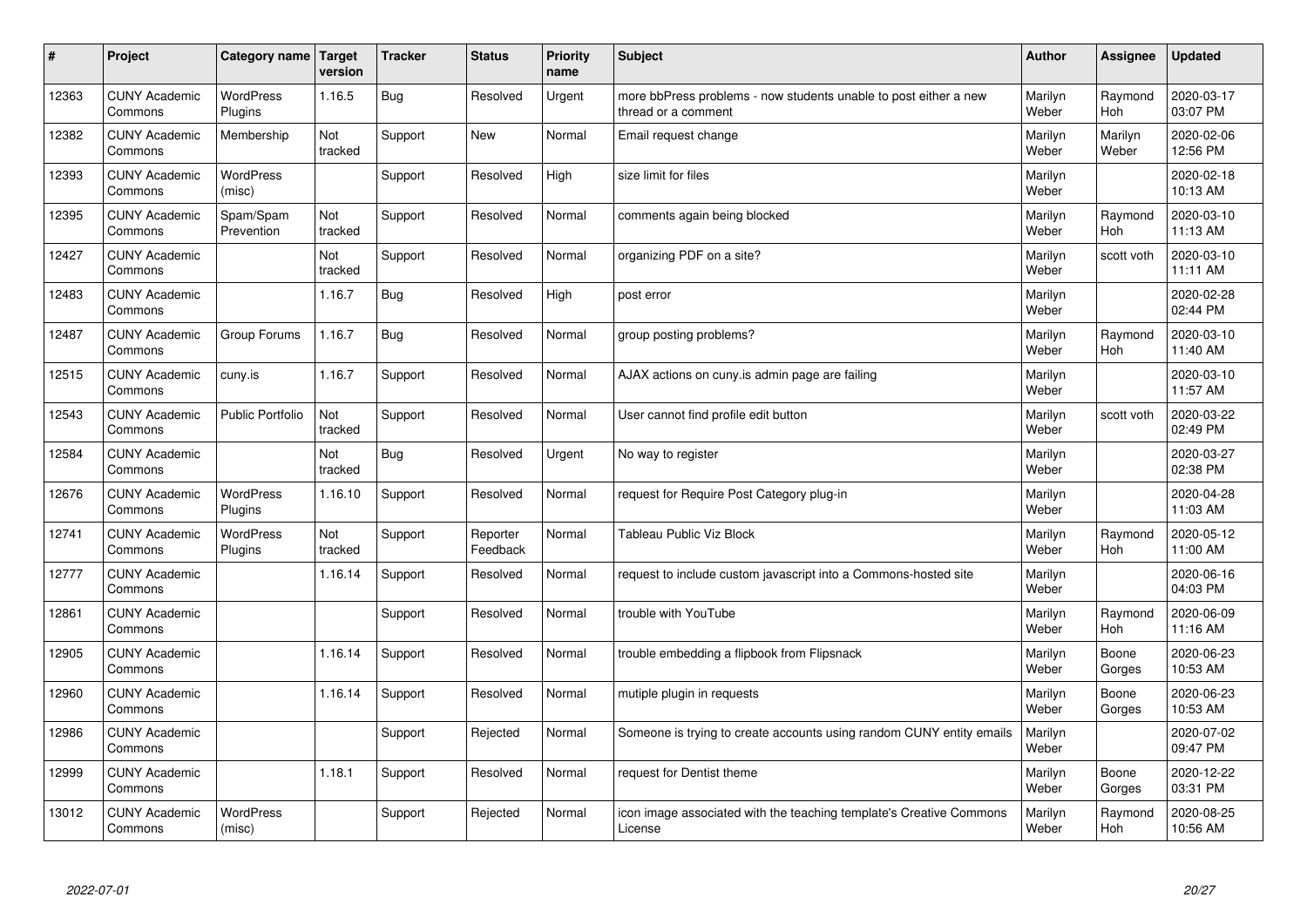| #     | Project                         | Category name   Target      | version        | <b>Tracker</b> | <b>Status</b>        | Priority<br>name | <b>Subject</b>                                                                          | <b>Author</b>    | <b>Assignee</b>       | <b>Updated</b>         |
|-------|---------------------------------|-----------------------------|----------------|----------------|----------------------|------------------|-----------------------------------------------------------------------------------------|------------------|-----------------------|------------------------|
| 12363 | <b>CUNY Academic</b><br>Commons | <b>WordPress</b><br>Plugins | 1.16.5         | Bug            | Resolved             | Urgent           | more bbPress problems - now students unable to post either a new<br>thread or a comment | Marilyn<br>Weber | Raymond<br>Hoh        | 2020-03-17<br>03:07 PM |
| 12382 | <b>CUNY Academic</b><br>Commons | Membership                  | Not<br>tracked | Support        | <b>New</b>           | Normal           | Email request change                                                                    | Marilyn<br>Weber | Marilyn<br>Weber      | 2020-02-06<br>12:56 PM |
| 12393 | <b>CUNY Academic</b><br>Commons | WordPress<br>(misc)         |                | Support        | Resolved             | High             | size limit for files                                                                    | Marilyn<br>Weber |                       | 2020-02-18<br>10:13 AM |
| 12395 | <b>CUNY Academic</b><br>Commons | Spam/Spam<br>Prevention     | Not<br>tracked | Support        | Resolved             | Normal           | comments again being blocked                                                            | Marilyn<br>Weber | Raymond<br>Hoh        | 2020-03-10<br>11:13 AM |
| 12427 | <b>CUNY Academic</b><br>Commons |                             | Not<br>tracked | Support        | Resolved             | Normal           | organizing PDF on a site?                                                               | Marilyn<br>Weber | scott voth            | 2020-03-10<br>11:11 AM |
| 12483 | <b>CUNY Academic</b><br>Commons |                             | 1.16.7         | Bug            | Resolved             | High             | post error                                                                              | Marilyn<br>Weber |                       | 2020-02-28<br>02:44 PM |
| 12487 | <b>CUNY Academic</b><br>Commons | Group Forums                | 1.16.7         | Bug            | Resolved             | Normal           | group posting problems?                                                                 | Marilyn<br>Weber | Raymond<br><b>Hoh</b> | 2020-03-10<br>11:40 AM |
| 12515 | <b>CUNY Academic</b><br>Commons | cuny.is                     | 1.16.7         | Support        | Resolved             | Normal           | AJAX actions on cuny.is admin page are failing                                          | Marilyn<br>Weber |                       | 2020-03-10<br>11:57 AM |
| 12543 | <b>CUNY Academic</b><br>Commons | <b>Public Portfolio</b>     | Not<br>tracked | Support        | Resolved             | Normal           | User cannot find profile edit button                                                    | Marilyn<br>Weber | scott voth            | 2020-03-22<br>02:49 PM |
| 12584 | <b>CUNY Academic</b><br>Commons |                             | Not<br>tracked | Bug            | Resolved             | Urgent           | No way to register                                                                      | Marilyn<br>Weber |                       | 2020-03-27<br>02:38 PM |
| 12676 | <b>CUNY Academic</b><br>Commons | <b>WordPress</b><br>Plugins | 1.16.10        | Support        | Resolved             | Normal           | request for Require Post Category plug-in                                               | Marilyn<br>Weber |                       | 2020-04-28<br>11:03 AM |
| 12741 | <b>CUNY Academic</b><br>Commons | <b>WordPress</b><br>Plugins | Not<br>tracked | Support        | Reporter<br>Feedback | Normal           | Tableau Public Viz Block                                                                | Marilyn<br>Weber | Raymond<br>Hoh        | 2020-05-12<br>11:00 AM |
| 12777 | <b>CUNY Academic</b><br>Commons |                             | 1.16.14        | Support        | Resolved             | Normal           | request to include custom javascript into a Commons-hosted site                         | Marilyn<br>Weber |                       | 2020-06-16<br>04:03 PM |
| 12861 | <b>CUNY Academic</b><br>Commons |                             |                | Support        | Resolved             | Normal           | trouble with YouTube                                                                    | Marilyn<br>Weber | Raymond<br>Hoh        | 2020-06-09<br>11:16 AM |
| 12905 | <b>CUNY Academic</b><br>Commons |                             | 1.16.14        | Support        | Resolved             | Normal           | trouble embedding a flipbook from Flipsnack                                             | Marilyn<br>Weber | Boone<br>Gorges       | 2020-06-23<br>10:53 AM |
| 12960 | <b>CUNY Academic</b><br>Commons |                             | 1.16.14        | Support        | Resolved             | Normal           | mutiple plugin in requests                                                              | Marilyn<br>Weber | Boone<br>Gorges       | 2020-06-23<br>10:53 AM |
| 12986 | <b>CUNY Academic</b><br>Commons |                             |                | Support        | Rejected             | Normal           | Someone is trying to create accounts using random CUNY entity emails                    | Marilyn<br>Weber |                       | 2020-07-02<br>09:47 PM |
| 12999 | <b>CUNY Academic</b><br>Commons |                             | 1.18.1         | Support        | Resolved             | Normal           | request for Dentist theme                                                               | Marilyn<br>Weber | Boone<br>Gorges       | 2020-12-22<br>03:31 PM |
| 13012 | <b>CUNY Academic</b><br>Commons | <b>WordPress</b><br>(misc)  |                | Support        | Rejected             | Normal           | icon image associated with the teaching template's Creative Commons<br>License          | Marilyn<br>Weber | Raymond<br>Hoh        | 2020-08-25<br>10:56 AM |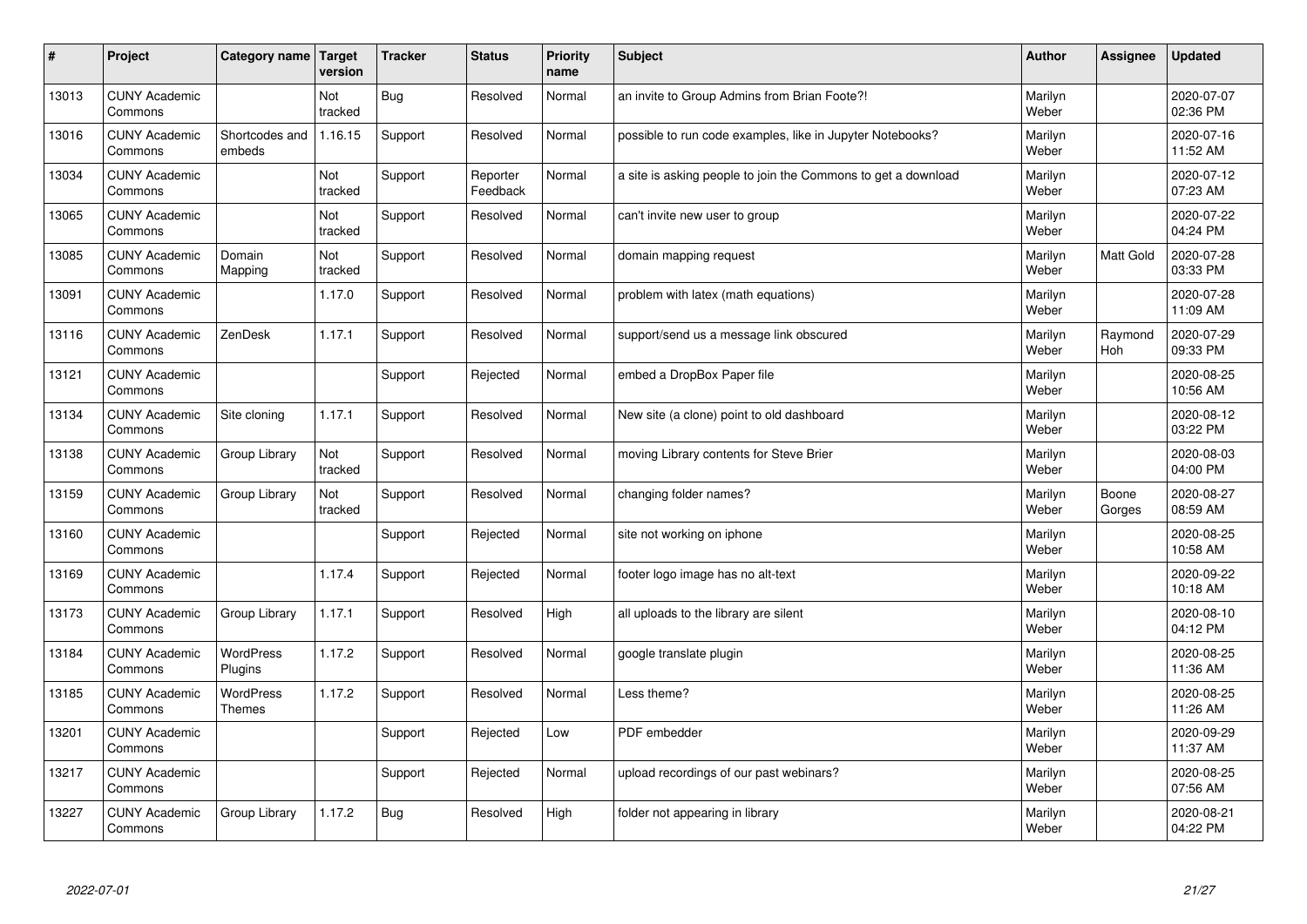| #     | Project                         | Category name                     | Target<br>version | <b>Tracker</b> | <b>Status</b>        | Priority<br>name | <b>Subject</b>                                                | <b>Author</b>    | Assignee         | <b>Updated</b>         |
|-------|---------------------------------|-----------------------------------|-------------------|----------------|----------------------|------------------|---------------------------------------------------------------|------------------|------------------|------------------------|
| 13013 | <b>CUNY Academic</b><br>Commons |                                   | Not<br>tracked    | <b>Bug</b>     | Resolved             | Normal           | an invite to Group Admins from Brian Foote?!                  | Marilyn<br>Weber |                  | 2020-07-07<br>02:36 PM |
| 13016 | <b>CUNY Academic</b><br>Commons | Shortcodes and<br>embeds          | 1.16.15           | Support        | Resolved             | Normal           | possible to run code examples, like in Jupyter Notebooks?     | Marilyn<br>Weber |                  | 2020-07-16<br>11:52 AM |
| 13034 | <b>CUNY Academic</b><br>Commons |                                   | Not<br>tracked    | Support        | Reporter<br>Feedback | Normal           | a site is asking people to join the Commons to get a download | Marilyn<br>Weber |                  | 2020-07-12<br>07:23 AM |
| 13065 | <b>CUNY Academic</b><br>Commons |                                   | Not<br>tracked    | Support        | Resolved             | Normal           | can't invite new user to group                                | Marilyn<br>Weber |                  | 2020-07-22<br>04:24 PM |
| 13085 | <b>CUNY Academic</b><br>Commons | Domain<br>Mapping                 | Not<br>tracked    | Support        | Resolved             | Normal           | domain mapping request                                        | Marilyn<br>Weber | <b>Matt Gold</b> | 2020-07-28<br>03:33 PM |
| 13091 | <b>CUNY Academic</b><br>Commons |                                   | 1.17.0            | Support        | Resolved             | Normal           | problem with latex (math equations)                           | Marilyn<br>Weber |                  | 2020-07-28<br>11:09 AM |
| 13116 | <b>CUNY Academic</b><br>Commons | ZenDesk                           | 1.17.1            | Support        | Resolved             | Normal           | support/send us a message link obscured                       | Marilyn<br>Weber | Raymond<br>Hoh   | 2020-07-29<br>09:33 PM |
| 13121 | <b>CUNY Academic</b><br>Commons |                                   |                   | Support        | Rejected             | Normal           | embed a DropBox Paper file                                    | Marilyn<br>Weber |                  | 2020-08-25<br>10:56 AM |
| 13134 | <b>CUNY Academic</b><br>Commons | Site cloning                      | 1.17.1            | Support        | Resolved             | Normal           | New site (a clone) point to old dashboard                     | Marilyn<br>Weber |                  | 2020-08-12<br>03:22 PM |
| 13138 | <b>CUNY Academic</b><br>Commons | Group Library                     | Not<br>tracked    | Support        | Resolved             | Normal           | moving Library contents for Steve Brier                       | Marilyn<br>Weber |                  | 2020-08-03<br>04:00 PM |
| 13159 | <b>CUNY Academic</b><br>Commons | Group Library                     | Not<br>tracked    | Support        | Resolved             | Normal           | changing folder names?                                        | Marilyn<br>Weber | Boone<br>Gorges  | 2020-08-27<br>08:59 AM |
| 13160 | <b>CUNY Academic</b><br>Commons |                                   |                   | Support        | Rejected             | Normal           | site not working on iphone                                    | Marilyn<br>Weber |                  | 2020-08-25<br>10:58 AM |
| 13169 | <b>CUNY Academic</b><br>Commons |                                   | 1.17.4            | Support        | Rejected             | Normal           | footer logo image has no alt-text                             | Marilyn<br>Weber |                  | 2020-09-22<br>10:18 AM |
| 13173 | <b>CUNY Academic</b><br>Commons | Group Library                     | 1.17.1            | Support        | Resolved             | High             | all uploads to the library are silent                         | Marilyn<br>Weber |                  | 2020-08-10<br>04:12 PM |
| 13184 | <b>CUNY Academic</b><br>Commons | <b>WordPress</b><br>Plugins       | 1.17.2            | Support        | Resolved             | Normal           | google translate plugin                                       | Marilyn<br>Weber |                  | 2020-08-25<br>11:36 AM |
| 13185 | <b>CUNY Academic</b><br>Commons | <b>WordPress</b><br><b>Themes</b> | 1.17.2            | Support        | Resolved             | Normal           | Less theme?                                                   | Marilyn<br>Weber |                  | 2020-08-25<br>11:26 AM |
| 13201 | <b>CUNY Academic</b><br>Commons |                                   |                   | Support        | Rejected             | Low              | PDF embedder                                                  | Marilyn<br>Weber |                  | 2020-09-29<br>11:37 AM |
| 13217 | <b>CUNY Academic</b><br>Commons |                                   |                   | Support        | Rejected             | Normal           | upload recordings of our past webinars?                       | Marilyn<br>Weber |                  | 2020-08-25<br>07:56 AM |
| 13227 | <b>CUNY Academic</b><br>Commons | Group Library                     | 1.17.2            | Bug            | Resolved             | High             | folder not appearing in library                               | Marilyn<br>Weber |                  | 2020-08-21<br>04:22 PM |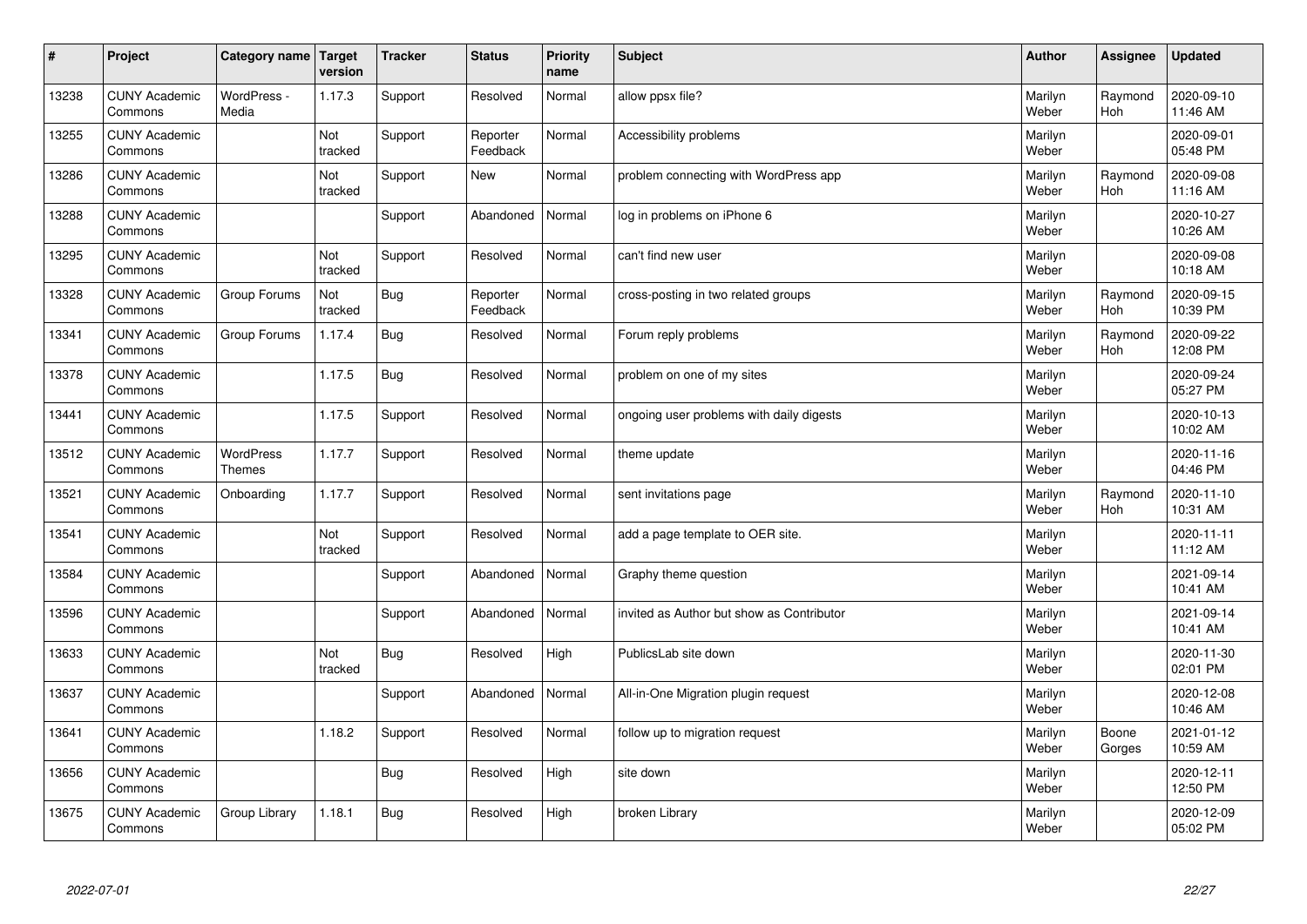| $\sharp$ | Project                         | Category name   Target     | version        | <b>Tracker</b> | <b>Status</b>        | <b>Priority</b><br>name | <b>Subject</b>                            | <b>Author</b>    | Assignee              | Updated                |
|----------|---------------------------------|----------------------------|----------------|----------------|----------------------|-------------------------|-------------------------------------------|------------------|-----------------------|------------------------|
| 13238    | <b>CUNY Academic</b><br>Commons | WordPress -<br>Media       | 1.17.3         | Support        | Resolved             | Normal                  | allow ppsx file?                          | Marilyn<br>Weber | Raymond<br><b>Hoh</b> | 2020-09-10<br>11:46 AM |
| 13255    | <b>CUNY Academic</b><br>Commons |                            | Not<br>tracked | Support        | Reporter<br>Feedback | Normal                  | Accessibility problems                    | Marilyn<br>Weber |                       | 2020-09-01<br>05:48 PM |
| 13286    | <b>CUNY Academic</b><br>Commons |                            | Not<br>tracked | Support        | <b>New</b>           | Normal                  | problem connecting with WordPress app     | Marilyn<br>Weber | Raymond<br><b>Hoh</b> | 2020-09-08<br>11:16 AM |
| 13288    | <b>CUNY Academic</b><br>Commons |                            |                | Support        | Abandoned            | Normal                  | log in problems on iPhone 6               | Marilyn<br>Weber |                       | 2020-10-27<br>10:26 AM |
| 13295    | <b>CUNY Academic</b><br>Commons |                            | Not<br>tracked | Support        | Resolved             | Normal                  | can't find new user                       | Marilyn<br>Weber |                       | 2020-09-08<br>10:18 AM |
| 13328    | <b>CUNY Academic</b><br>Commons | Group Forums               | Not<br>tracked | Bug            | Reporter<br>Feedback | Normal                  | cross-posting in two related groups       | Marilyn<br>Weber | Raymond<br>Hoh        | 2020-09-15<br>10:39 PM |
| 13341    | <b>CUNY Academic</b><br>Commons | Group Forums               | 1.17.4         | <b>Bug</b>     | Resolved             | Normal                  | Forum reply problems                      | Marilyn<br>Weber | Raymond<br>Hoh        | 2020-09-22<br>12:08 PM |
| 13378    | <b>CUNY Academic</b><br>Commons |                            | 1.17.5         | Bug            | Resolved             | Normal                  | problem on one of my sites                | Marilyn<br>Weber |                       | 2020-09-24<br>05:27 PM |
| 13441    | <b>CUNY Academic</b><br>Commons |                            | 1.17.5         | Support        | Resolved             | Normal                  | ongoing user problems with daily digests  | Marilyn<br>Weber |                       | 2020-10-13<br>10:02 AM |
| 13512    | <b>CUNY Academic</b><br>Commons | WordPress<br><b>Themes</b> | 1.17.7         | Support        | Resolved             | Normal                  | theme update                              | Marilyn<br>Weber |                       | 2020-11-16<br>04:46 PM |
| 13521    | <b>CUNY Academic</b><br>Commons | Onboarding                 | 1.17.7         | Support        | Resolved             | Normal                  | sent invitations page                     | Marilyn<br>Weber | Raymond<br>Hoh        | 2020-11-10<br>10:31 AM |
| 13541    | <b>CUNY Academic</b><br>Commons |                            | Not<br>tracked | Support        | Resolved             | Normal                  | add a page template to OER site.          | Marilyn<br>Weber |                       | 2020-11-11<br>11:12 AM |
| 13584    | <b>CUNY Academic</b><br>Commons |                            |                | Support        | Abandoned            | Normal                  | Graphy theme question                     | Marilyn<br>Weber |                       | 2021-09-14<br>10:41 AM |
| 13596    | <b>CUNY Academic</b><br>Commons |                            |                | Support        | Abandoned            | Normal                  | invited as Author but show as Contributor | Marilyn<br>Weber |                       | 2021-09-14<br>10:41 AM |
| 13633    | <b>CUNY Academic</b><br>Commons |                            | Not<br>tracked | Bug            | Resolved             | High                    | PublicsLab site down                      | Marilyn<br>Weber |                       | 2020-11-30<br>02:01 PM |
| 13637    | <b>CUNY Academic</b><br>Commons |                            |                | Support        | Abandoned            | Normal                  | All-in-One Migration plugin request       | Marilyn<br>Weber |                       | 2020-12-08<br>10:46 AM |
| 13641    | <b>CUNY Academic</b><br>Commons |                            | 1.18.2         | Support        | Resolved             | Normal                  | follow up to migration request            | Marilyn<br>Weber | Boone<br>Gorges       | 2021-01-12<br>10:59 AM |
| 13656    | <b>CUNY Academic</b><br>Commons |                            |                | <b>Bug</b>     | Resolved             | High                    | site down                                 | Marilyn<br>Weber |                       | 2020-12-11<br>12:50 PM |
| 13675    | <b>CUNY Academic</b><br>Commons | Group Library              | 1.18.1         | Bug            | Resolved             | High                    | broken Library                            | Marilyn<br>Weber |                       | 2020-12-09<br>05:02 PM |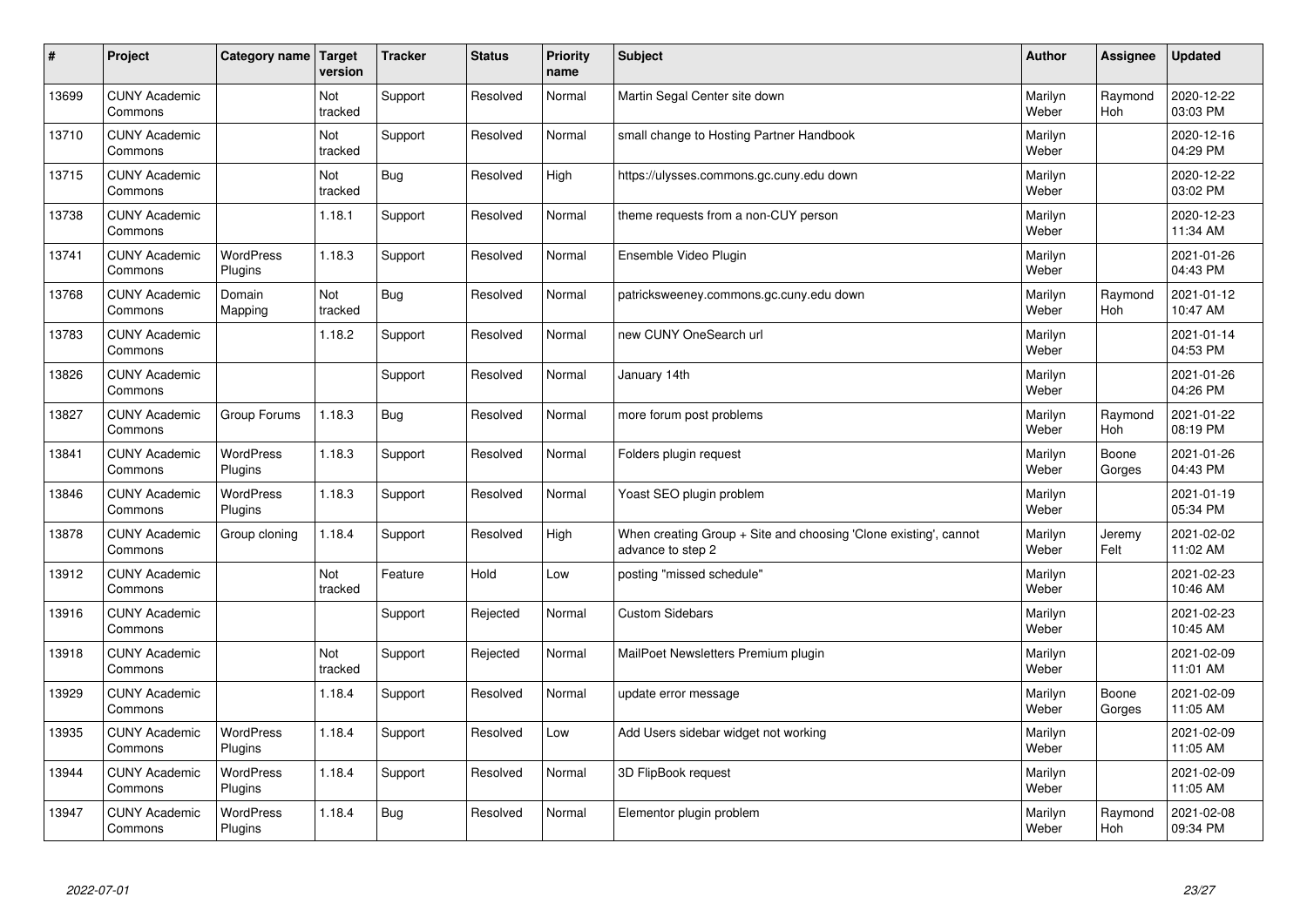| $\sharp$ | Project                         | Category name Target        | version        | <b>Tracker</b> | <b>Status</b> | <b>Priority</b><br>name | <b>Subject</b>                                                                        | <b>Author</b>    | Assignee              | <b>Updated</b>         |
|----------|---------------------------------|-----------------------------|----------------|----------------|---------------|-------------------------|---------------------------------------------------------------------------------------|------------------|-----------------------|------------------------|
| 13699    | <b>CUNY Academic</b><br>Commons |                             | Not<br>tracked | Support        | Resolved      | Normal                  | Martin Segal Center site down                                                         | Marilyn<br>Weber | Raymond<br><b>Hoh</b> | 2020-12-22<br>03:03 PM |
| 13710    | <b>CUNY Academic</b><br>Commons |                             | Not<br>tracked | Support        | Resolved      | Normal                  | small change to Hosting Partner Handbook                                              | Marilyn<br>Weber |                       | 2020-12-16<br>04:29 PM |
| 13715    | <b>CUNY Academic</b><br>Commons |                             | Not<br>tracked | Bug            | Resolved      | High                    | https://ulysses.commons.gc.cuny.edu down                                              | Marilyn<br>Weber |                       | 2020-12-22<br>03:02 PM |
| 13738    | <b>CUNY Academic</b><br>Commons |                             | 1.18.1         | Support        | Resolved      | Normal                  | theme requests from a non-CUY person                                                  | Marilyn<br>Weber |                       | 2020-12-23<br>11:34 AM |
| 13741    | <b>CUNY Academic</b><br>Commons | <b>WordPress</b><br>Plugins | 1.18.3         | Support        | Resolved      | Normal                  | Ensemble Video Plugin                                                                 | Marilyn<br>Weber |                       | 2021-01-26<br>04:43 PM |
| 13768    | <b>CUNY Academic</b><br>Commons | Domain<br>Mapping           | Not<br>tracked | Bug            | Resolved      | Normal                  | patricksweeney.commons.gc.cuny.edu down                                               | Marilyn<br>Weber | Raymond<br><b>Hoh</b> | 2021-01-12<br>10:47 AM |
| 13783    | <b>CUNY Academic</b><br>Commons |                             | 1.18.2         | Support        | Resolved      | Normal                  | new CUNY OneSearch url                                                                | Marilyn<br>Weber |                       | 2021-01-14<br>04:53 PM |
| 13826    | <b>CUNY Academic</b><br>Commons |                             |                | Support        | Resolved      | Normal                  | January 14th                                                                          | Marilyn<br>Weber |                       | 2021-01-26<br>04:26 PM |
| 13827    | <b>CUNY Academic</b><br>Commons | Group Forums                | 1.18.3         | Bug            | Resolved      | Normal                  | more forum post problems                                                              | Marilyn<br>Weber | Raymond<br><b>Hoh</b> | 2021-01-22<br>08:19 PM |
| 13841    | <b>CUNY Academic</b><br>Commons | WordPress<br>Plugins        | 1.18.3         | Support        | Resolved      | Normal                  | Folders plugin request                                                                | Marilyn<br>Weber | Boone<br>Gorges       | 2021-01-26<br>04:43 PM |
| 13846    | <b>CUNY Academic</b><br>Commons | WordPress<br>Plugins        | 1.18.3         | Support        | Resolved      | Normal                  | Yoast SEO plugin problem                                                              | Marilyn<br>Weber |                       | 2021-01-19<br>05:34 PM |
| 13878    | <b>CUNY Academic</b><br>Commons | Group cloning               | 1.18.4         | Support        | Resolved      | High                    | When creating Group + Site and choosing 'Clone existing', cannot<br>advance to step 2 | Marilyn<br>Weber | Jeremy<br>Felt        | 2021-02-02<br>11:02 AM |
| 13912    | <b>CUNY Academic</b><br>Commons |                             | Not<br>tracked | Feature        | Hold          | Low                     | posting "missed schedule"                                                             | Marilyn<br>Weber |                       | 2021-02-23<br>10:46 AM |
| 13916    | <b>CUNY Academic</b><br>Commons |                             |                | Support        | Rejected      | Normal                  | <b>Custom Sidebars</b>                                                                | Marilyn<br>Weber |                       | 2021-02-23<br>10:45 AM |
| 13918    | <b>CUNY Academic</b><br>Commons |                             | Not<br>tracked | Support        | Rejected      | Normal                  | MailPoet Newsletters Premium plugin                                                   | Marilyn<br>Weber |                       | 2021-02-09<br>11:01 AM |
| 13929    | <b>CUNY Academic</b><br>Commons |                             | 1.18.4         | Support        | Resolved      | Normal                  | update error message                                                                  | Marilyn<br>Weber | Boone<br>Gorges       | 2021-02-09<br>11:05 AM |
| 13935    | <b>CUNY Academic</b><br>Commons | WordPress<br>Plugins        | 1.18.4         | Support        | Resolved      | Low                     | Add Users sidebar widget not working                                                  | Marilyn<br>Weber |                       | 2021-02-09<br>11:05 AM |
| 13944    | <b>CUNY Academic</b><br>Commons | <b>WordPress</b><br>Plugins | 1.18.4         | Support        | Resolved      | Normal                  | 3D FlipBook request                                                                   | Marilyn<br>Weber |                       | 2021-02-09<br>11:05 AM |
| 13947    | <b>CUNY Academic</b><br>Commons | WordPress<br>Plugins        | 1.18.4         | Bug            | Resolved      | Normal                  | Elementor plugin problem                                                              | Marilyn<br>Weber | Raymond<br>Hoh        | 2021-02-08<br>09:34 PM |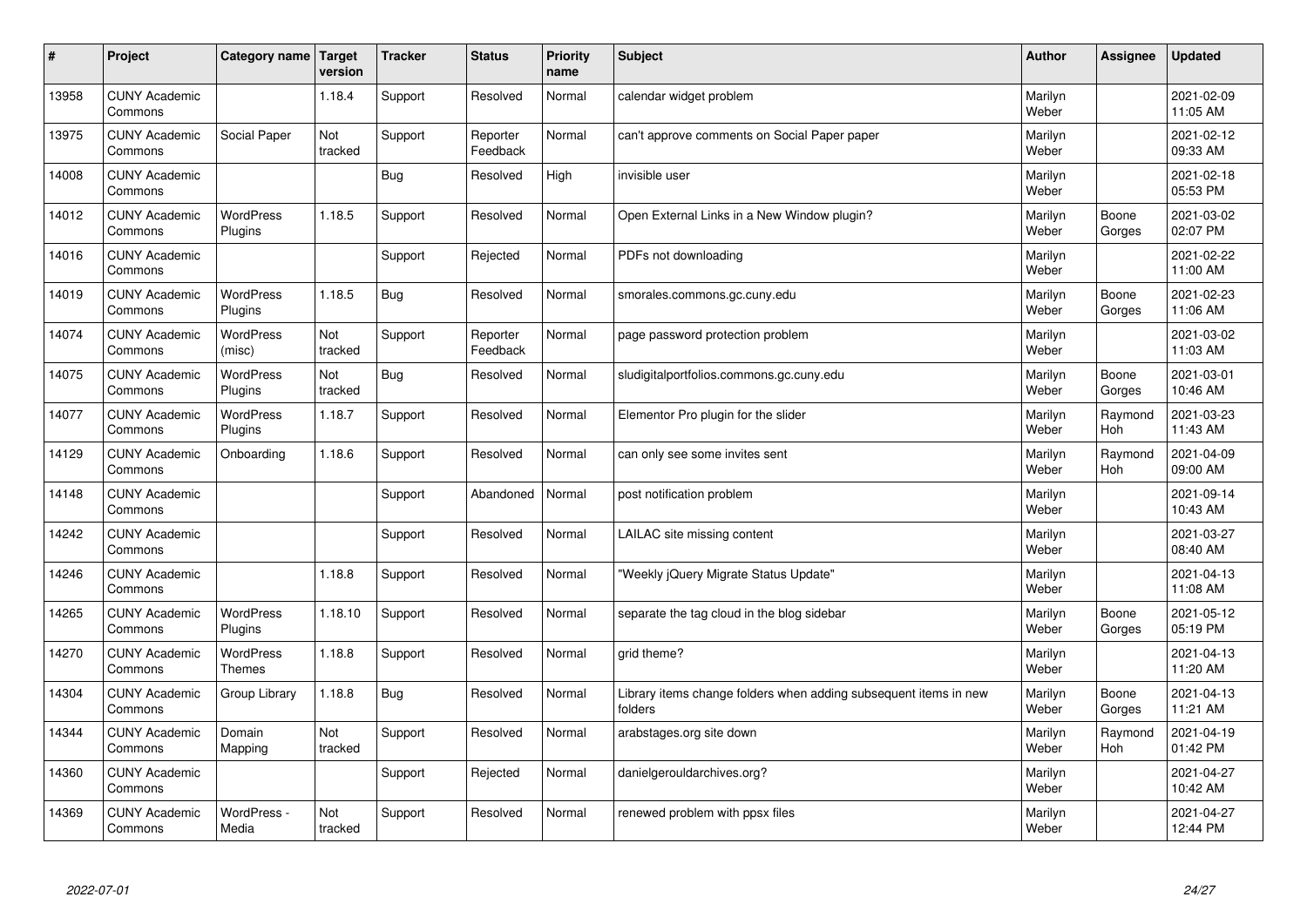| $\sharp$ | Project                         | Category name   Target             | version        | <b>Tracker</b> | <b>Status</b>        | <b>Priority</b><br>name | <b>Subject</b>                                                              | <b>Author</b>    | Assignee              | <b>Updated</b>         |
|----------|---------------------------------|------------------------------------|----------------|----------------|----------------------|-------------------------|-----------------------------------------------------------------------------|------------------|-----------------------|------------------------|
| 13958    | <b>CUNY Academic</b><br>Commons |                                    | 1.18.4         | Support        | Resolved             | Normal                  | calendar widget problem                                                     | Marilyn<br>Weber |                       | 2021-02-09<br>11:05 AM |
| 13975    | <b>CUNY Academic</b><br>Commons | Social Paper                       | Not<br>tracked | Support        | Reporter<br>Feedback | Normal                  | can't approve comments on Social Paper paper                                | Marilyn<br>Weber |                       | 2021-02-12<br>09:33 AM |
| 14008    | <b>CUNY Academic</b><br>Commons |                                    |                | <b>Bug</b>     | Resolved             | High                    | invisible user                                                              | Marilyn<br>Weber |                       | 2021-02-18<br>05:53 PM |
| 14012    | <b>CUNY Academic</b><br>Commons | <b>WordPress</b><br>Plugins        | 1.18.5         | Support        | Resolved             | Normal                  | Open External Links in a New Window plugin?                                 | Marilyn<br>Weber | Boone<br>Gorges       | 2021-03-02<br>02:07 PM |
| 14016    | <b>CUNY Academic</b><br>Commons |                                    |                | Support        | Rejected             | Normal                  | PDFs not downloading                                                        | Marilyn<br>Weber |                       | 2021-02-22<br>11:00 AM |
| 14019    | <b>CUNY Academic</b><br>Commons | <b>WordPress</b><br><b>Plugins</b> | 1.18.5         | Bug            | Resolved             | Normal                  | smorales.commons.gc.cuny.edu                                                | Marilyn<br>Weber | Boone<br>Gorges       | 2021-02-23<br>11:06 AM |
| 14074    | <b>CUNY Academic</b><br>Commons | <b>WordPress</b><br>(misc)         | Not<br>tracked | Support        | Reporter<br>Feedback | Normal                  | page password protection problem                                            | Marilyn<br>Weber |                       | 2021-03-02<br>11:03 AM |
| 14075    | <b>CUNY Academic</b><br>Commons | WordPress<br>Plugins               | Not<br>tracked | Bug            | Resolved             | Normal                  | sludigitalportfolios.commons.gc.cuny.edu                                    | Marilyn<br>Weber | Boone<br>Gorges       | 2021-03-01<br>10:46 AM |
| 14077    | <b>CUNY Academic</b><br>Commons | WordPress<br>Plugins               | 1.18.7         | Support        | Resolved             | Normal                  | Elementor Pro plugin for the slider                                         | Marilyn<br>Weber | Raymond<br>Hoh        | 2021-03-23<br>11:43 AM |
| 14129    | <b>CUNY Academic</b><br>Commons | Onboarding                         | 1.18.6         | Support        | Resolved             | Normal                  | can only see some invites sent                                              | Marilyn<br>Weber | Raymond<br><b>Hoh</b> | 2021-04-09<br>09:00 AM |
| 14148    | <b>CUNY Academic</b><br>Commons |                                    |                | Support        | Abandoned            | Normal                  | post notification problem                                                   | Marilyn<br>Weber |                       | 2021-09-14<br>10:43 AM |
| 14242    | <b>CUNY Academic</b><br>Commons |                                    |                | Support        | Resolved             | Normal                  | LAILAC site missing content                                                 | Marilyn<br>Weber |                       | 2021-03-27<br>08:40 AM |
| 14246    | <b>CUNY Academic</b><br>Commons |                                    | 1.18.8         | Support        | Resolved             | Normal                  | 'Weekly jQuery Migrate Status Update"                                       | Marilyn<br>Weber |                       | 2021-04-13<br>11:08 AM |
| 14265    | <b>CUNY Academic</b><br>Commons | WordPress<br>Plugins               | 1.18.10        | Support        | Resolved             | Normal                  | separate the tag cloud in the blog sidebar                                  | Marilyn<br>Weber | Boone<br>Gorges       | 2021-05-12<br>05:19 PM |
| 14270    | <b>CUNY Academic</b><br>Commons | WordPress<br><b>Themes</b>         | 1.18.8         | Support        | Resolved             | Normal                  | grid theme?                                                                 | Marilyn<br>Weber |                       | 2021-04-13<br>11:20 AM |
| 14304    | <b>CUNY Academic</b><br>Commons | Group Library                      | 1.18.8         | Bug            | Resolved             | Normal                  | Library items change folders when adding subsequent items in new<br>folders | Marilyn<br>Weber | Boone<br>Gorges       | 2021-04-13<br>11:21 AM |
| 14344    | <b>CUNY Academic</b><br>Commons | Domain<br>Mapping                  | Not<br>tracked | Support        | Resolved             | Normal                  | arabstages.org site down                                                    | Marilyn<br>Weber | Raymond<br><b>Hoh</b> | 2021-04-19<br>01:42 PM |
| 14360    | <b>CUNY Academic</b><br>Commons |                                    |                | Support        | Rejected             | Normal                  | danielgerouldarchives.org?                                                  | Marilyn<br>Weber |                       | 2021-04-27<br>10:42 AM |
| 14369    | <b>CUNY Academic</b><br>Commons | WordPress -<br>Media               | Not<br>tracked | Support        | Resolved             | Normal                  | renewed problem with ppsx files                                             | Marilyn<br>Weber |                       | 2021-04-27<br>12:44 PM |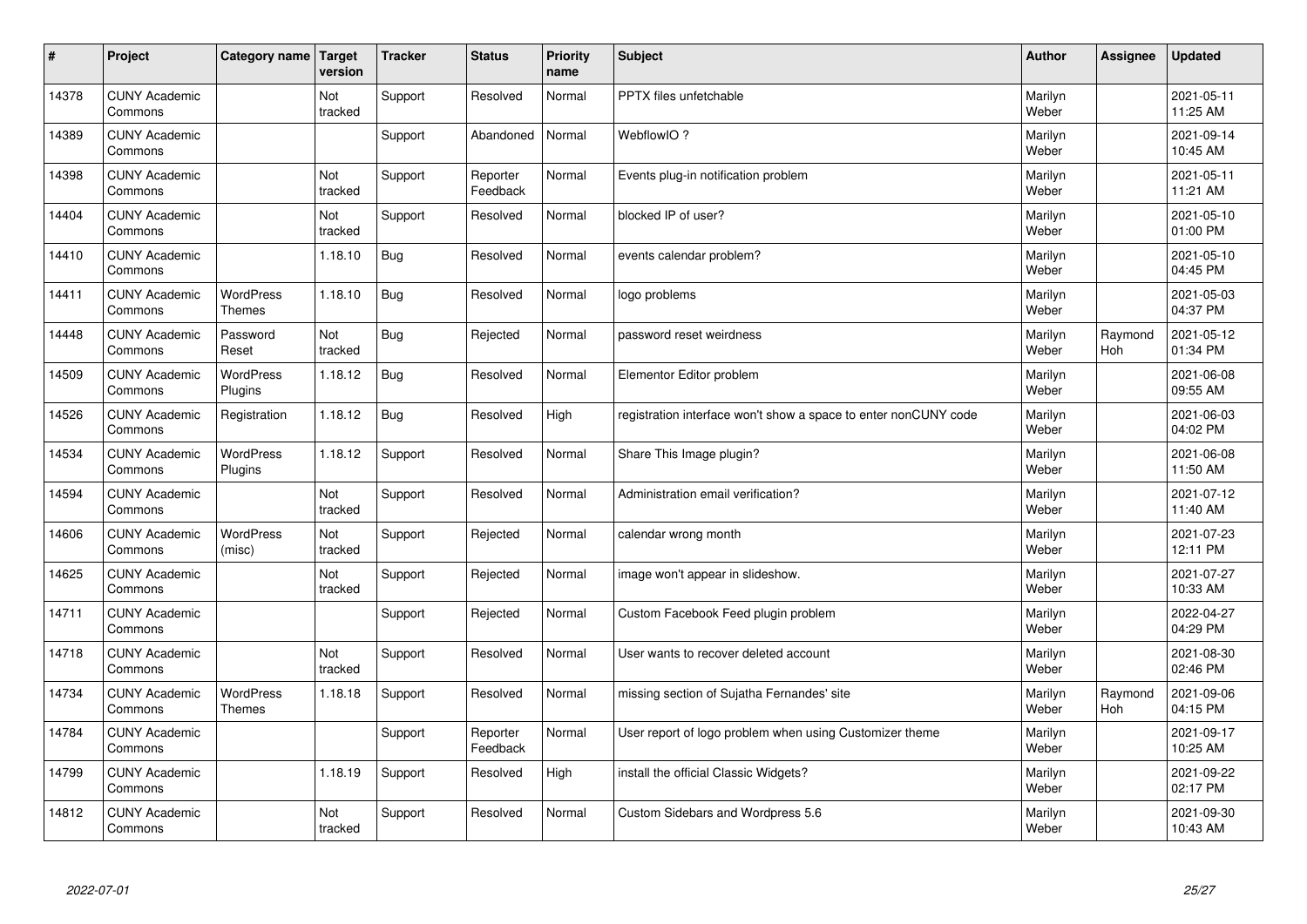| #     | Project                         | Category name   Target            | version        | <b>Tracker</b> | <b>Status</b>        | <b>Priority</b><br>name | <b>Subject</b>                                                  | <b>Author</b>    | Assignee       | <b>Updated</b>         |
|-------|---------------------------------|-----------------------------------|----------------|----------------|----------------------|-------------------------|-----------------------------------------------------------------|------------------|----------------|------------------------|
| 14378 | <b>CUNY Academic</b><br>Commons |                                   | Not<br>tracked | Support        | Resolved             | Normal                  | <b>PPTX</b> files unfetchable                                   | Marilyn<br>Weber |                | 2021-05-11<br>11:25 AM |
| 14389 | <b>CUNY Academic</b><br>Commons |                                   |                | Support        | Abandoned            | Normal                  | WebflowIO?                                                      | Marilyn<br>Weber |                | 2021-09-14<br>10:45 AM |
| 14398 | <b>CUNY Academic</b><br>Commons |                                   | Not<br>tracked | Support        | Reporter<br>Feedback | Normal                  | Events plug-in notification problem                             | Marilyn<br>Weber |                | 2021-05-11<br>11:21 AM |
| 14404 | <b>CUNY Academic</b><br>Commons |                                   | Not<br>tracked | Support        | Resolved             | Normal                  | blocked IP of user?                                             | Marilyn<br>Weber |                | 2021-05-10<br>01:00 PM |
| 14410 | <b>CUNY Academic</b><br>Commons |                                   | 1.18.10        | Bug            | Resolved             | Normal                  | events calendar problem?                                        | Marilyn<br>Weber |                | 2021-05-10<br>04:45 PM |
| 14411 | <b>CUNY Academic</b><br>Commons | <b>WordPress</b><br><b>Themes</b> | 1.18.10        | <b>Bug</b>     | Resolved             | Normal                  | logo problems                                                   | Marilyn<br>Weber |                | 2021-05-03<br>04:37 PM |
| 14448 | <b>CUNY Academic</b><br>Commons | Password<br>Reset                 | Not<br>tracked | <b>Bug</b>     | Rejected             | Normal                  | password reset weirdness                                        | Marilyn<br>Weber | Raymond<br>Hoh | 2021-05-12<br>01:34 PM |
| 14509 | <b>CUNY Academic</b><br>Commons | WordPress<br>Plugins              | 1.18.12        | <b>Bug</b>     | Resolved             | Normal                  | Elementor Editor problem                                        | Marilyn<br>Weber |                | 2021-06-08<br>09:55 AM |
| 14526 | <b>CUNY Academic</b><br>Commons | Registration                      | 1.18.12        | <b>Bug</b>     | Resolved             | High                    | registration interface won't show a space to enter nonCUNY code | Marilyn<br>Weber |                | 2021-06-03<br>04:02 PM |
| 14534 | <b>CUNY Academic</b><br>Commons | WordPress<br>Plugins              | 1.18.12        | Support        | Resolved             | Normal                  | Share This Image plugin?                                        | Marilyn<br>Weber |                | 2021-06-08<br>11:50 AM |
| 14594 | <b>CUNY Academic</b><br>Commons |                                   | Not<br>tracked | Support        | Resolved             | Normal                  | Administration email verification?                              | Marilyn<br>Weber |                | 2021-07-12<br>11:40 AM |
| 14606 | <b>CUNY Academic</b><br>Commons | WordPress<br>(misc)               | Not<br>tracked | Support        | Rejected             | Normal                  | calendar wrong month                                            | Marilyn<br>Weber |                | 2021-07-23<br>12:11 PM |
| 14625 | <b>CUNY Academic</b><br>Commons |                                   | Not<br>tracked | Support        | Rejected             | Normal                  | image won't appear in slideshow.                                | Marilyn<br>Weber |                | 2021-07-27<br>10:33 AM |
| 14711 | <b>CUNY Academic</b><br>Commons |                                   |                | Support        | Rejected             | Normal                  | Custom Facebook Feed plugin problem                             | Marilyn<br>Weber |                | 2022-04-27<br>04:29 PM |
| 14718 | <b>CUNY Academic</b><br>Commons |                                   | Not<br>tracked | Support        | Resolved             | Normal                  | User wants to recover deleted account                           | Marilyn<br>Weber |                | 2021-08-30<br>02:46 PM |
| 14734 | <b>CUNY Academic</b><br>Commons | <b>WordPress</b><br><b>Themes</b> | 1.18.18        | Support        | Resolved             | Normal                  | missing section of Sujatha Fernandes' site                      | Marilyn<br>Weber | Raymond<br>Hoh | 2021-09-06<br>04:15 PM |
| 14784 | <b>CUNY Academic</b><br>Commons |                                   |                | Support        | Reporter<br>Feedback | Normal                  | User report of logo problem when using Customizer theme         | Marilyn<br>Weber |                | 2021-09-17<br>10:25 AM |
| 14799 | <b>CUNY Academic</b><br>Commons |                                   | 1.18.19        | Support        | Resolved             | High                    | install the official Classic Widgets?                           | Marilyn<br>Weber |                | 2021-09-22<br>02:17 PM |
| 14812 | <b>CUNY Academic</b><br>Commons |                                   | Not<br>tracked | Support        | Resolved             | Normal                  | Custom Sidebars and Wordpress 5.6                               | Marilyn<br>Weber |                | 2021-09-30<br>10:43 AM |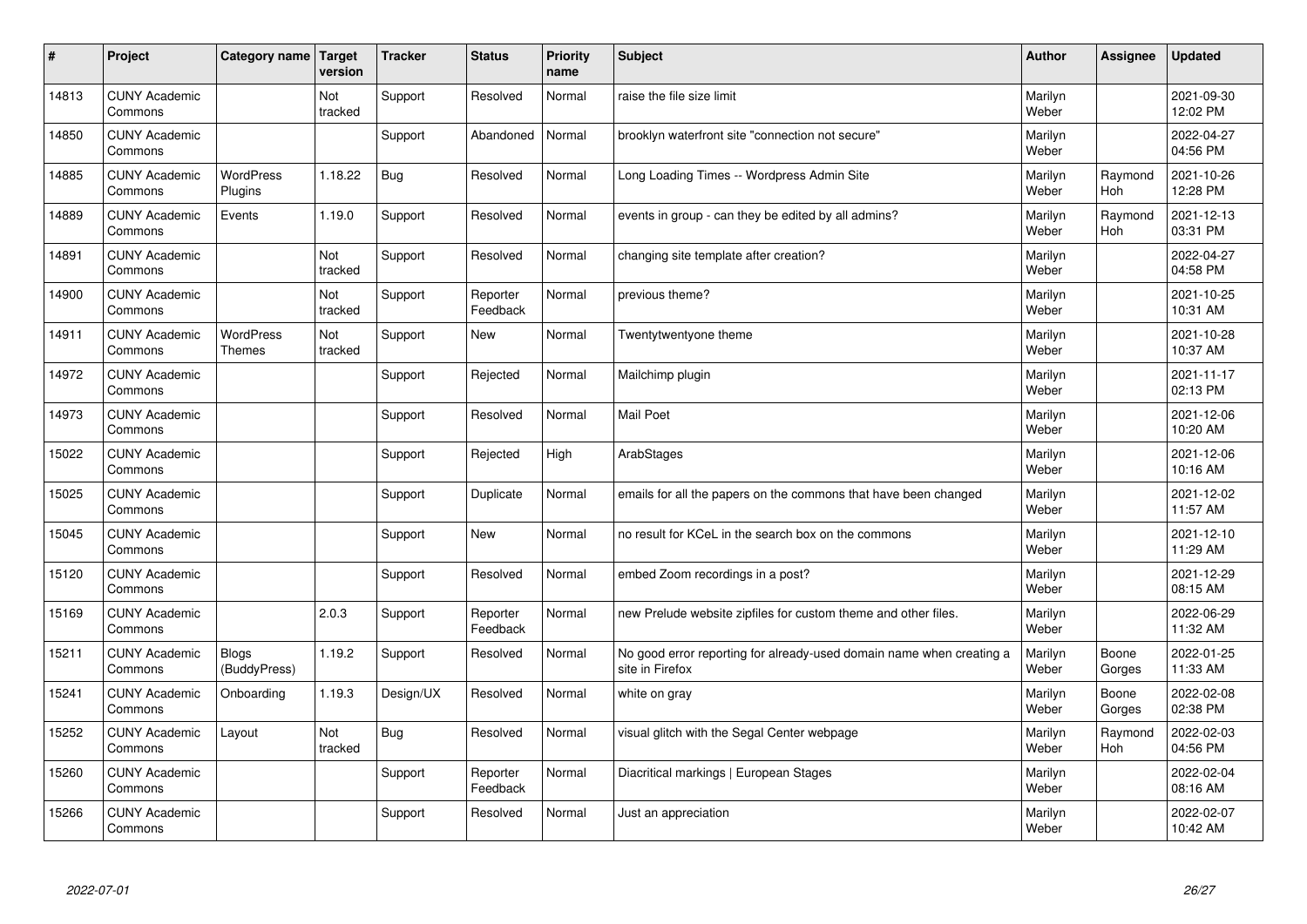| $\sharp$ | Project                         | Category name   Target            | version        | <b>Tracker</b> | <b>Status</b>        | <b>Priority</b><br>name | <b>Subject</b>                                                                          | <b>Author</b>    | Assignee              | <b>Updated</b>         |
|----------|---------------------------------|-----------------------------------|----------------|----------------|----------------------|-------------------------|-----------------------------------------------------------------------------------------|------------------|-----------------------|------------------------|
| 14813    | <b>CUNY Academic</b><br>Commons |                                   | Not<br>tracked | Support        | Resolved             | Normal                  | raise the file size limit                                                               | Marilyn<br>Weber |                       | 2021-09-30<br>12:02 PM |
| 14850    | <b>CUNY Academic</b><br>Commons |                                   |                | Support        | Abandoned            | Normal                  | brooklyn waterfront site "connection not secure"                                        | Marilyn<br>Weber |                       | 2022-04-27<br>04:56 PM |
| 14885    | <b>CUNY Academic</b><br>Commons | <b>WordPress</b><br>Plugins       | 1.18.22        | Bug            | Resolved             | Normal                  | Long Loading Times -- Wordpress Admin Site                                              | Marilyn<br>Weber | Raymond<br>Hoh        | 2021-10-26<br>12:28 PM |
| 14889    | <b>CUNY Academic</b><br>Commons | Events                            | 1.19.0         | Support        | Resolved             | Normal                  | events in group - can they be edited by all admins?                                     | Marilyn<br>Weber | Raymond<br>Hoh        | 2021-12-13<br>03:31 PM |
| 14891    | <b>CUNY Academic</b><br>Commons |                                   | Not<br>tracked | Support        | Resolved             | Normal                  | changing site template after creation?                                                  | Marilyn<br>Weber |                       | 2022-04-27<br>04:58 PM |
| 14900    | <b>CUNY Academic</b><br>Commons |                                   | Not<br>tracked | Support        | Reporter<br>Feedback | Normal                  | previous theme?                                                                         | Marilyn<br>Weber |                       | 2021-10-25<br>10:31 AM |
| 14911    | <b>CUNY Academic</b><br>Commons | <b>WordPress</b><br><b>Themes</b> | Not<br>tracked | Support        | <b>New</b>           | Normal                  | Twentytwentyone theme                                                                   | Marilyn<br>Weber |                       | 2021-10-28<br>10:37 AM |
| 14972    | <b>CUNY Academic</b><br>Commons |                                   |                | Support        | Rejected             | Normal                  | Mailchimp plugin                                                                        | Marilyn<br>Weber |                       | 2021-11-17<br>02:13 PM |
| 14973    | <b>CUNY Academic</b><br>Commons |                                   |                | Support        | Resolved             | Normal                  | <b>Mail Poet</b>                                                                        | Marilyn<br>Weber |                       | 2021-12-06<br>10:20 AM |
| 15022    | <b>CUNY Academic</b><br>Commons |                                   |                | Support        | Rejected             | High                    | ArabStages                                                                              | Marilyn<br>Weber |                       | 2021-12-06<br>10:16 AM |
| 15025    | <b>CUNY Academic</b><br>Commons |                                   |                | Support        | Duplicate            | Normal                  | emails for all the papers on the commons that have been changed                         | Marilyn<br>Weber |                       | 2021-12-02<br>11:57 AM |
| 15045    | <b>CUNY Academic</b><br>Commons |                                   |                | Support        | New                  | Normal                  | no result for KCeL in the search box on the commons                                     | Marilyn<br>Weber |                       | 2021-12-10<br>11:29 AM |
| 15120    | <b>CUNY Academic</b><br>Commons |                                   |                | Support        | Resolved             | Normal                  | embed Zoom recordings in a post?                                                        | Marilyn<br>Weber |                       | 2021-12-29<br>08:15 AM |
| 15169    | <b>CUNY Academic</b><br>Commons |                                   | 2.0.3          | Support        | Reporter<br>Feedback | Normal                  | new Prelude website zipfiles for custom theme and other files.                          | Marilyn<br>Weber |                       | 2022-06-29<br>11:32 AM |
| 15211    | <b>CUNY Academic</b><br>Commons | <b>Blogs</b><br>(BuddyPress)      | 1.19.2         | Support        | Resolved             | Normal                  | No good error reporting for already-used domain name when creating a<br>site in Firefox | Marilyn<br>Weber | Boone<br>Gorges       | 2022-01-25<br>11:33 AM |
| 15241    | <b>CUNY Academic</b><br>Commons | Onboarding                        | 1.19.3         | Design/UX      | Resolved             | Normal                  | white on gray                                                                           | Marilyn<br>Weber | Boone<br>Gorges       | 2022-02-08<br>02:38 PM |
| 15252    | <b>CUNY Academic</b><br>Commons | Layout                            | Not<br>tracked | Bug            | Resolved             | Normal                  | visual glitch with the Segal Center webpage                                             | Marilyn<br>Weber | Raymond<br><b>Hoh</b> | 2022-02-03<br>04:56 PM |
| 15260    | <b>CUNY Academic</b><br>Commons |                                   |                | Support        | Reporter<br>Feedback | Normal                  | Diacritical markings   European Stages                                                  | Marilyn<br>Weber |                       | 2022-02-04<br>08:16 AM |
| 15266    | <b>CUNY Academic</b><br>Commons |                                   |                | Support        | Resolved             | Normal                  | Just an appreciation                                                                    | Marilyn<br>Weber |                       | 2022-02-07<br>10:42 AM |